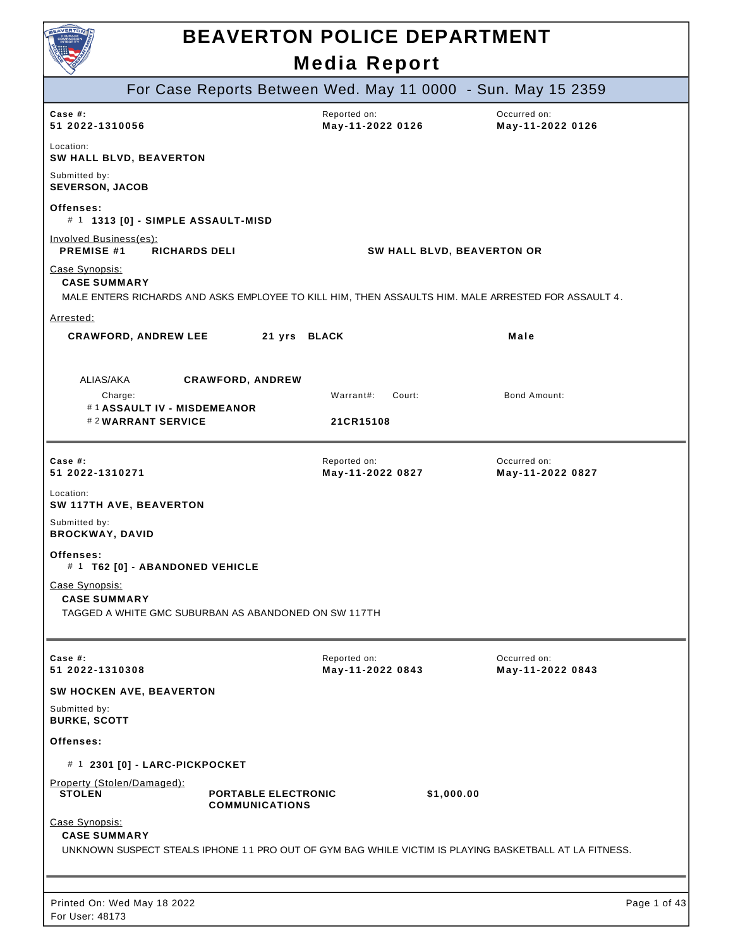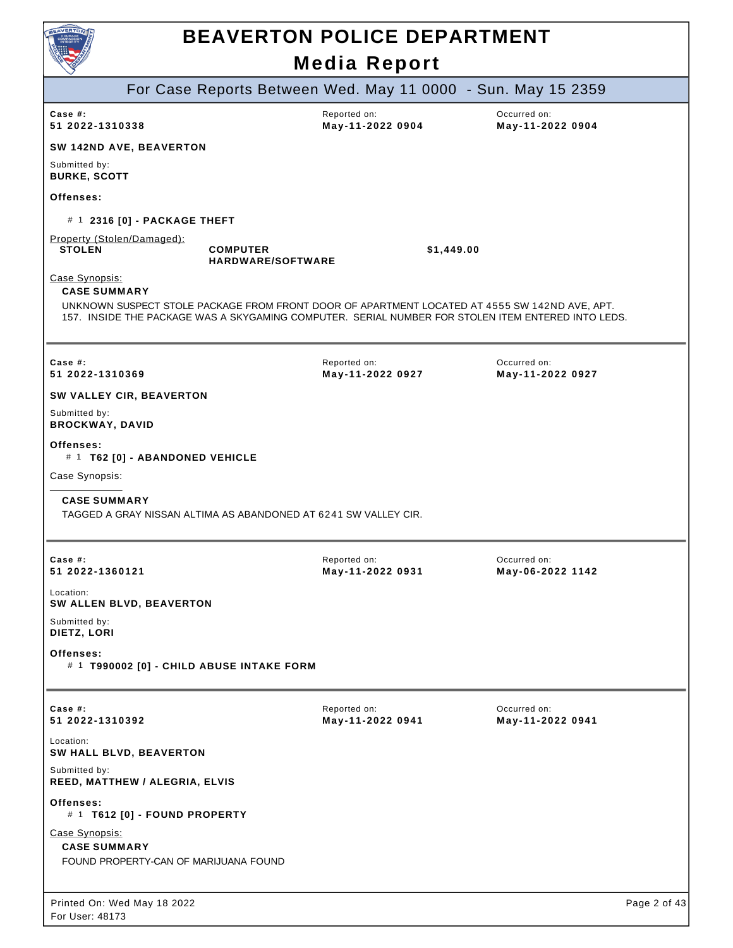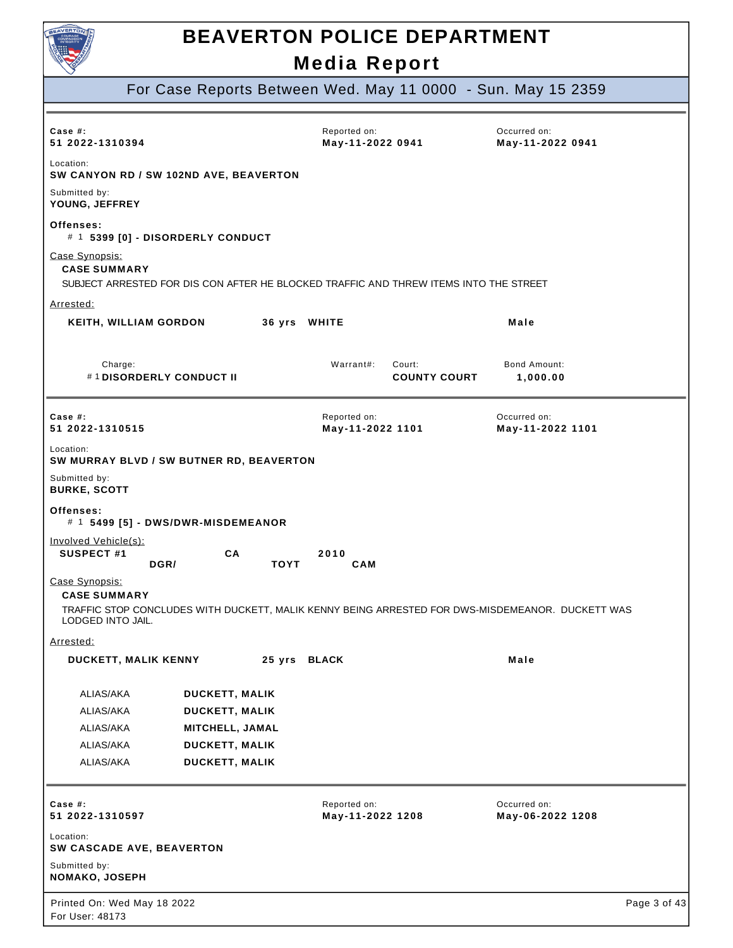

For Case Reports Between Wed. May 11 0000 - Sun. May 15 2359

| Case $#$ :<br>51 2022-1310394                              |                                          | Reported on:<br>May-11-2022 0941                                                      | Occurred on:<br>May-11-2022 0941                                                                 |
|------------------------------------------------------------|------------------------------------------|---------------------------------------------------------------------------------------|--------------------------------------------------------------------------------------------------|
| Location:                                                  | SW CANYON RD / SW 102ND AVE, BEAVERTON   |                                                                                       |                                                                                                  |
| Submitted by:<br>YOUNG, JEFFREY                            |                                          |                                                                                       |                                                                                                  |
| Offenses:                                                  | # 1 5399 [0] - DISORDERLY CONDUCT        |                                                                                       |                                                                                                  |
| Case Synopsis:<br><b>CASE SUMMARY</b>                      |                                          | SUBJECT ARRESTED FOR DIS CON AFTER HE BLOCKED TRAFFIC AND THREW ITEMS INTO THE STREET |                                                                                                  |
| Arrested:                                                  |                                          |                                                                                       |                                                                                                  |
| <b>KEITH, WILLIAM GORDON</b>                               |                                          | 36 yrs WHITE                                                                          | Male                                                                                             |
| Charge:<br>#1DISORDERLY CONDUCT II                         |                                          | Warrant#:<br>Court:<br><b>COUNTY COURT</b>                                            | Bond Amount:<br>1,000.00                                                                         |
| Case $#$ :<br>51 2022-1310515                              |                                          | Reported on:<br>May-11-2022 1101                                                      | Occurred on:<br>May-11-2022 1101                                                                 |
| Location:                                                  | SW MURRAY BLVD / SW BUTNER RD, BEAVERTON |                                                                                       |                                                                                                  |
| Submitted by:<br><b>BURKE, SCOTT</b>                       |                                          |                                                                                       |                                                                                                  |
| Offenses:                                                  |                                          |                                                                                       |                                                                                                  |
|                                                            | # 1 5499 [5] - DWS/DWR-MISDEMEANOR       |                                                                                       |                                                                                                  |
| Involved Vehicle(s):<br><b>SUSPECT #1</b>                  | СA<br>DGR/<br><b>TOYT</b>                | 2010<br><b>CAM</b>                                                                    |                                                                                                  |
| Case Synopsis:<br><b>CASE SUMMARY</b><br>LODGED INTO JAIL. |                                          |                                                                                       | TRAFFIC STOP CONCLUDES WITH DUCKETT, MALIK KENNY BEING ARRESTED FOR DWS-MISDEMEANOR. DUCKETT WAS |
| Arrested:                                                  |                                          |                                                                                       |                                                                                                  |
| DUCKETT, MALIK KENNY                                       |                                          | 25 yrs BLACK                                                                          | Male                                                                                             |
| ALIAS/AKA                                                  | <b>DUCKETT, MALIK</b>                    |                                                                                       |                                                                                                  |
| ALIAS/AKA                                                  | <b>DUCKETT, MALIK</b>                    |                                                                                       |                                                                                                  |
| ALIAS/AKA                                                  | MITCHELL, JAMAL                          |                                                                                       |                                                                                                  |
| ALIAS/AKA                                                  | <b>DUCKETT, MALIK</b>                    |                                                                                       |                                                                                                  |
| ALIAS/AKA                                                  | <b>DUCKETT, MALIK</b>                    |                                                                                       |                                                                                                  |
| Case #:<br>51 2022-1310597                                 |                                          | Reported on:<br>May-11-2022 1208                                                      | Occurred on:<br>May-06-2022 1208                                                                 |
| Location:<br>SW CASCADE AVE, BEAVERTON                     |                                          |                                                                                       |                                                                                                  |
| Submitted by:<br>NOMAKO, JOSEPH                            |                                          |                                                                                       |                                                                                                  |
| Printed On: Wed May 18 2022<br>For User: 48173             |                                          |                                                                                       | Page 3 of 43                                                                                     |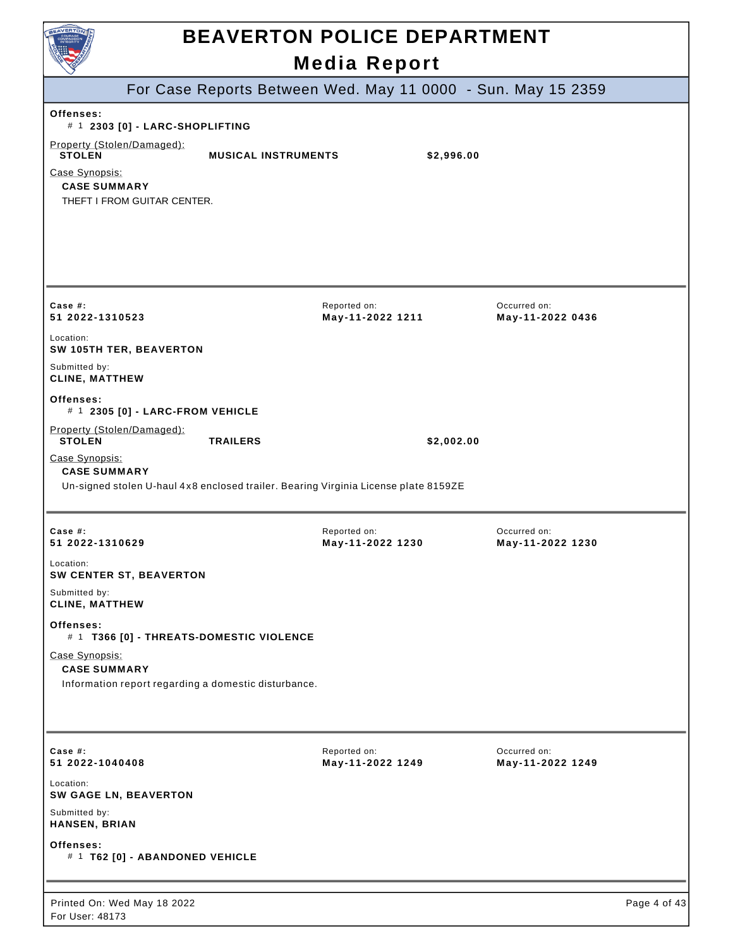| <b>BEAVERTON POLICE DEPARTMENT</b><br><b>Media Report</b>                                                                                                                            |                                  |                                  |              |  |
|--------------------------------------------------------------------------------------------------------------------------------------------------------------------------------------|----------------------------------|----------------------------------|--------------|--|
| For Case Reports Between Wed. May 11 0000 - Sun. May 15 2359                                                                                                                         |                                  |                                  |              |  |
| Offenses:                                                                                                                                                                            |                                  |                                  |              |  |
| # 1 2303 [0] - LARC-SHOPLIFTING<br>Property (Stolen/Damaged):<br><b>STOLEN</b><br><b>MUSICAL INSTRUMENTS</b><br>Case Synopsis:<br><b>CASE SUMMARY</b><br>THEFT I FROM GUITAR CENTER. |                                  | \$2,996.00                       |              |  |
| Case #:<br>51 2022-1310523                                                                                                                                                           | Reported on:<br>May-11-2022 1211 | Occurred on:<br>May-11-2022 0436 |              |  |
| Location:<br>SW 105TH TER, BEAVERTON                                                                                                                                                 |                                  |                                  |              |  |
| Submitted by:<br><b>CLINE, MATTHEW</b>                                                                                                                                               |                                  |                                  |              |  |
| Offenses:<br># 1 2305 [0] - LARC-FROM VEHICLE                                                                                                                                        |                                  |                                  |              |  |
| Property (Stolen/Damaged):<br><b>STOLEN</b><br><b>TRAILERS</b>                                                                                                                       |                                  | \$2,002.00                       |              |  |
| Case Synopsis:<br><b>CASE SUMMARY</b><br>Un-signed stolen U-haul 4x8 enclosed trailer. Bearing Virginia License plate 8159ZE                                                         |                                  |                                  |              |  |
| Case #:<br>51 2022-1310629                                                                                                                                                           | Reported on:<br>May-11-2022 1230 | Occurred on:<br>May-11-2022 1230 |              |  |
| Location:<br>SW CENTER ST, BEAVERTON                                                                                                                                                 |                                  |                                  |              |  |
| Submitted by:<br><b>CLINE, MATTHEW</b>                                                                                                                                               |                                  |                                  |              |  |
| Offenses:<br># 1 T366 [0] - THREATS-DOMESTIC VIOLENCE                                                                                                                                |                                  |                                  |              |  |
| Case Synopsis:<br><b>CASE SUMMARY</b><br>Information report regarding a domestic disturbance.                                                                                        |                                  |                                  |              |  |
| Case $#$ :<br>51 2022-1040408                                                                                                                                                        | Reported on:<br>May-11-2022 1249 | Occurred on:<br>May-11-2022 1249 |              |  |
| Location:<br><b>SW GAGE LN, BEAVERTON</b>                                                                                                                                            |                                  |                                  |              |  |
| Submitted by:<br>HANSEN, BRIAN                                                                                                                                                       |                                  |                                  |              |  |
| Offenses:<br># 1 T62 [0] - ABANDONED VEHICLE                                                                                                                                         |                                  |                                  |              |  |
| Printed On: Wed May 18 2022<br>For User: 48173                                                                                                                                       |                                  |                                  | Page 4 of 43 |  |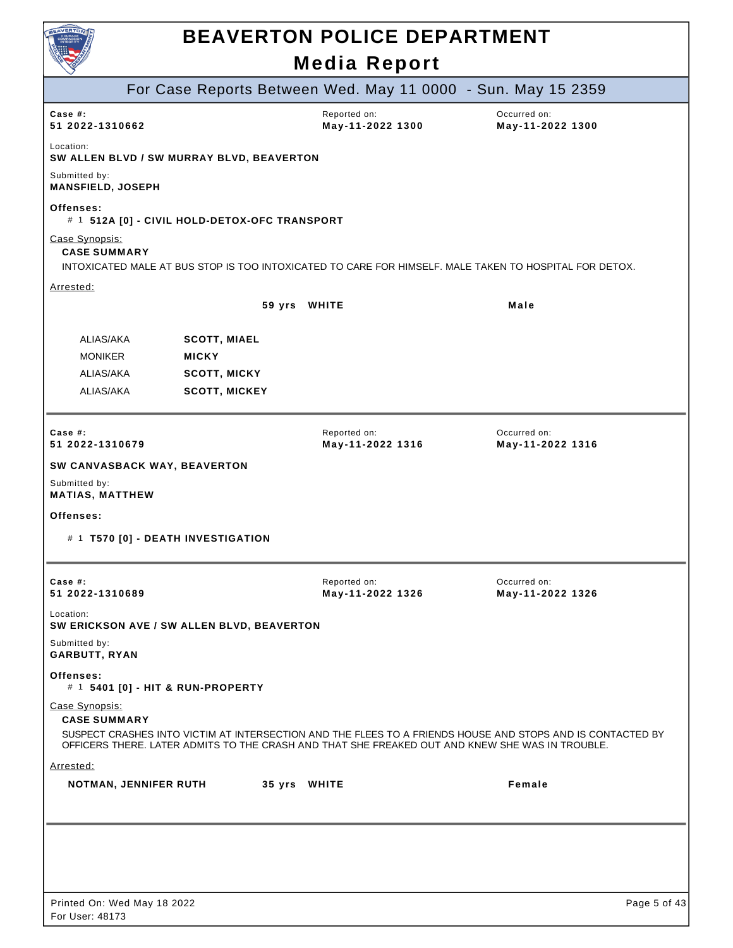| BEAVERTO                                  |                                               | <b>BEAVERTON POLICE DEPARTMENT</b>                           |                                                                                                            |
|-------------------------------------------|-----------------------------------------------|--------------------------------------------------------------|------------------------------------------------------------------------------------------------------------|
|                                           |                                               | <b>Media Report</b>                                          |                                                                                                            |
|                                           |                                               | For Case Reports Between Wed. May 11 0000 - Sun. May 15 2359 |                                                                                                            |
| Case $#$ :<br>51 2022-1310662             |                                               | Reported on:<br>May-11-2022 1300                             | Occurred on:<br>May-11-2022 1300                                                                           |
| Location:                                 | SW ALLEN BLVD / SW MURRAY BLVD, BEAVERTON     |                                                              |                                                                                                            |
| Submitted by:<br><b>MANSFIELD, JOSEPH</b> |                                               |                                                              |                                                                                                            |
| Offenses:                                 | # 1 512A [0] - CIVIL HOLD-DETOX-OFC TRANSPORT |                                                              |                                                                                                            |
| Case Synopsis:<br><b>CASE SUMMARY</b>     |                                               |                                                              | INTOXICATED MALE AT BUS STOP IS TOO INTOXICATED TO CARE FOR HIMSELF. MALE TAKEN TO HOSPITAL FOR DETOX.     |
| Arrested:                                 |                                               |                                                              |                                                                                                            |
|                                           |                                               | 59 yrs WHITE                                                 | Male                                                                                                       |
| ALIAS/AKA<br><b>MONIKER</b>               | <b>SCOTT, MIAEL</b><br><b>MICKY</b>           |                                                              |                                                                                                            |
| ALIAS/AKA                                 | <b>SCOTT, MICKY</b>                           |                                                              |                                                                                                            |
| ALIAS/AKA                                 | <b>SCOTT, MICKEY</b>                          |                                                              |                                                                                                            |
| Case $#$ :<br>51 2022-1310679             |                                               | Reported on:<br>May-11-2022 1316                             | Occurred on:<br>May-11-2022 1316                                                                           |
| SW CANVASBACK WAY, BEAVERTON              |                                               |                                                              |                                                                                                            |
| Submitted by:<br><b>MATIAS, MATTHEW</b>   |                                               |                                                              |                                                                                                            |
| Offenses:                                 | # 1 T570 [0] - DEATH INVESTIGATION            |                                                              |                                                                                                            |
|                                           |                                               |                                                              |                                                                                                            |
| Case $#$ :<br>51 2022-1310689             |                                               | Reported on:<br>May-11-2022 1326                             | Occurred on:<br>May-11-2022 1326                                                                           |
| Location:                                 | SW ERICKSON AVE / SW ALLEN BLVD, BEAVERTON    |                                                              |                                                                                                            |
| Submitted by:<br><b>GARBUTT, RYAN</b>     |                                               |                                                              |                                                                                                            |
| Offenses:                                 | # 1 5401 [0] - HIT & RUN-PROPERTY             |                                                              |                                                                                                            |
| Case Synopsis:<br><b>CASE SUMMARY</b>     |                                               |                                                              | SUSPECT CRASHES INTO VICTIM AT INTERSECTION AND THE FLEES TO A FRIENDS HOUSE AND STOPS AND IS CONTACTED BY |
|                                           |                                               |                                                              | OFFICERS THERE. LATER ADMITS TO THE CRASH AND THAT SHE FREAKED OUT AND KNEW SHE WAS IN TROUBLE.            |
| Arrested:                                 |                                               |                                                              |                                                                                                            |
| <b>NOTMAN, JENNIFER RUTH</b>              |                                               | 35 yrs WHITE                                                 | Female                                                                                                     |
|                                           |                                               |                                                              |                                                                                                            |
|                                           |                                               |                                                              |                                                                                                            |
|                                           |                                               |                                                              |                                                                                                            |
|                                           |                                               |                                                              |                                                                                                            |
| Printed On: Wed May 18 2022               |                                               |                                                              | Page 5 of 43                                                                                               |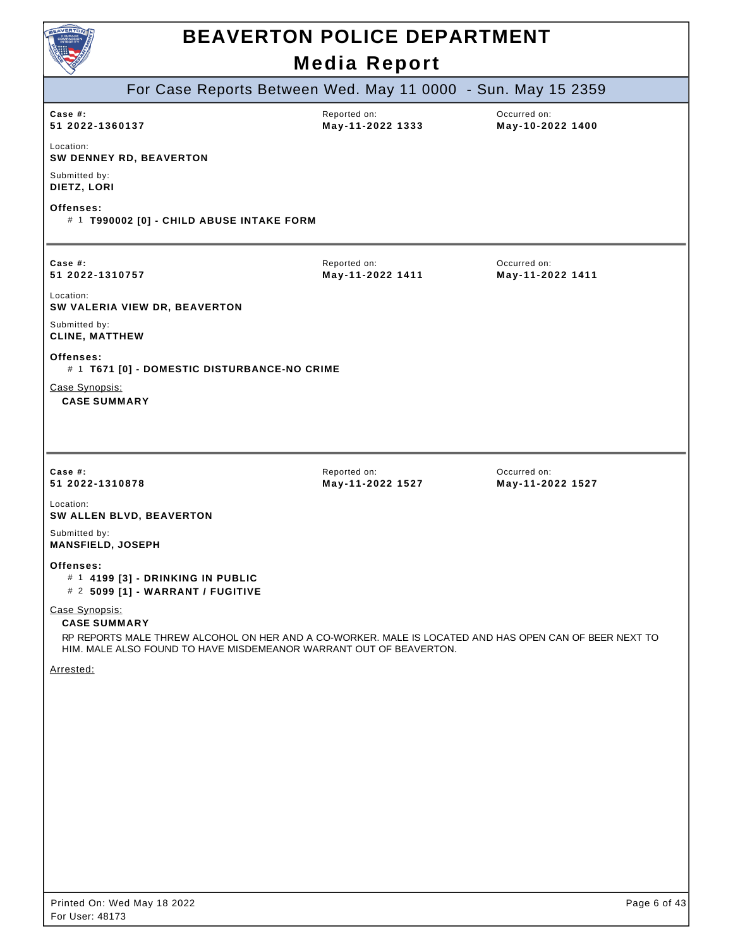| BEAVERTO                                                                                                                                                                                                              | <b>BEAVERTON POLICE DEPARTMENT</b><br><b>Media Report</b> |                                  |
|-----------------------------------------------------------------------------------------------------------------------------------------------------------------------------------------------------------------------|-----------------------------------------------------------|----------------------------------|
| For Case Reports Between Wed. May 11 0000 - Sun. May 15 2359                                                                                                                                                          |                                                           |                                  |
| Case #:<br>51 2022-1360137                                                                                                                                                                                            | Reported on:<br>May-11-2022 1333                          | Occurred on:<br>May-10-2022 1400 |
| Location:<br>SW DENNEY RD, BEAVERTON                                                                                                                                                                                  |                                                           |                                  |
| Submitted by:<br>DIETZ, LORI                                                                                                                                                                                          |                                                           |                                  |
| Offenses:<br># 1 T990002 [0] - CHILD ABUSE INTAKE FORM                                                                                                                                                                |                                                           |                                  |
| Case $#$ :<br>51 2022-1310757                                                                                                                                                                                         | Reported on:<br>May-11-2022 1411                          | Occurred on:<br>May-11-2022 1411 |
| Location:<br>SW VALERIA VIEW DR, BEAVERTON                                                                                                                                                                            |                                                           |                                  |
| Submitted by:<br><b>CLINE, MATTHEW</b>                                                                                                                                                                                |                                                           |                                  |
| Offenses:<br># 1 T671 [0] - DOMESTIC DISTURBANCE-NO CRIME                                                                                                                                                             |                                                           |                                  |
| Case Synopsis:<br><b>CASE SUMMARY</b>                                                                                                                                                                                 |                                                           |                                  |
|                                                                                                                                                                                                                       |                                                           |                                  |
| Case #:<br>51 2022-1310878                                                                                                                                                                                            | Reported on:<br>May-11-2022 1527                          | Occurred on:<br>May-11-2022 1527 |
| Location:<br>SW ALLEN BLVD, BEAVERTON                                                                                                                                                                                 |                                                           |                                  |
| Submitted by:<br><b>MANSFIELD, JOSEPH</b>                                                                                                                                                                             |                                                           |                                  |
| Offenses:<br># 1 4199 [3] - DRINKING IN PUBLIC<br># 2 5099 [1] - WARRANT / FUGITIVE                                                                                                                                   |                                                           |                                  |
| Case Synopsis:<br><b>CASE SUMMARY</b><br>RP REPORTS MALE THREW ALCOHOL ON HER AND A CO-WORKER. MALE IS LOCATED AND HAS OPEN CAN OF BEER NEXT TO<br>HIM. MALE ALSO FOUND TO HAVE MISDEMEANOR WARRANT OUT OF BEAVERTON. |                                                           |                                  |
| Arrested:                                                                                                                                                                                                             |                                                           |                                  |
|                                                                                                                                                                                                                       |                                                           |                                  |
|                                                                                                                                                                                                                       |                                                           |                                  |
|                                                                                                                                                                                                                       |                                                           |                                  |
|                                                                                                                                                                                                                       |                                                           |                                  |
|                                                                                                                                                                                                                       |                                                           |                                  |
|                                                                                                                                                                                                                       |                                                           |                                  |
|                                                                                                                                                                                                                       |                                                           |                                  |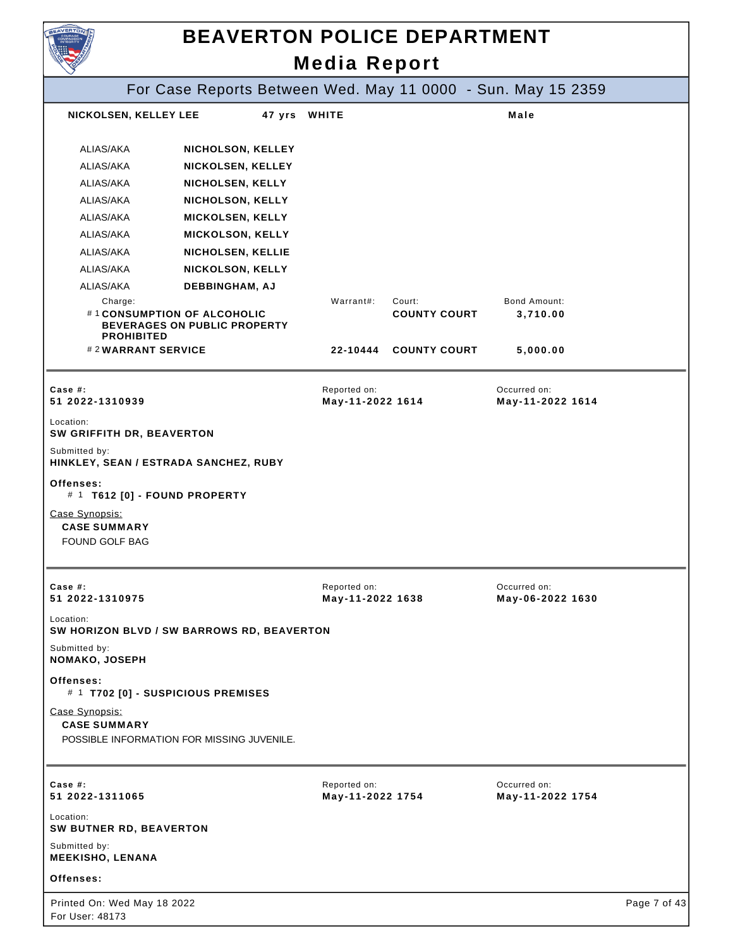| <b>NVERTO</b>                                           | <b>BEAVERTON POLICE DEPARTMENT</b>                                 |                                  |                               |                                  |              |
|---------------------------------------------------------|--------------------------------------------------------------------|----------------------------------|-------------------------------|----------------------------------|--------------|
|                                                         |                                                                    | <b>Media Report</b>              |                               |                                  |              |
|                                                         | For Case Reports Between Wed. May 11 0000 - Sun. May 15 2359       |                                  |                               |                                  |              |
| NICKOLSEN, KELLEY LEE                                   | 47 yrs WHITE                                                       |                                  |                               | Male                             |              |
| ALIAS/AKA                                               | NICHOLSON, KELLEY                                                  |                                  |                               |                                  |              |
| ALIAS/AKA                                               | <b>NICKOLSEN, KELLEY</b>                                           |                                  |                               |                                  |              |
| ALIAS/AKA                                               | NICHOLSEN, KELLY                                                   |                                  |                               |                                  |              |
| ALIAS/AKA                                               | NICHOLSON, KELLY                                                   |                                  |                               |                                  |              |
| ALIAS/AKA                                               | <b>MICKOLSEN, KELLY</b>                                            |                                  |                               |                                  |              |
| ALIAS/AKA                                               | <b>MICKOLSON, KELLY</b>                                            |                                  |                               |                                  |              |
| ALIAS/AKA                                               | NICHOLSEN, KELLIE                                                  |                                  |                               |                                  |              |
| ALIAS/AKA                                               | <b>NICKOLSON, KELLY</b>                                            |                                  |                               |                                  |              |
| ALIAS/AKA                                               | DEBBINGHAM, AJ                                                     |                                  |                               |                                  |              |
| Charge:<br><b>PROHIBITED</b>                            | #1 CONSUMPTION OF ALCOHOLIC<br><b>BEVERAGES ON PUBLIC PROPERTY</b> | Warrant#:                        | Court:<br><b>COUNTY COURT</b> | Bond Amount:<br>3,710.00         |              |
| #2WARRANT SERVICE                                       |                                                                    | 22-10444                         | <b>COUNTY COURT</b>           | 5,000.00                         |              |
| Case $#$ :<br>51 2022-1310939                           |                                                                    | Reported on:<br>May-11-2022 1614 |                               | Occurred on:<br>May-11-2022 1614 |              |
| Location:<br>SW GRIFFITH DR, BEAVERTON                  |                                                                    |                                  |                               |                                  |              |
| Submitted by:                                           |                                                                    |                                  |                               |                                  |              |
|                                                         | HINKLEY, SEAN / ESTRADA SANCHEZ, RUBY                              |                                  |                               |                                  |              |
| Offenses:                                               | # 1 T612 [0] - FOUND PROPERTY                                      |                                  |                               |                                  |              |
| Case Synopsis:<br><b>CASE SUMMARY</b><br>FOUND GOLF BAG |                                                                    |                                  |                               |                                  |              |
|                                                         |                                                                    |                                  |                               |                                  |              |
| Case $#$ :<br>51 2022-1310975                           |                                                                    | Reported on:<br>May-11-2022 1638 |                               | Occurred on:<br>May-06-2022 1630 |              |
| Location:                                               | SW HORIZON BLVD / SW BARROWS RD, BEAVERTON                         |                                  |                               |                                  |              |
| Submitted by:<br>NOMAKO, JOSEPH                         |                                                                    |                                  |                               |                                  |              |
| Offenses:                                               | # 1 T702 [0] - SUSPICIOUS PREMISES                                 |                                  |                               |                                  |              |
| Case Synopsis:<br><b>CASE SUMMARY</b>                   | POSSIBLE INFORMATION FOR MISSING JUVENILE.                         |                                  |                               |                                  |              |
|                                                         |                                                                    |                                  |                               |                                  |              |
| Case $#$ :<br>51 2022-1311065                           |                                                                    | Reported on:<br>May-11-2022 1754 |                               | Occurred on:<br>May-11-2022 1754 |              |
| Location:<br>SW BUTNER RD, BEAVERTON                    |                                                                    |                                  |                               |                                  |              |
| Submitted by:<br><b>MEEKISHO, LENANA</b>                |                                                                    |                                  |                               |                                  |              |
| Offenses:                                               |                                                                    |                                  |                               |                                  |              |
| Printed On: Wed May 18 2022<br>For User: 48173          |                                                                    |                                  |                               |                                  | Page 7 of 43 |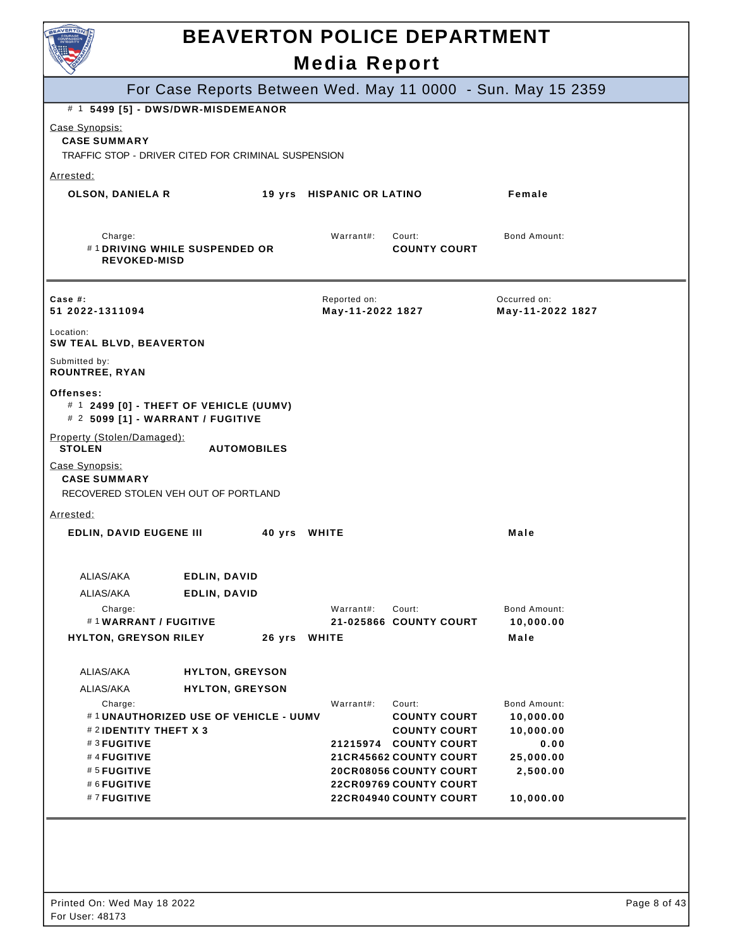| EAVERTON                                                                                     |                                      |        |                                  | <b>BEAVERTON POLICE DEPARTMENT</b>                      |                                                              |  |
|----------------------------------------------------------------------------------------------|--------------------------------------|--------|----------------------------------|---------------------------------------------------------|--------------------------------------------------------------|--|
|                                                                                              |                                      |        | <b>Media Report</b>              |                                                         |                                                              |  |
|                                                                                              |                                      |        |                                  |                                                         | For Case Reports Between Wed. May 11 0000 - Sun. May 15 2359 |  |
| # 1 5499 [5] - DWS/DWR-MISDEMEANOR                                                           |                                      |        |                                  |                                                         |                                                              |  |
| Case Synopsis:<br><b>CASE SUMMARY</b><br>TRAFFIC STOP - DRIVER CITED FOR CRIMINAL SUSPENSION |                                      |        |                                  |                                                         |                                                              |  |
| Arrested:                                                                                    |                                      |        |                                  |                                                         |                                                              |  |
| <b>OLSON, DANIELA R</b>                                                                      |                                      |        | 19 yrs HISPANIC OR LATINO        |                                                         | Female                                                       |  |
| Charge:<br><b>REVOKED-MISD</b>                                                               | #1 DRIVING WHILE SUSPENDED OR        |        | Warrant#:                        | Court:<br><b>COUNTY COURT</b>                           | Bond Amount:                                                 |  |
| Case $#$ :<br>51 2022-1311094                                                                |                                      |        | Reported on:<br>May-11-2022 1827 |                                                         | Occurred on:<br>May-11-2022 1827                             |  |
| Location:<br>SW TEAL BLVD, BEAVERTON                                                         |                                      |        |                                  |                                                         |                                                              |  |
| Submitted by:<br><b>ROUNTREE, RYAN</b>                                                       |                                      |        |                                  |                                                         |                                                              |  |
| Offenses:<br># 1 2499 [0] - THEFT OF VEHICLE (UUMV)<br># 2 5099 [1] - WARRANT / FUGITIVE     |                                      |        |                                  |                                                         |                                                              |  |
| Property (Stolen/Damaged):<br><b>STOLEN</b>                                                  | <b>AUTOMOBILES</b>                   |        |                                  |                                                         |                                                              |  |
| Case Synopsis:<br><b>CASE SUMMARY</b><br>RECOVERED STOLEN VEH OUT OF PORTLAND                |                                      |        |                                  |                                                         |                                                              |  |
| Arrested:                                                                                    |                                      |        |                                  |                                                         |                                                              |  |
| <b>EDLIN, DAVID EUGENE III</b>                                                               |                                      |        | 40 yrs WHITE                     |                                                         | Male                                                         |  |
| ALIAS/AKA                                                                                    | EDLIN, DAVID                         |        |                                  |                                                         |                                                              |  |
| ALIAS/AKA                                                                                    | EDLIN, DAVID                         |        |                                  |                                                         |                                                              |  |
| Charge:                                                                                      |                                      |        | Warrant#:                        | Court:                                                  | Bond Amount:                                                 |  |
| #1WARRANT / FUGITIVE                                                                         |                                      |        |                                  | 21-025866 COUNTY COURT                                  | 10,000.00                                                    |  |
| <b>HYLTON, GREYSON RILEY</b>                                                                 |                                      | 26 yrs | <b>WHITE</b>                     |                                                         | Male                                                         |  |
|                                                                                              |                                      |        |                                  |                                                         |                                                              |  |
| ALIAS/AKA                                                                                    | <b>HYLTON, GREYSON</b>               |        |                                  |                                                         |                                                              |  |
| ALIAS/AKA<br>Charge:                                                                         | <b>HYLTON, GREYSON</b>               |        | Warrant#:                        | Court:                                                  | Bond Amount:                                                 |  |
|                                                                                              | #1UNAUTHORIZED USE OF VEHICLE - UUMV |        |                                  | <b>COUNTY COURT</b>                                     | 10,000.00                                                    |  |
| #2IDENTITY THEFT X 3                                                                         |                                      |        |                                  | <b>COUNTY COURT</b>                                     | 10,000.00                                                    |  |
| #3 FUGITIVE                                                                                  |                                      |        |                                  | 21215974 COUNTY COURT                                   | 0.00                                                         |  |
| #4 FUGITIVE                                                                                  |                                      |        |                                  | <b>21CR45662 COUNTY COURT</b>                           | 25,000.00                                                    |  |
| #5 FUGITIVE<br>#6FUGITIVE                                                                    |                                      |        |                                  | 20CR08056 COUNTY COURT<br><b>22CR09769 COUNTY COURT</b> | 2,500.00                                                     |  |
| #7 FUGITIVE                                                                                  |                                      |        |                                  | 22CR04940 COUNTY COURT                                  | 10,000.00                                                    |  |
|                                                                                              |                                      |        |                                  |                                                         |                                                              |  |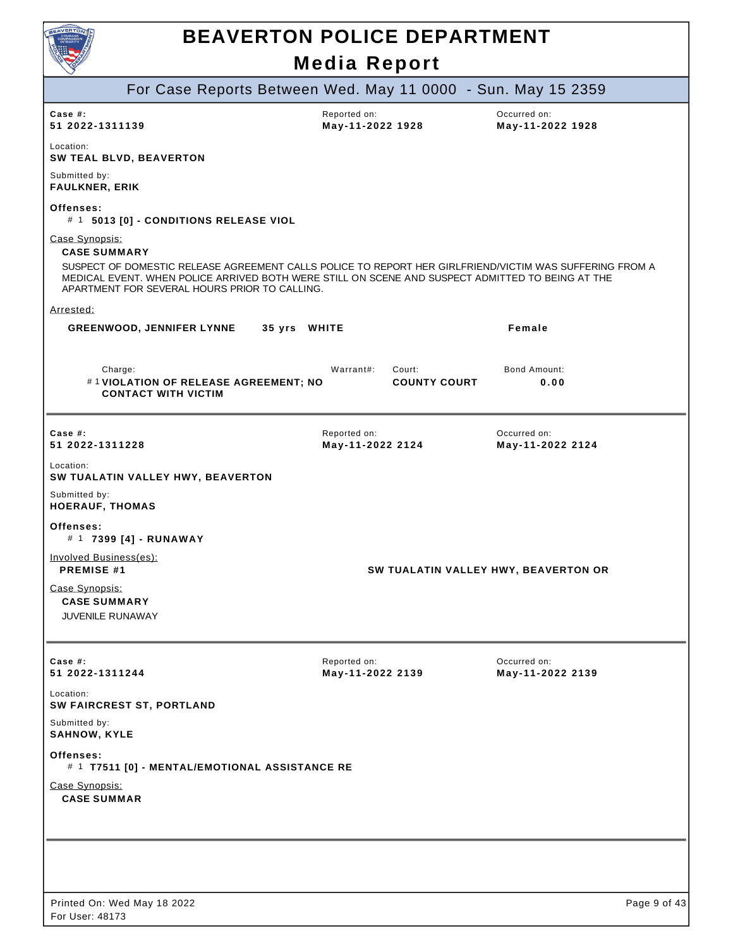

| For Case Reports Between Wed. May 11 0000 - Sun. May 15 2359                                                                                                                                                                                                 |                                            |                                      |
|--------------------------------------------------------------------------------------------------------------------------------------------------------------------------------------------------------------------------------------------------------------|--------------------------------------------|--------------------------------------|
| Case #:<br>51 2022-1311139                                                                                                                                                                                                                                   | Reported on:<br>May-11-2022 1928           | Occurred on:<br>May-11-2022 1928     |
| Location:<br><b>SW TEAL BLVD, BEAVERTON</b>                                                                                                                                                                                                                  |                                            |                                      |
| Submitted by:<br><b>FAULKNER, ERIK</b>                                                                                                                                                                                                                       |                                            |                                      |
| Offenses:<br># 1 5013 [0] - CONDITIONS RELEASE VIOL                                                                                                                                                                                                          |                                            |                                      |
| Case Synopsis:<br><b>CASE SUMMARY</b>                                                                                                                                                                                                                        |                                            |                                      |
| SUSPECT OF DOMESTIC RELEASE AGREEMENT CALLS POLICE TO REPORT HER GIRLFRIEND/VICTIM WAS SUFFERING FROM A<br>MEDICAL EVENT. WHEN POLICE ARRIVED BOTH WERE STILL ON SCENE AND SUSPECT ADMITTED TO BEING AT THE<br>APARTMENT FOR SEVERAL HOURS PRIOR TO CALLING. |                                            |                                      |
| Arrested:                                                                                                                                                                                                                                                    |                                            |                                      |
| <b>GREENWOOD, JENNIFER LYNNE</b><br>35 yrs WHITE                                                                                                                                                                                                             |                                            | Female                               |
| Charge:<br>#1 VIOLATION OF RELEASE AGREEMENT; NO<br><b>CONTACT WITH VICTIM</b>                                                                                                                                                                               | Warrant#:<br>Court:<br><b>COUNTY COURT</b> | <b>Bond Amount:</b><br>0.00          |
| Case $#$ :<br>51 2022-1311228                                                                                                                                                                                                                                | Reported on:<br>May-11-2022 2124           | Occurred on:<br>May-11-2022 2124     |
| Location:<br>SW TUALATIN VALLEY HWY, BEAVERTON                                                                                                                                                                                                               |                                            |                                      |
| Submitted by:<br><b>HOERAUF, THOMAS</b>                                                                                                                                                                                                                      |                                            |                                      |
| Offenses:<br># 1 7399 [4] - RUNAWAY                                                                                                                                                                                                                          |                                            |                                      |
| Involved Business(es):<br><b>PREMISE #1</b>                                                                                                                                                                                                                  |                                            | SW TUALATIN VALLEY HWY, BEAVERTON OR |
| Case Synopsis:<br><b>CASE SUMMARY</b>                                                                                                                                                                                                                        |                                            |                                      |
| JUVENILE RUNAWAY                                                                                                                                                                                                                                             |                                            |                                      |
| Case #:<br>51 2022-1311244                                                                                                                                                                                                                                   | Reported on:<br>May-11-2022 2139           | Occurred on:<br>May-11-2022 2139     |
| Location:<br>SW FAIRCREST ST, PORTLAND                                                                                                                                                                                                                       |                                            |                                      |
| Submitted by:<br><b>SAHNOW, KYLE</b>                                                                                                                                                                                                                         |                                            |                                      |
| Offenses:<br># 1 T7511 [0] - MENTAL/EMOTIONAL ASSISTANCE RE                                                                                                                                                                                                  |                                            |                                      |
| Case Synopsis:<br><b>CASE SUMMAR</b>                                                                                                                                                                                                                         |                                            |                                      |
|                                                                                                                                                                                                                                                              |                                            |                                      |
|                                                                                                                                                                                                                                                              |                                            |                                      |
|                                                                                                                                                                                                                                                              |                                            |                                      |
|                                                                                                                                                                                                                                                              |                                            |                                      |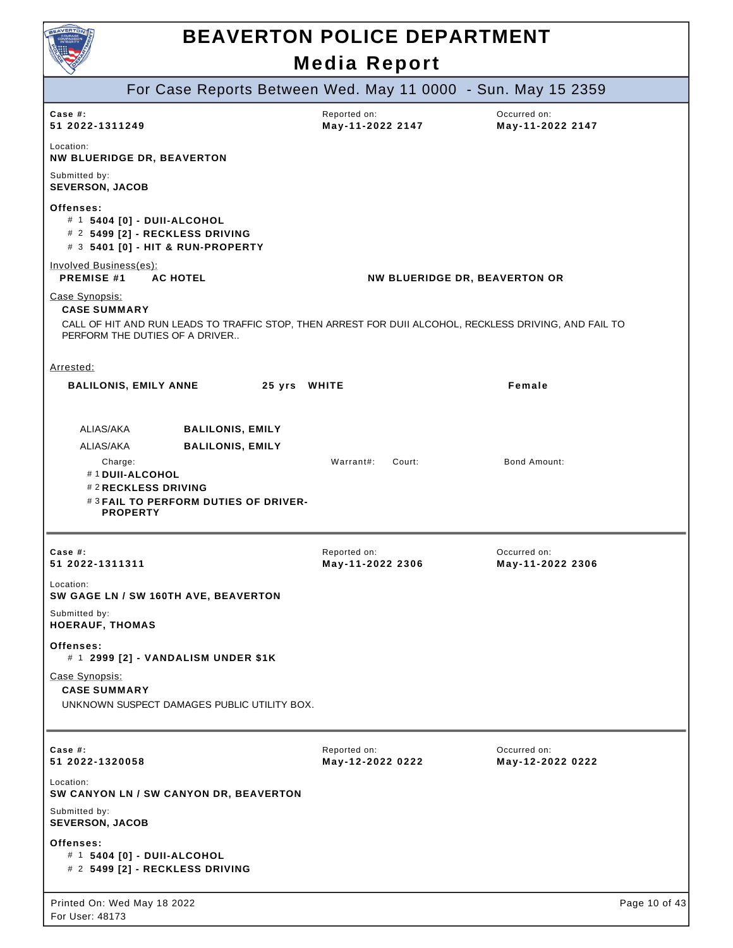

|                                                                                                |                                                                                            | MCAIA RCPOIL                     |                                                                                                        |
|------------------------------------------------------------------------------------------------|--------------------------------------------------------------------------------------------|----------------------------------|--------------------------------------------------------------------------------------------------------|
|                                                                                                | For Case Reports Between Wed. May 11 0000 - Sun. May 15 2359                               |                                  |                                                                                                        |
| Case $#$ :<br>51 2022-1311249                                                                  |                                                                                            | Reported on:<br>May-11-2022 2147 | Occurred on:<br>May-11-2022 2147                                                                       |
| Location:<br><b>NW BLUERIDGE DR, BEAVERTON</b>                                                 |                                                                                            |                                  |                                                                                                        |
| Submitted by:<br><b>SEVERSON, JACOB</b>                                                        |                                                                                            |                                  |                                                                                                        |
| Offenses:<br># 1 5404 [0] - DUII-ALCOHOL                                                       | # 2 5499 [2] - RECKLESS DRIVING<br># 3 5401 [0] - HIT & RUN-PROPERTY                       |                                  |                                                                                                        |
| Involved Business(es):<br><b>PREMISE #1</b>                                                    | <b>AC HOTEL</b>                                                                            |                                  | <b>NW BLUERIDGE DR, BEAVERTON OR</b>                                                                   |
| Case Synopsis:<br><b>CASE SUMMARY</b><br>PERFORM THE DUTIES OF A DRIVER                        |                                                                                            |                                  | CALL OF HIT AND RUN LEADS TO TRAFFIC STOP, THEN ARREST FOR DUII ALCOHOL, RECKLESS DRIVING, AND FAIL TO |
| Arrested:                                                                                      |                                                                                            |                                  |                                                                                                        |
| <b>BALILONIS, EMILY ANNE</b>                                                                   | 25 yrs WHITE                                                                               |                                  | Female                                                                                                 |
| ALIAS/AKA<br>ALIAS/AKA<br>Charge:<br>#1 DUII-ALCOHOL<br>#2 RECKLESS DRIVING<br><b>PROPERTY</b> | <b>BALILONIS, EMILY</b><br><b>BALILONIS, EMILY</b><br>#3 FAIL TO PERFORM DUTIES OF DRIVER- | Warrant#:<br>Court:              | <b>Bond Amount:</b>                                                                                    |
| Case $#$ :<br>51 2022-1311311                                                                  |                                                                                            | Reported on:<br>May-11-2022 2306 | Occurred on:<br>May-11-2022 2306                                                                       |
| Location:                                                                                      | SW GAGE LN / SW 160TH AVE, BEAVERTON                                                       |                                  |                                                                                                        |
| Submitted by:<br><b>HOERAUF, THOMAS</b>                                                        |                                                                                            |                                  |                                                                                                        |
| Offenses:                                                                                      | # 1 2999 [2] - VANDALISM UNDER \$1K                                                        |                                  |                                                                                                        |
| Case Synopsis:<br><b>CASE SUMMARY</b>                                                          | UNKNOWN SUSPECT DAMAGES PUBLIC UTILITY BOX.                                                |                                  |                                                                                                        |
| Case $#$ :<br>51 2022-1320058                                                                  |                                                                                            | Reported on:<br>May-12-2022 0222 | Occurred on:<br>May-12-2022 0222                                                                       |
| Location:                                                                                      | SW CANYON LN / SW CANYON DR, BEAVERTON                                                     |                                  |                                                                                                        |
| Submitted by:<br><b>SEVERSON, JACOB</b>                                                        |                                                                                            |                                  |                                                                                                        |
| Offenses:<br># 1 5404 [0] - DUII-ALCOHOL                                                       | # 2 5499 [2] - RECKLESS DRIVING                                                            |                                  |                                                                                                        |
| Printed On: Wed May 18 2022<br>For User: 48173                                                 |                                                                                            |                                  | Page 10 of 43                                                                                          |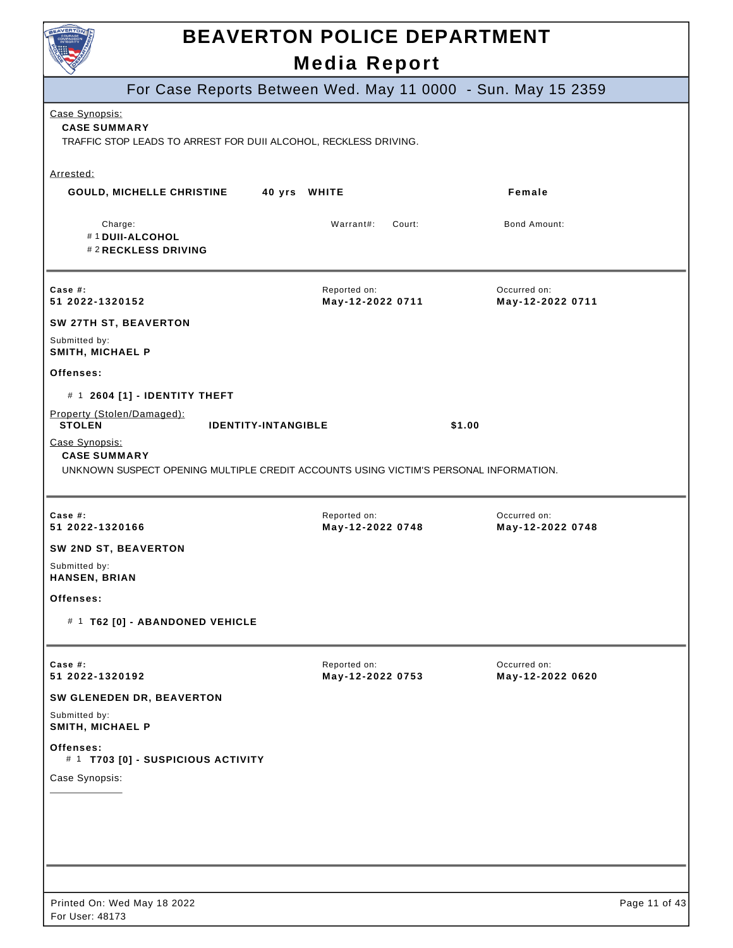

|                                                                | <b>INCAIA REPOIL</b>                                                                  |                                  |
|----------------------------------------------------------------|---------------------------------------------------------------------------------------|----------------------------------|
|                                                                | For Case Reports Between Wed. May 11 0000 - Sun. May 15 2359                          |                                  |
| Case Synopsis:<br><b>CASE SUMMARY</b>                          | TRAFFIC STOP LEADS TO ARREST FOR DUII ALCOHOL, RECKLESS DRIVING.                      |                                  |
| Arrested:                                                      |                                                                                       |                                  |
| <b>GOULD, MICHELLE CHRISTINE</b>                               | 40 yrs WHITE                                                                          | Female                           |
| Charge:<br>#1 DUII-ALCOHOL<br>#2 RECKLESS DRIVING              | Warrant#:<br>Court:                                                                   | Bond Amount:                     |
| Case $#$ :<br>51 2022-1320152                                  | Reported on:<br>May-12-2022 0711                                                      | Occurred on:<br>May-12-2022 0711 |
| SW 27TH ST, BEAVERTON                                          |                                                                                       |                                  |
| Submitted by:<br>SMITH, MICHAEL P                              |                                                                                       |                                  |
| Offenses:                                                      |                                                                                       |                                  |
| # 1 2604 [1] - IDENTITY THEFT                                  |                                                                                       |                                  |
| Property (Stolen/Damaged):<br><b>STOLEN</b>                    | <b>IDENTITY-INTANGIBLE</b>                                                            | \$1.00                           |
| Case Synopsis:<br><b>CASE SUMMARY</b>                          | UNKNOWN SUSPECT OPENING MULTIPLE CREDIT ACCOUNTS USING VICTIM'S PERSONAL INFORMATION. |                                  |
| Case #:<br>51 2022-1320166                                     | Reported on:<br>May-12-2022 0748                                                      | Occurred on:<br>May-12-2022 0748 |
| SW 2ND ST, BEAVERTON                                           |                                                                                       |                                  |
| Submitted by:<br>HANSEN, BRIAN                                 |                                                                                       |                                  |
| Offenses:                                                      |                                                                                       |                                  |
| # 1 T62 [0] - ABANDONED VEHICLE                                |                                                                                       |                                  |
| Case #:                                                        | Reported on:                                                                          | Occurred on:                     |
| 51 2022-1320192                                                | May-12-2022 0753                                                                      | May-12-2022 0620                 |
| SW GLENEDEN DR, BEAVERTON<br>Submitted by:<br>SMITH, MICHAEL P |                                                                                       |                                  |
| Offenses:<br># 1 T703 [0] - SUSPICIOUS ACTIVITY                |                                                                                       |                                  |
| Case Synopsis:                                                 |                                                                                       |                                  |
|                                                                |                                                                                       |                                  |
|                                                                |                                                                                       |                                  |
|                                                                |                                                                                       |                                  |
|                                                                |                                                                                       |                                  |
|                                                                |                                                                                       |                                  |
| Printed On: Wed May 18 2022<br>For User: 48173                 |                                                                                       | Page 11 of 43                    |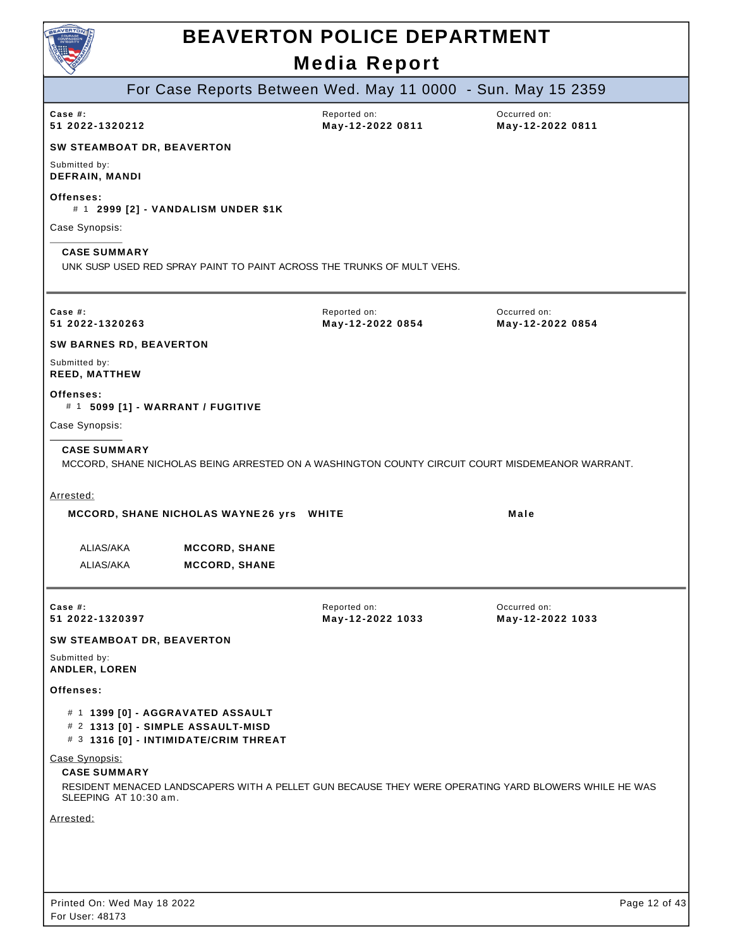

|                                                                                                                  | For Case Reports Between Wed. May 11 0000 - Sun. May 15 2359                                         |                                  |
|------------------------------------------------------------------------------------------------------------------|------------------------------------------------------------------------------------------------------|----------------------------------|
| Case $#$ :<br>51 2022-1320212                                                                                    | Reported on:<br>May-12-2022 0811                                                                     | Occurred on:<br>May-12-2022 0811 |
| SW STEAMBOAT DR, BEAVERTON                                                                                       |                                                                                                      |                                  |
| Submitted by:<br><b>DEFRAIN, MANDI</b>                                                                           |                                                                                                      |                                  |
| Offenses:<br># 1 2999 [2] - VANDALISM UNDER \$1K                                                                 |                                                                                                      |                                  |
| Case Synopsis:                                                                                                   |                                                                                                      |                                  |
| <b>CASE SUMMARY</b>                                                                                              | UNK SUSP USED RED SPRAY PAINT TO PAINT ACROSS THE TRUNKS OF MULT VEHS.                               |                                  |
| Case #:<br>51 2022-1320263                                                                                       | Reported on:<br>May-12-2022 0854                                                                     | Occurred on:<br>May-12-2022 0854 |
| <b>SW BARNES RD, BEAVERTON</b>                                                                                   |                                                                                                      |                                  |
| Submitted by:<br><b>REED, MATTHEW</b>                                                                            |                                                                                                      |                                  |
| Offenses:<br># 1 5099 [1] - WARRANT / FUGITIVE                                                                   |                                                                                                      |                                  |
| Case Synopsis:                                                                                                   |                                                                                                      |                                  |
| <b>CASE SUMMARY</b>                                                                                              | MCCORD, SHANE NICHOLAS BEING ARRESTED ON A WASHINGTON COUNTY CIRCUIT COURT MISDEMEANOR WARRANT.      |                                  |
| Arrested:                                                                                                        |                                                                                                      |                                  |
| MCCORD, SHANE NICHOLAS WAYNE 26 yrs WHITE                                                                        |                                                                                                      | Male                             |
| ALIAS/AKA<br><b>MCCORD, SHANE</b><br>ALIAS/AKA<br><b>MCCORD, SHANE</b>                                           |                                                                                                      |                                  |
| Case $#$ :<br>51 2022-1320397                                                                                    | Reported on:<br>May-12-2022 1033                                                                     | Occurred on:<br>May-12-2022 1033 |
| SW STEAMBOAT DR, BEAVERTON<br>Submitted by:                                                                      |                                                                                                      |                                  |
| ANDLER, LOREN<br>Offenses:                                                                                       |                                                                                                      |                                  |
| # 1 1399 [0] - AGGRAVATED ASSAULT<br># 2 1313 [0] - SIMPLE ASSAULT-MISD<br># 3 1316 [0] - INTIMIDATE/CRIM THREAT |                                                                                                      |                                  |
| Case Synopsis:<br><b>CASE SUMMARY</b><br>SLEEPING AT 10:30 am.                                                   | RESIDENT MENACED LANDSCAPERS WITH A PELLET GUN BECAUSE THEY WERE OPERATING YARD BLOWERS WHILE HE WAS |                                  |
| Arrested:                                                                                                        |                                                                                                      |                                  |
|                                                                                                                  |                                                                                                      |                                  |
|                                                                                                                  |                                                                                                      |                                  |
| Printed On: Wed May 18 2022<br>For User: 48173                                                                   |                                                                                                      | Page 12 of 43                    |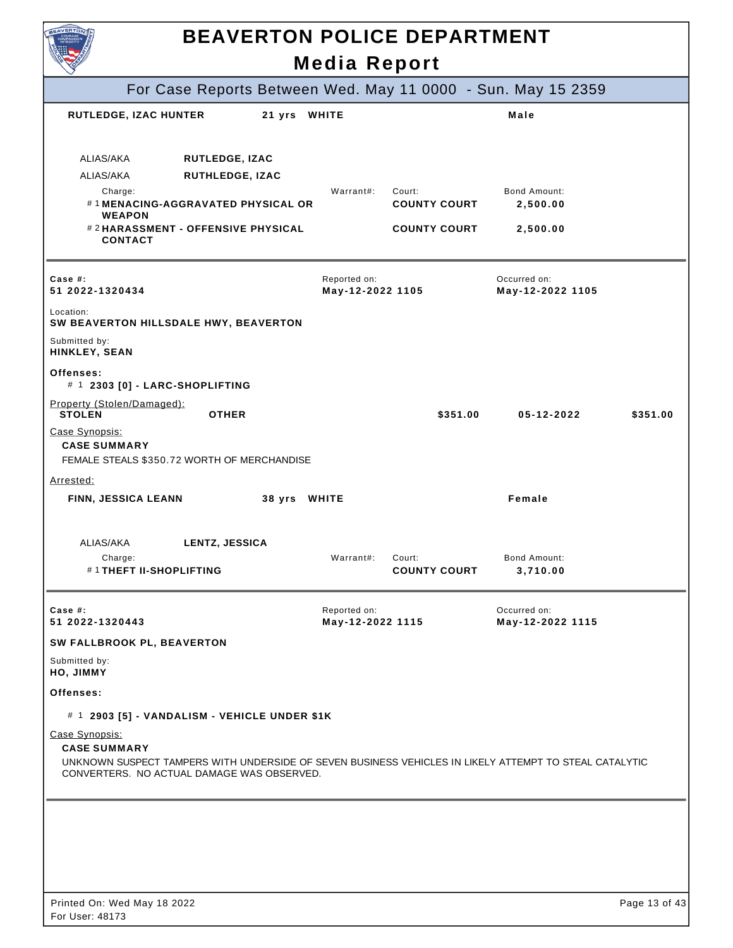|                                                                                                                                                 | <b>BEAVERTON POLICE DEPARTMENT</b> |                               |                                  |               |
|-------------------------------------------------------------------------------------------------------------------------------------------------|------------------------------------|-------------------------------|----------------------------------|---------------|
|                                                                                                                                                 | <b>Media Report</b>                |                               |                                  |               |
| For Case Reports Between Wed. May 11 0000 - Sun. May 15 2359                                                                                    |                                    |                               |                                  |               |
| RUTLEDGE, IZAC HUNTER                                                                                                                           | 21 yrs WHITE                       |                               | Male                             |               |
| ALIAS/AKA<br>RUTLEDGE, IZAC<br>ALIAS/AKA<br>RUTHLEDGE, IZAC<br>Charge:<br>#1MENACING-AGGRAVATED PHYSICAL OR<br><b>WEAPON</b>                    | Warrant#:                          | Court:<br><b>COUNTY COURT</b> | Bond Amount:<br>2,500.00         |               |
| #2HARASSMENT - OFFENSIVE PHYSICAL<br><b>CONTACT</b>                                                                                             |                                    | <b>COUNTY COURT</b>           | 2,500.00                         |               |
| Case #:<br>51 2022-1320434                                                                                                                      | Reported on:<br>May-12-2022 1105   |                               | Occurred on:<br>May-12-2022 1105 |               |
| Location:<br>SW BEAVERTON HILLSDALE HWY, BEAVERTON                                                                                              |                                    |                               |                                  |               |
| Submitted by:<br>HINKLEY, SEAN                                                                                                                  |                                    |                               |                                  |               |
| Offenses:<br># 1 2303 [0] - LARC-SHOPLIFTING                                                                                                    |                                    |                               |                                  |               |
| Property (Stolen/Damaged):<br><b>STOLEN</b><br><b>OTHER</b>                                                                                     |                                    | \$351.00                      | 05-12-2022                       | \$351.00      |
| Case Synopsis:<br><b>CASE SUMMARY</b><br>FEMALE STEALS \$350.72 WORTH OF MERCHANDISE                                                            |                                    |                               |                                  |               |
| Arrested:<br>FINN, JESSICA LEANN                                                                                                                | 38 yrs WHITE                       |                               | Female                           |               |
| ALIAS/AKA<br>LENTZ, JESSICA                                                                                                                     | Warrant#:                          |                               | Bond Amount:                     |               |
| Charge:<br>#1THEFT II-SHOPLIFTING                                                                                                               |                                    | Court:<br><b>COUNTY COURT</b> | 3,710.00                         |               |
| Case $#$ :<br>51 2022-1320443                                                                                                                   | Reported on:<br>May-12-2022 1115   |                               | Occurred on:<br>May-12-2022 1115 |               |
| SW FALLBROOK PL, BEAVERTON                                                                                                                      |                                    |                               |                                  |               |
| Submitted by:<br>HO, JIMMY                                                                                                                      |                                    |                               |                                  |               |
| Offenses:                                                                                                                                       |                                    |                               |                                  |               |
| # 1 2903 [5] - VANDALISM - VEHICLE UNDER \$1K                                                                                                   |                                    |                               |                                  |               |
| Case Synopsis:<br><b>CASE SUMMARY</b><br>UNKNOWN SUSPECT TAMPERS WITH UNDERSIDE OF SEVEN BUSINESS VEHICLES IN LIKELY ATTEMPT TO STEAL CATALYTIC |                                    |                               |                                  |               |
| CONVERTERS. NO ACTUAL DAMAGE WAS OBSERVED.                                                                                                      |                                    |                               |                                  |               |
|                                                                                                                                                 |                                    |                               |                                  |               |
|                                                                                                                                                 |                                    |                               |                                  |               |
|                                                                                                                                                 |                                    |                               |                                  |               |
| Printed On: Wed May 18 2022                                                                                                                     |                                    |                               |                                  | Page 13 of 43 |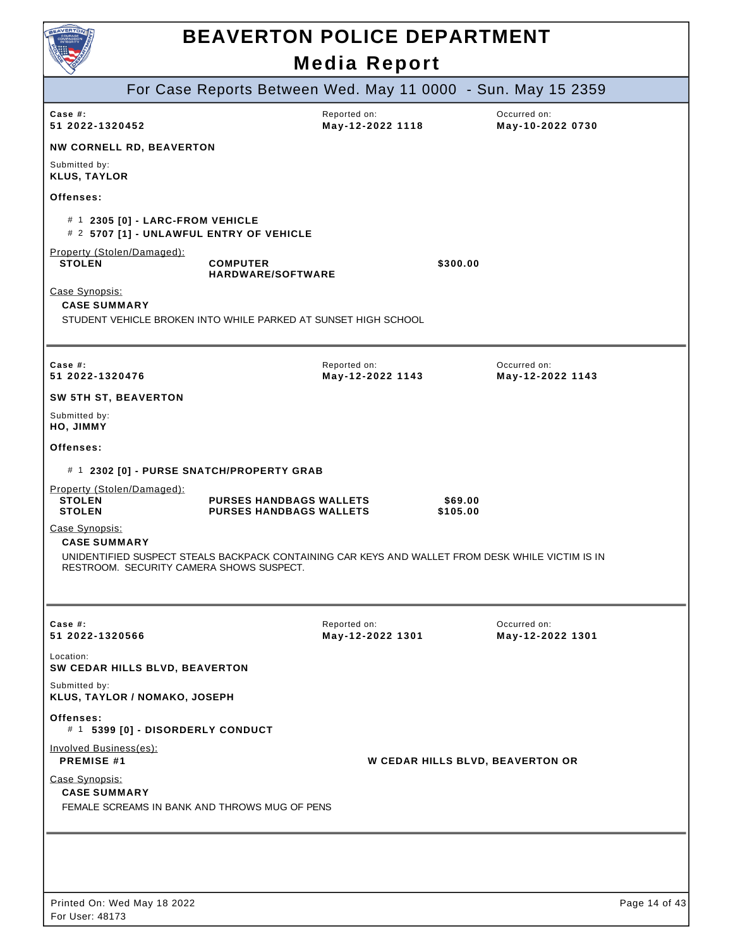| BEAVERTO                                                                                                                                     | <b>BEAVERTON POLICE DEPARTMENT</b>                               | <b>Media Report</b>              |                     |                                  |               |
|----------------------------------------------------------------------------------------------------------------------------------------------|------------------------------------------------------------------|----------------------------------|---------------------|----------------------------------|---------------|
|                                                                                                                                              | For Case Reports Between Wed. May 11 0000 - Sun. May 15 2359     |                                  |                     |                                  |               |
| Case $#$ :<br>51 2022-1320452                                                                                                                |                                                                  | Reported on:<br>May-12-2022 1118 |                     | Occurred on:<br>May-10-2022 0730 |               |
| <b>NW CORNELL RD, BEAVERTON</b>                                                                                                              |                                                                  |                                  |                     |                                  |               |
| Submitted by:<br><b>KLUS, TAYLOR</b>                                                                                                         |                                                                  |                                  |                     |                                  |               |
| Offenses:                                                                                                                                    |                                                                  |                                  |                     |                                  |               |
| # 1 2305 [0] - LARC-FROM VEHICLE<br># 2 5707 [1] - UNLAWFUL ENTRY OF VEHICLE                                                                 |                                                                  |                                  |                     |                                  |               |
| Property (Stolen/Damaged):<br><b>STOLEN</b>                                                                                                  | <b>COMPUTER</b><br><b>HARDWARE/SOFTWARE</b>                      |                                  | \$300.00            |                                  |               |
| Case Synopsis:<br><b>CASE SUMMARY</b><br>STUDENT VEHICLE BROKEN INTO WHILE PARKED AT SUNSET HIGH SCHOOL                                      |                                                                  |                                  |                     |                                  |               |
| Case #:<br>51 2022-1320476                                                                                                                   |                                                                  | Reported on:<br>May-12-2022 1143 |                     | Occurred on:<br>May-12-2022 1143 |               |
| <b>SW 5TH ST, BEAVERTON</b>                                                                                                                  |                                                                  |                                  |                     |                                  |               |
| Submitted by:<br>HO, JIMMY                                                                                                                   |                                                                  |                                  |                     |                                  |               |
| Offenses:                                                                                                                                    |                                                                  |                                  |                     |                                  |               |
| # 1 2302 [0] - PURSE SNATCH/PROPERTY GRAB                                                                                                    |                                                                  |                                  |                     |                                  |               |
| Property (Stolen/Damaged):<br><b>STOLEN</b><br><b>STOLEN</b>                                                                                 | <b>PURSES HANDBAGS WALLETS</b><br><b>PURSES HANDBAGS WALLETS</b> |                                  | \$69.00<br>\$105.00 |                                  |               |
| Case Synopsis:<br><b>CASE SUMMARY</b>                                                                                                        |                                                                  |                                  |                     |                                  |               |
| UNIDENTIFIED SUSPECT STEALS BACKPACK CONTAINING CAR KEYS AND WALLET FROM DESK WHILE VICTIM IS IN<br>RESTROOM. SECURITY CAMERA SHOWS SUSPECT. |                                                                  |                                  |                     |                                  |               |
|                                                                                                                                              |                                                                  |                                  |                     |                                  |               |
| Case #:<br>51 2022-1320566                                                                                                                   |                                                                  | Reported on:<br>May-12-2022 1301 |                     | Occurred on:<br>May-12-2022 1301 |               |
| Location:<br>SW CEDAR HILLS BLVD, BEAVERTON                                                                                                  |                                                                  |                                  |                     |                                  |               |
| Submitted by:<br>KLUS, TAYLOR / NOMAKO, JOSEPH                                                                                               |                                                                  |                                  |                     |                                  |               |
| Offenses:<br># 1 5399 [0] - DISORDERLY CONDUCT                                                                                               |                                                                  |                                  |                     |                                  |               |
| Involved Business(es):<br><b>PREMISE #1</b>                                                                                                  |                                                                  |                                  |                     | W CEDAR HILLS BLVD, BEAVERTON OR |               |
| Case Synopsis:<br><b>CASE SUMMARY</b><br>FEMALE SCREAMS IN BANK AND THROWS MUG OF PENS                                                       |                                                                  |                                  |                     |                                  |               |
|                                                                                                                                              |                                                                  |                                  |                     |                                  |               |
|                                                                                                                                              |                                                                  |                                  |                     |                                  |               |
| Printed On: Wed May 18 2022                                                                                                                  |                                                                  |                                  |                     |                                  | Page 14 of 43 |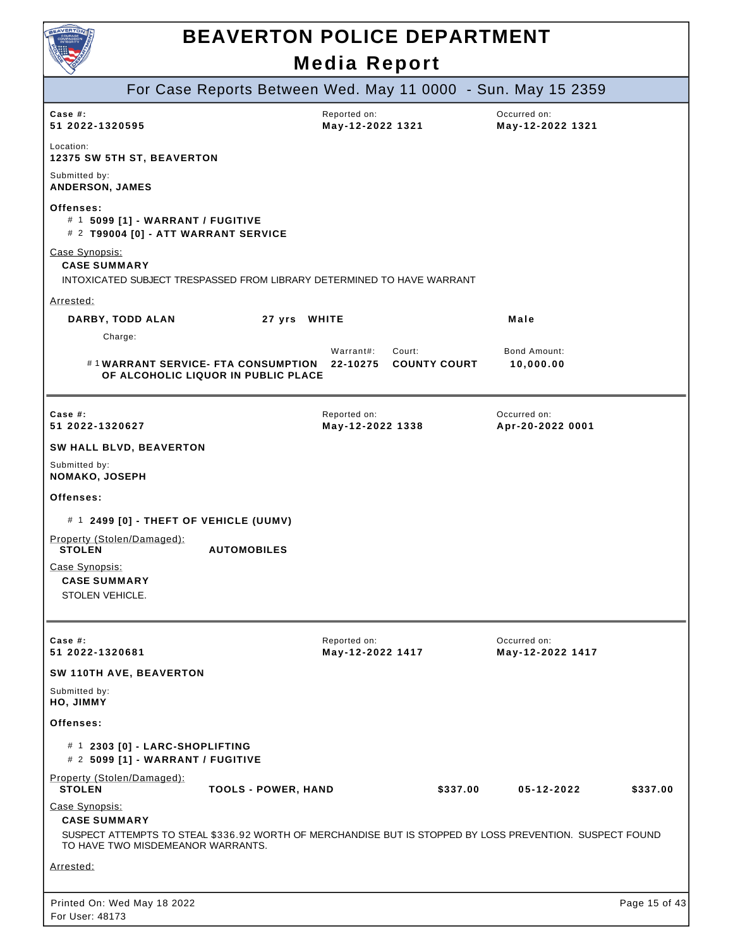

| $\tilde{\phantom{a}}$                                                                                                                         | For Case Reports Between Wed. May 11 0000 - Sun. May 15 2359              |                                  |                     |                                  |               |
|-----------------------------------------------------------------------------------------------------------------------------------------------|---------------------------------------------------------------------------|----------------------------------|---------------------|----------------------------------|---------------|
|                                                                                                                                               |                                                                           |                                  |                     |                                  |               |
| Case #:<br>51 2022-1320595                                                                                                                    |                                                                           | Reported on:<br>May-12-2022 1321 |                     | Occurred on:<br>May-12-2022 1321 |               |
| Location:<br><b>12375 SW 5TH ST, BEAVERTON</b>                                                                                                |                                                                           |                                  |                     |                                  |               |
| Submitted by:<br>ANDERSON, JAMES                                                                                                              |                                                                           |                                  |                     |                                  |               |
| Offenses:<br># 1 5099 [1] - WARRANT / FUGITIVE<br># 2 T99004 [0] - ATT WARRANT SERVICE                                                        |                                                                           |                                  |                     |                                  |               |
| Case Synopsis:<br><b>CASE SUMMARY</b><br>INTOXICATED SUBJECT TRESPASSED FROM LIBRARY DETERMINED TO HAVE WARRANT                               |                                                                           |                                  |                     |                                  |               |
| Arrested:                                                                                                                                     |                                                                           |                                  |                     |                                  |               |
| DARBY, TODD ALAN                                                                                                                              | 27 yrs WHITE                                                              |                                  |                     | Male                             |               |
| Charge:                                                                                                                                       |                                                                           | Warrant#:<br>Court:              |                     | <b>Bond Amount:</b>              |               |
|                                                                                                                                               | #1WARRANT SERVICE- FTA CONSUMPTION<br>OF ALCOHOLIC LIQUOR IN PUBLIC PLACE | 22-10275                         | <b>COUNTY COURT</b> | 10,000.00                        |               |
| Case #:<br>51 2022-1320627                                                                                                                    |                                                                           | Reported on:<br>May-12-2022 1338 |                     | Occurred on:<br>Apr-20-2022 0001 |               |
| <b>SW HALL BLVD, BEAVERTON</b>                                                                                                                |                                                                           |                                  |                     |                                  |               |
| Submitted by:<br>NOMAKO, JOSEPH                                                                                                               |                                                                           |                                  |                     |                                  |               |
| Offenses:                                                                                                                                     |                                                                           |                                  |                     |                                  |               |
| # 1 2499 [0] - THEFT OF VEHICLE (UUMV)                                                                                                        |                                                                           |                                  |                     |                                  |               |
| Property (Stolen/Damaged):<br><b>STOLEN</b>                                                                                                   | <b>AUTOMOBILES</b>                                                        |                                  |                     |                                  |               |
| Case Synopsis:                                                                                                                                |                                                                           |                                  |                     |                                  |               |
| <b>CASE SUMMARY</b>                                                                                                                           |                                                                           |                                  |                     |                                  |               |
| STOLEN VEHICLE.                                                                                                                               |                                                                           |                                  |                     |                                  |               |
|                                                                                                                                               |                                                                           |                                  |                     |                                  |               |
| Case #:<br>51 2022-1320681                                                                                                                    |                                                                           | Reported on:<br>May-12-2022 1417 |                     | Occurred on:<br>May-12-2022 1417 |               |
| SW 110TH AVE, BEAVERTON                                                                                                                       |                                                                           |                                  |                     |                                  |               |
| Submitted by:<br>HO, JIMMY                                                                                                                    |                                                                           |                                  |                     |                                  |               |
| Offenses:                                                                                                                                     |                                                                           |                                  |                     |                                  |               |
| # 1 2303 [0] - LARC-SHOPLIFTING<br># 2 5099 [1] - WARRANT / FUGITIVE                                                                          |                                                                           |                                  |                     |                                  |               |
| Property (Stolen/Damaged):<br><b>STOLEN</b>                                                                                                   | <b>TOOLS - POWER, HAND</b>                                                |                                  | \$337.00            | 05-12-2022                       | \$337.00      |
| Case Synopsis:<br><b>CASE SUMMARY</b>                                                                                                         |                                                                           |                                  |                     |                                  |               |
| SUSPECT ATTEMPTS TO STEAL \$336.92 WORTH OF MERCHANDISE BUT IS STOPPED BY LOSS PREVENTION. SUSPECT FOUND<br>TO HAVE TWO MISDEMEANOR WARRANTS. |                                                                           |                                  |                     |                                  |               |
| Arrested:                                                                                                                                     |                                                                           |                                  |                     |                                  |               |
|                                                                                                                                               |                                                                           |                                  |                     |                                  |               |
| Printed On: Wed May 18 2022<br>For User: 48173                                                                                                |                                                                           |                                  |                     |                                  | Page 15 of 43 |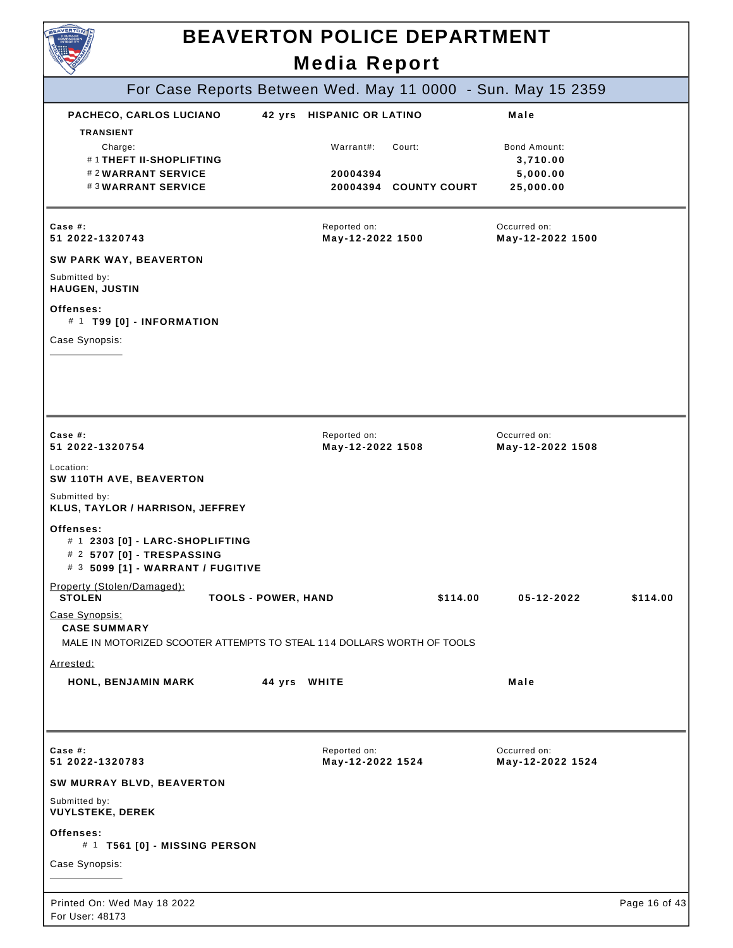

# **BEAVERTON POLICE DEPARTMENT**

**Media Report** For Case Reports Between Wed. May 11 0000 - Sun. May 15 2359 Printed On: Wed May 18 2022 For User: 48173 Page 16 of 43 **PACHECO, CARLOS LUCIANO 42 yrs HISPANIC OR LATINO Male TRANSIENT** Charge: Warrant#: Court: Bond Amount: # 1 **THEFT II-SHOPLIFTING 3,710.00** # 2 **WARRANT SERVICE 20004394 5,000.00** # 3 **WARRANT SERVICE 20004394 COUNTY COURT 25,000.00** Reported on: **May-12-2022 1500** Occurred on: **May-12-2022 1500 Case #: 51 2022-1320743 SW PARK WAY, BEAVERTON** Submitted by: **HAUGEN, JUSTIN Offenses:** # 1 **T99 [0] - INFORMATION** Case Synopsis: Reported on: **May-12-2022 1508** Occurred on: **May-12-2022 1508 Case #: 51 2022-1320754** Location: **SW 110TH AVE, BEAVERTON** Submitted by: **KLUS, TAYLOR / HARRISON, JEFFREY Offenses:** # 1 **2303 [0] - LARC-SHOPLIFTING** # 2 **5707 [0] - TRESPASSING** # 3 **5099 [1] - WARRANT / FUGITIVE** Property (Stolen/Damaged):<br>STOLEN **STOLEN TOOLS - POWER, HAND \$114.00 05-12-2022 \$114.00** Case Synopsis: **CASE SUMMARY** MALE IN MOTORIZED SCOOTER ATTEMPTS TO STEAL 114 DOLLARS WORTH OF TOOLS Arrested: **HONL, BENJAMIN MARK 44 yrs WHITE Male** Reported on: **May-12-2022 1524** Occurred on: **May-12-2022 1524 Case #: 51 2022-1320783 SW MURRAY BLVD, BEAVERTON** Submitted by: **VUYLSTEKE, DEREK Offenses:** # 1 **T561 [0] - MISSING PERSON** Case Synopsis: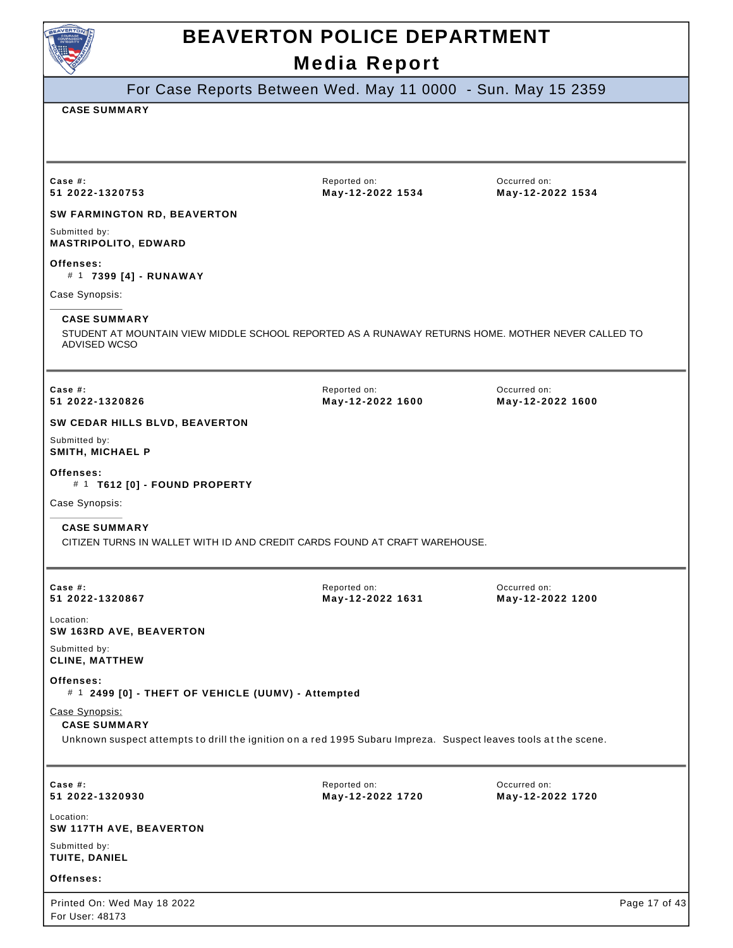

For Case Reports Between Wed. May 11 0000 - Sun. May 15 2359

#### **CASE SUMMARY**

For User: 48173

| Case $#$ :<br>51 2022-1320753                                                                                                                            | Reported on:<br>May-12-2022 1534 | Occurred on:<br>May-12-2022 1534 |
|----------------------------------------------------------------------------------------------------------------------------------------------------------|----------------------------------|----------------------------------|
| SW FARMINGTON RD, BEAVERTON                                                                                                                              |                                  |                                  |
| Submitted by:<br><b>MASTRIPOLITO, EDWARD</b>                                                                                                             |                                  |                                  |
| Offenses:<br># 1 7399 [4] - RUNAWAY                                                                                                                      |                                  |                                  |
| Case Synopsis:                                                                                                                                           |                                  |                                  |
| <b>CASE SUMMARY</b><br>STUDENT AT MOUNTAIN VIEW MIDDLE SCHOOL REPORTED AS A RUNAWAY RETURNS HOME. MOTHER NEVER CALLED TO<br>ADVISED WCSO                 |                                  |                                  |
| Case $#$ :<br>51 2022-1320826                                                                                                                            | Reported on:<br>May-12-2022 1600 | Occurred on:<br>May-12-2022 1600 |
| SW CEDAR HILLS BLVD, BEAVERTON                                                                                                                           |                                  |                                  |
| Submitted by:<br>SMITH, MICHAEL P                                                                                                                        |                                  |                                  |
| Offenses:<br># 1 T612 [0] - FOUND PROPERTY                                                                                                               |                                  |                                  |
| Case Synopsis:                                                                                                                                           |                                  |                                  |
| <b>CASE SUMMARY</b><br>CITIZEN TURNS IN WALLET WITH ID AND CREDIT CARDS FOUND AT CRAFT WAREHOUSE.                                                        |                                  |                                  |
| Case #:<br>51 2022-1320867                                                                                                                               | Reported on:<br>May-12-2022 1631 | Occurred on:<br>May-12-2022 1200 |
| Location:<br>SW 163RD AVE, BEAVERTON                                                                                                                     |                                  |                                  |
| Submitted by:<br><b>CLINE, MATTHEW</b>                                                                                                                   |                                  |                                  |
| Offenses:<br># 1 2499 [0] - THEFT OF VEHICLE (UUMV) - Attempted                                                                                          |                                  |                                  |
| Case Synopsis:<br><b>CASE SUMMARY</b><br>Unknown suspect attempts to drill the ignition on a red 1995 Subaru Impreza. Suspect leaves tools at the scene. |                                  |                                  |
| Case #:<br>51 2022-1320930                                                                                                                               | Reported on:<br>May-12-2022 1720 | Occurred on:<br>May-12-2022 1720 |
| Location:<br>SW 117TH AVE, BEAVERTON                                                                                                                     |                                  |                                  |
| Submitted by:<br>TUITE, DANIEL                                                                                                                           |                                  |                                  |
| Offenses:                                                                                                                                                |                                  |                                  |
| Printed On: Wed May 18 2022                                                                                                                              |                                  | Page 17 of 43                    |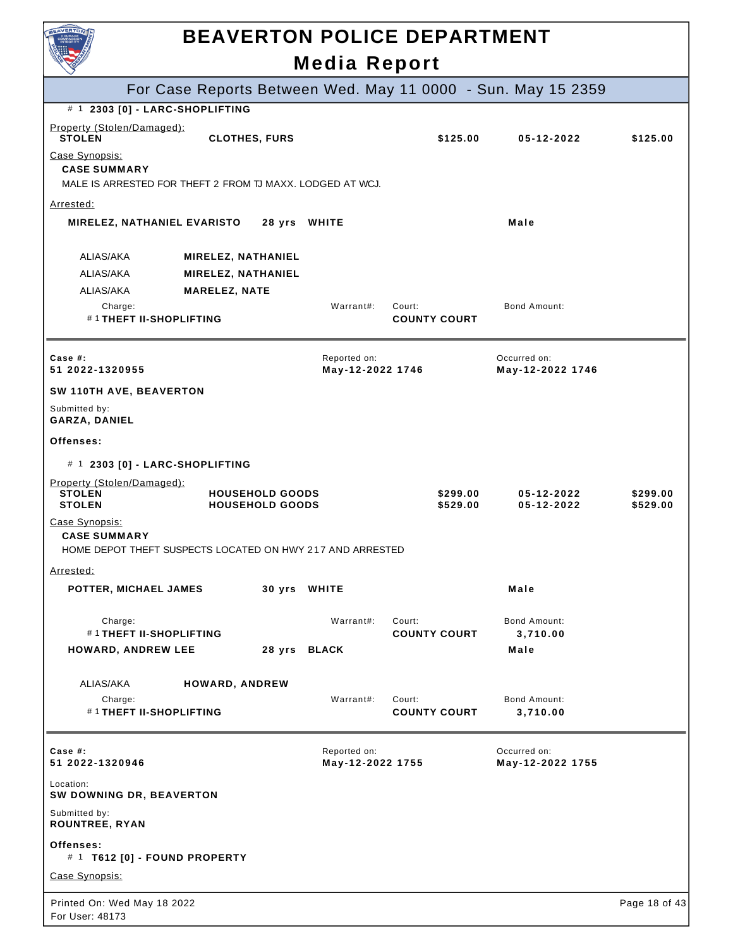| <b>AVERTO</b>                                                                                      |                                                  | <b>Media Report</b>              | <b>BEAVERTON POLICE DEPARTMENT</b> |                                                              |                      |
|----------------------------------------------------------------------------------------------------|--------------------------------------------------|----------------------------------|------------------------------------|--------------------------------------------------------------|----------------------|
|                                                                                                    |                                                  |                                  |                                    |                                                              |                      |
| # 1 2303 [0] - LARC-SHOPLIFTING                                                                    |                                                  |                                  |                                    | For Case Reports Between Wed. May 11 0000 - Sun. May 15 2359 |                      |
| Property (Stolen/Damaged):                                                                         |                                                  |                                  |                                    |                                                              |                      |
| <b>STOLEN</b>                                                                                      | <b>CLOTHES, FURS</b>                             |                                  | \$125.00                           | 05-12-2022                                                   | \$125.00             |
| Case Synopsis:<br><b>CASE SUMMARY</b><br>MALE IS ARRESTED FOR THEFT 2 FROM TJ MAXX. LODGED AT WCJ. |                                                  |                                  |                                    |                                                              |                      |
| Arrested:                                                                                          |                                                  |                                  |                                    |                                                              |                      |
| <b>MIRELEZ, NATHANIEL EVARISTO</b>                                                                 |                                                  | 28 yrs WHITE                     |                                    | Male                                                         |                      |
| ALIAS/AKA                                                                                          | <b>MIRELEZ, NATHANIEL</b>                        |                                  |                                    |                                                              |                      |
| ALIAS/AKA                                                                                          | <b>MIRELEZ, NATHANIEL</b>                        |                                  |                                    |                                                              |                      |
| ALIAS/AKA                                                                                          | <b>MARELEZ, NATE</b>                             |                                  |                                    |                                                              |                      |
| Charge:<br>#1THEFT II-SHOPLIFTING                                                                  |                                                  | Warrant#:                        | Court:<br><b>COUNTY COURT</b>      | <b>Bond Amount:</b>                                          |                      |
| Case  #:<br>51 2022-1320955                                                                        |                                                  | Reported on:<br>May-12-2022 1746 |                                    | Occurred on:<br>May-12-2022 1746                             |                      |
| SW 110TH AVE, BEAVERTON                                                                            |                                                  |                                  |                                    |                                                              |                      |
| Submitted by:<br><b>GARZA, DANIEL</b>                                                              |                                                  |                                  |                                    |                                                              |                      |
| Offenses:                                                                                          |                                                  |                                  |                                    |                                                              |                      |
| # 1 2303 [0] - LARC-SHOPLIFTING                                                                    |                                                  |                                  |                                    |                                                              |                      |
| Property (Stolen/Damaged):<br><b>STOLEN</b><br><b>STOLEN</b>                                       | <b>HOUSEHOLD GOODS</b><br><b>HOUSEHOLD GOODS</b> |                                  | \$299.00<br>\$529.00               | 05-12-2022<br>$05 - 12 - 2022$                               | \$299.00<br>\$529.00 |
| Case Synopsis:<br><b>CASE SUMMARY</b><br>HOME DEPOT THEFT SUSPECTS LOCATED ON HWY 217 AND ARRESTED |                                                  |                                  |                                    |                                                              |                      |
| <u>Arrested:</u>                                                                                   |                                                  |                                  |                                    |                                                              |                      |
| POTTER, MICHAEL JAMES                                                                              |                                                  | 30 yrs WHITE                     |                                    | Male                                                         |                      |
| Charge:<br>#1 THEFT II-SHOPLIFTING                                                                 |                                                  | Warrant#:                        | Court:<br><b>COUNTY COURT</b>      | Bond Amount:<br>3,710.00                                     |                      |
| <b>HOWARD, ANDREW LEE</b>                                                                          |                                                  | 28 yrs BLACK                     |                                    | Male                                                         |                      |
| ALIAS/AKA                                                                                          | HOWARD, ANDREW                                   |                                  |                                    |                                                              |                      |
| Charge:<br>#1 THEFT II-SHOPLIFTING                                                                 |                                                  | Warrant#:                        | Court:<br><b>COUNTY COURT</b>      | Bond Amount:<br>3,710.00                                     |                      |
| Case $#$ :<br>51 2022-1320946                                                                      |                                                  | Reported on:<br>May-12-2022 1755 |                                    | Occurred on:<br>May-12-2022 1755                             |                      |
| Location:<br>SW DOWNING DR, BEAVERTON                                                              |                                                  |                                  |                                    |                                                              |                      |
| Submitted by:<br><b>ROUNTREE, RYAN</b>                                                             |                                                  |                                  |                                    |                                                              |                      |
| Offenses:<br># 1 T612 [0] - FOUND PROPERTY                                                         |                                                  |                                  |                                    |                                                              |                      |
| Case Synopsis:                                                                                     |                                                  |                                  |                                    |                                                              |                      |
| Printed On: Wed May 18 2022<br>For User: 48173                                                     |                                                  |                                  |                                    |                                                              | Page 18 of 43        |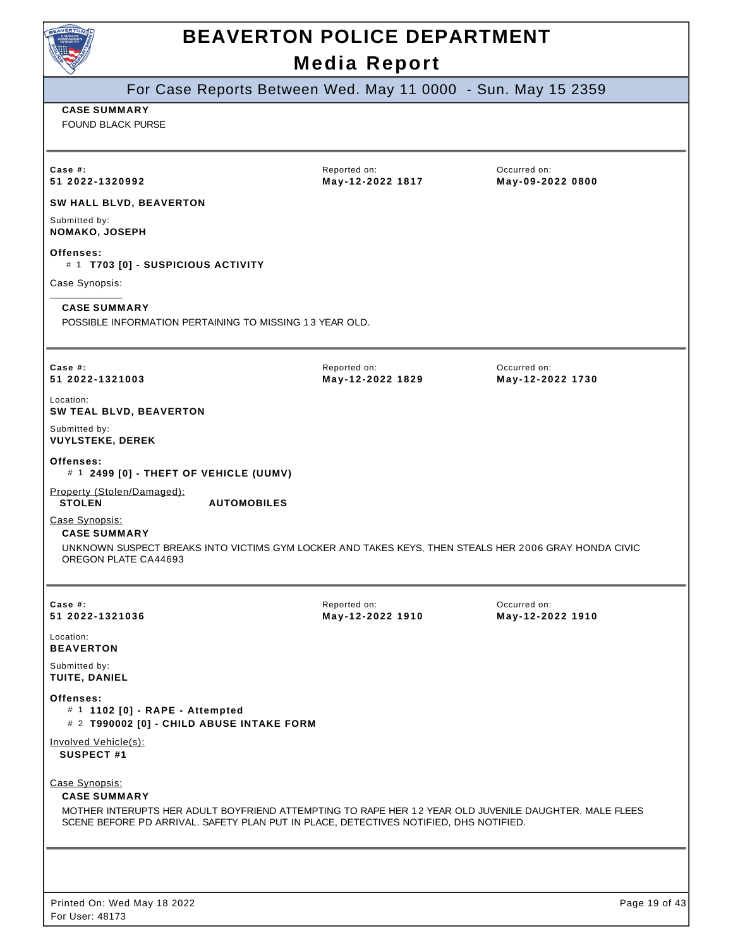

# **BEAVERTON POLICE DEPARTMENT**

**Media Report** For Case Reports Between Wed. May 11 0000 - Sun. May 15 2359 **CASE SUMMARY** FOUND BLACK PURSE Reported on: **May-12-2022 1817** Occurred on: **May-09-2022 0800 Case #: 51 2022-1320992 SW HALL BLVD, BEAVERTON** Submitted by: **NOMAKO, JOSEPH Offenses:** # 1 **T703 [0] - SUSPICIOUS ACTIVITY** Case Synopsis: **CASE SUMMARY** POSSIBLE INFORMATION PERTAINING TO MISSING 1 3 YEAR OLD. Reported on: **May-12-2022 1829** Occurred on: **May-12-2022 1730 Case #: 51 2022-1321003** Location: **SW TEAL BLVD, BEAVERTON** Submitted by: **VUYLSTEKE, DEREK Offenses:** # 1 **2499 [0] - THEFT OF VEHICLE (UUMV)** Property (Stolen/Damaged):<br>STOLEN **STOLEN AUTOMOBILES** Case Synopsis: **CASE SUMMARY** UNKNOWN SUSPECT BREAKS INTO VICTIMS GYM LOCKER AND TAKES KEYS, THEN STEALS HER 2006 GRAY HONDA CIVIC OREGON PLATE CA44693 Reported on: **May-12-2022 1910** Occurred on: **May-12-2022 1910 Case #: 51 2022-1321036** Location: **BEAVERTON** Submitted by: **TUITE, DANIEL Offenses:** # 1 **1102 [0] - RAPE - Attempted** # 2 **T990002 [0] - CHILD ABUSE INTAKE FORM** Involved Vehicle(s): **SUSPECT #1** Case Synopsis: **CASE SUMMARY** MOTHER INTERUPTS HER ADULT BOYFRIEND ATTEMPTING TO RAPE HER 1 2 YEAR OLD JUVENILE DAUGHTER. MALE FLEES SCENE BEFORE PD ARRIVAL. SAFETY PLAN PUT IN PLACE, DETECTIVES NOTIFIED, DHS NOTIFIED.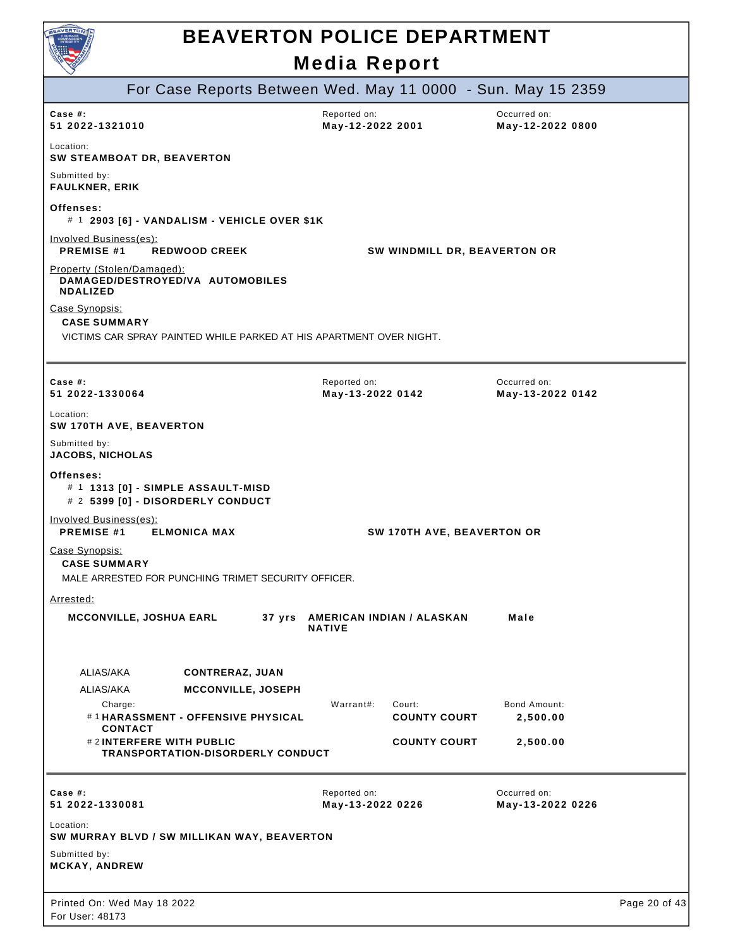

|                                                                                                              | For Case Reports Between Wed. May 11 0000 - Sun. May 15 2359 |                                  |  |
|--------------------------------------------------------------------------------------------------------------|--------------------------------------------------------------|----------------------------------|--|
| Case  #:<br>51 2022-1321010                                                                                  | Reported on:<br>May-12-2022 2001                             | Occurred on:<br>May-12-2022 0800 |  |
| Location:<br>SW STEAMBOAT DR, BEAVERTON                                                                      |                                                              |                                  |  |
| Submitted by:<br><b>FAULKNER, ERIK</b>                                                                       |                                                              |                                  |  |
| Offenses:<br># 1 2903 [6] - VANDALISM - VEHICLE OVER \$1K                                                    |                                                              |                                  |  |
| Involved Business(es):<br><b>PREMISE #1</b><br><b>REDWOOD CREEK</b>                                          | SW WINDMILL DR, BEAVERTON OR                                 |                                  |  |
| Property (Stolen/Damaged):<br>DAMAGED/DESTROYED/VA AUTOMOBILES<br><b>NDALIZED</b>                            |                                                              |                                  |  |
| Case Synopsis:<br><b>CASE SUMMARY</b><br>VICTIMS CAR SPRAY PAINTED WHILE PARKED AT HIS APARTMENT OVER NIGHT. |                                                              |                                  |  |
|                                                                                                              |                                                              |                                  |  |
| Case  #:<br>51 2022-1330064                                                                                  | Reported on:<br>May-13-2022 0142                             | Occurred on:<br>May-13-2022 0142 |  |
| Location:<br><b>SW 170TH AVE, BEAVERTON</b>                                                                  |                                                              |                                  |  |
| Submitted by:<br><b>JACOBS, NICHOLAS</b>                                                                     |                                                              |                                  |  |
| Offenses:<br># 1 1313 [0] - SIMPLE ASSAULT-MISD<br># 2 5399 [0] - DISORDERLY CONDUCT                         |                                                              |                                  |  |
| Involved Business(es):<br><b>PREMISE #1</b><br><b>ELMONICA MAX</b>                                           | SW 170TH AVE, BEAVERTON OR                                   |                                  |  |
| Case Synopsis:<br><b>CASE SUMMARY</b><br>MALE ARRESTED FOR PUNCHING TRIMET SECURITY OFFICER.                 |                                                              |                                  |  |
| <u>Arrested:</u>                                                                                             |                                                              |                                  |  |
| <b>MCCONVILLE, JOSHUA EARL</b><br>37 yrs                                                                     | AMERICAN INDIAN / ALASKAN<br><b>NATIVE</b>                   | Male                             |  |
| ALIAS/AKA<br><b>CONTRERAZ, JUAN</b>                                                                          |                                                              |                                  |  |
| ALIAS/AKA<br><b>MCCONVILLE, JOSEPH</b><br>Charge:<br>#1HARASSMENT - OFFENSIVE PHYSICAL<br><b>CONTACT</b>     | Warrant#:<br>Court:<br><b>COUNTY COURT</b>                   | Bond Amount:<br>2,500.00         |  |
| #2INTERFERE WITH PUBLIC<br><b>TRANSPORTATION-DISORDERLY CONDUCT</b>                                          | <b>COUNTY COURT</b>                                          | 2,500.00                         |  |
| Case $#$ :<br>51 2022-1330081                                                                                | Reported on:<br>May-13-2022 0226                             | Occurred on:<br>May-13-2022 0226 |  |
| Location:<br>SW MURRAY BLVD / SW MILLIKAN WAY, BEAVERTON<br>Submitted by:<br>MCKAY, ANDREW                   |                                                              |                                  |  |
| Printed On: Wed May 18 2022<br>For User: 48173                                                               |                                                              | Page 20 of 43                    |  |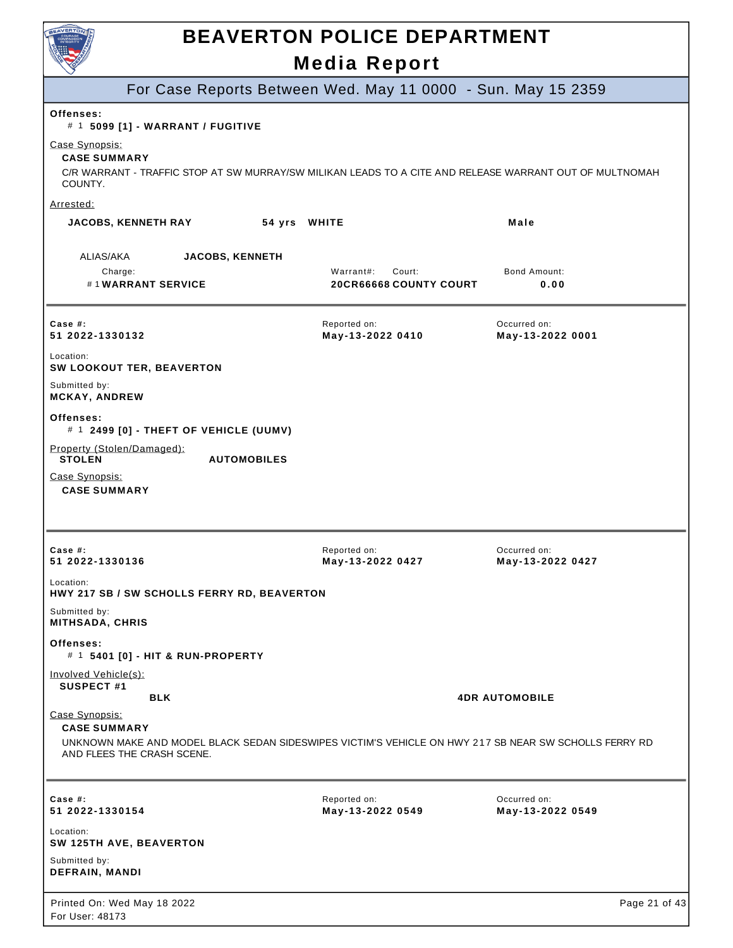

| For Case Reports Between Wed. May 11 0000 - Sun. May 15 2359                                                                                                |                                  |                                  |
|-------------------------------------------------------------------------------------------------------------------------------------------------------------|----------------------------------|----------------------------------|
| Offenses:<br># 1 5099 [1] - WARRANT / FUGITIVE                                                                                                              |                                  |                                  |
| Case Synopsis:<br><b>CASE SUMMARY</b><br>C/R WARRANT - TRAFFIC STOP AT SW MURRAY/SW MILIKAN LEADS TO A CITE AND RELEASE WARRANT OUT OF MULTNOMAH<br>COUNTY. |                                  |                                  |
| Arrested:                                                                                                                                                   |                                  |                                  |
| <b>JACOBS, KENNETH RAY</b><br>54 yrs WHITE                                                                                                                  |                                  | Male                             |
| ALIAS/AKA<br><b>JACOBS, KENNETH</b>                                                                                                                         |                                  |                                  |
| Charge:                                                                                                                                                     | Warrant#:<br>Court:              | <b>Bond Amount:</b>              |
| #1WARRANT SERVICE                                                                                                                                           | <b>20CR66668 COUNTY COURT</b>    | 0.00                             |
| Case #:<br>51 2022-1330132                                                                                                                                  | Reported on:<br>May-13-2022 0410 | Occurred on:<br>May-13-2022 0001 |
| Location:<br>SW LOOKOUT TER, BEAVERTON                                                                                                                      |                                  |                                  |
| Submitted by:<br><b>MCKAY, ANDREW</b>                                                                                                                       |                                  |                                  |
| <b>Offenses:</b><br># 1 2499 [0] - THEFT OF VEHICLE (UUMV)                                                                                                  |                                  |                                  |
| Property (Stolen/Damaged):<br><b>STOLEN</b><br><b>AUTOMOBILES</b>                                                                                           |                                  |                                  |
| Case Synopsis:<br><b>CASE SUMMARY</b>                                                                                                                       |                                  |                                  |
|                                                                                                                                                             |                                  |                                  |
|                                                                                                                                                             |                                  |                                  |
| Case #:<br>51 2022-1330136                                                                                                                                  | Reported on:<br>May-13-2022 0427 | Occurred on:<br>May-13-2022 0427 |
| Location:<br>HWY 217 SB / SW SCHOLLS FERRY RD, BEAVERTON                                                                                                    |                                  |                                  |
| Submitted by:<br><b>MITHSADA, CHRIS</b>                                                                                                                     |                                  |                                  |
| Offenses:<br># 1 5401 [0] - HIT & RUN-PROPERTY                                                                                                              |                                  |                                  |
| Involved Vehicle(s):                                                                                                                                        |                                  |                                  |
| SUSPECT #1<br><b>BLK</b>                                                                                                                                    |                                  | <b>4DR AUTOMOBILE</b>            |
| Case Synopsis:<br><b>CASE SUMMARY</b>                                                                                                                       |                                  |                                  |
| UNKNOWN MAKE AND MODEL BLACK SEDAN SIDESWIPES VICTIM'S VEHICLE ON HWY 217 SB NEAR SW SCHOLLS FERRY RD<br>AND FLEES THE CRASH SCENE.                         |                                  |                                  |
|                                                                                                                                                             |                                  |                                  |
| Case #:<br>51 2022-1330154                                                                                                                                  | Reported on:<br>May-13-2022 0549 | Occurred on:<br>May-13-2022 0549 |
| Location:<br>SW 125TH AVE, BEAVERTON                                                                                                                        |                                  |                                  |
| Submitted by:<br><b>DEFRAIN, MANDI</b>                                                                                                                      |                                  |                                  |
| Printed On: Wed May 18 2022                                                                                                                                 |                                  | Page 21 of 43                    |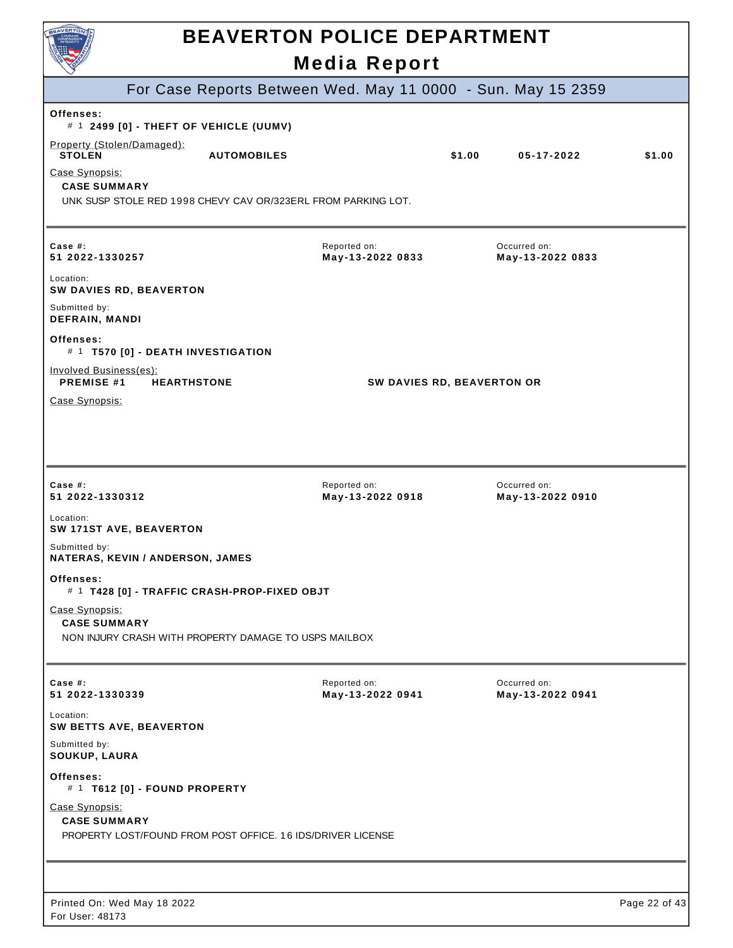| <b>AVERTO</b>                                                                                          | <b>BEAVERTON POLICE DEPARTMENT</b><br><b>Media Report</b> |        |                                  |               |
|--------------------------------------------------------------------------------------------------------|-----------------------------------------------------------|--------|----------------------------------|---------------|
| For Case Reports Between Wed. May 11 0000 - Sun. May 15 2359                                           |                                                           |        |                                  |               |
| Offenses:<br># 1 2499 [0] - THEFT OF VEHICLE (UUMV)                                                    |                                                           |        |                                  |               |
| Property (Stolen/Damaged):<br><b>STOLEN</b><br><b>AUTOMOBILES</b>                                      |                                                           | \$1.00 | 05-17-2022                       | \$1.00        |
| Case Synopsis:<br><b>CASE SUMMARY</b><br>UNK SUSP STOLE RED 1998 CHEVY CAV OR/323ERL FROM PARKING LOT. |                                                           |        |                                  |               |
| Case #:<br>51 2022-1330257                                                                             | Reported on:<br>May-13-2022 0833                          |        | Occurred on:<br>May-13-2022 0833 |               |
| Location:<br>SW DAVIES RD, BEAVERTON                                                                   |                                                           |        |                                  |               |
| Submitted by:<br><b>DEFRAIN, MANDI</b>                                                                 |                                                           |        |                                  |               |
| Offenses:<br># 1 T570 [0] - DEATH INVESTIGATION                                                        |                                                           |        |                                  |               |
| Involved Business(es):<br><b>PREMISE #1</b><br><b>HEARTHSTONE</b>                                      | SW DAVIES RD, BEAVERTON OR                                |        |                                  |               |
| Case Synopsis:                                                                                         |                                                           |        |                                  |               |
| Case $#$ :<br>51 2022-1330312<br>Location:<br>SW 171ST AVE, BEAVERTON                                  | Reported on:<br>May-13-2022 0918                          |        | Occurred on:<br>May-13-2022 0910 |               |
| Submitted by:<br>NATERAS, KEVIN / ANDERSON, JAMES                                                      |                                                           |        |                                  |               |
| Offenses:<br># 1 T428 [0] - TRAFFIC CRASH-PROP-FIXED OBJT                                              |                                                           |        |                                  |               |
| Case Synopsis:<br><b>CASE SUMMARY</b><br>NON INJURY CRASH WITH PROPERTY DAMAGE TO USPS MAILBOX         |                                                           |        |                                  |               |
| Case $#$ :<br>51 2022-1330339                                                                          | Reported on:<br>May-13-2022 0941                          |        | Occurred on:<br>May-13-2022 0941 |               |
| Location:<br>SW BETTS AVE, BEAVERTON                                                                   |                                                           |        |                                  |               |
| Submitted by:<br>SOUKUP, LAURA                                                                         |                                                           |        |                                  |               |
| Offenses:<br># 1 T612 [0] - FOUND PROPERTY                                                             |                                                           |        |                                  |               |
| Case Synopsis:<br><b>CASE SUMMARY</b><br>PROPERTY LOST/FOUND FROM POST OFFICE. 16 IDS/DRIVER LICENSE   |                                                           |        |                                  |               |
|                                                                                                        |                                                           |        |                                  |               |
| Printed On: Wed May 18 2022<br>For User: 48173                                                         |                                                           |        |                                  | Page 22 of 43 |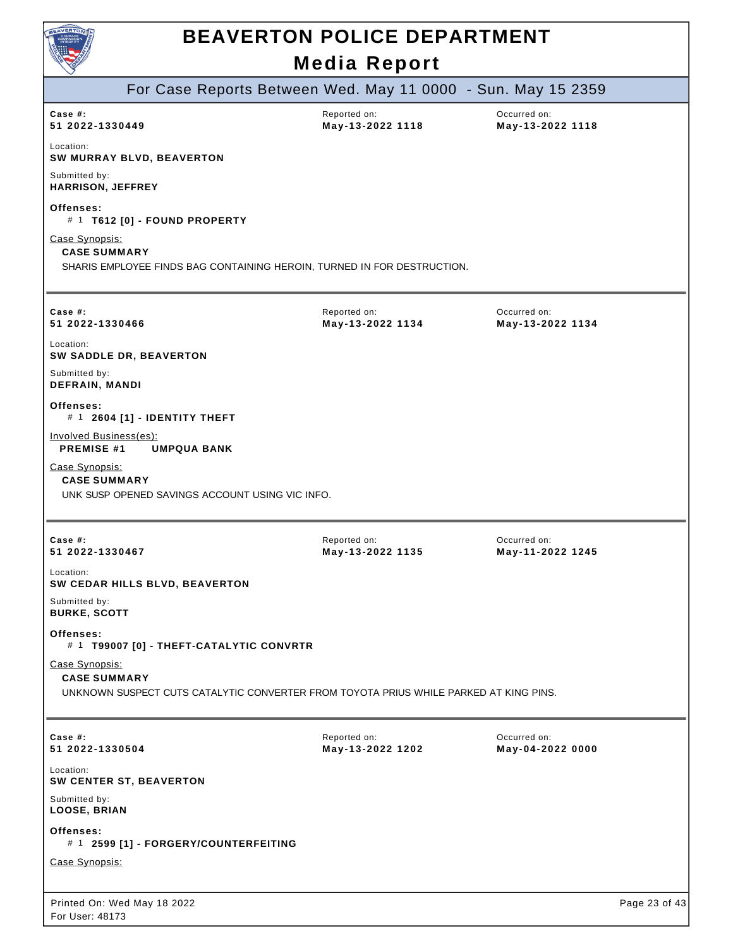

| $\smallsmile$                                  |                                                 |                                                                                       |                                  |               |
|------------------------------------------------|-------------------------------------------------|---------------------------------------------------------------------------------------|----------------------------------|---------------|
|                                                |                                                 | For Case Reports Between Wed. May 11 0000 - Sun. May 15 2359                          |                                  |               |
| Case $#$ :<br>51 2022-1330449                  |                                                 | Reported on:<br>May-13-2022 1118                                                      | Occurred on:<br>May-13-2022 1118 |               |
| Location:<br>SW MURRAY BLVD, BEAVERTON         |                                                 |                                                                                       |                                  |               |
| Submitted by:<br><b>HARRISON, JEFFREY</b>      |                                                 |                                                                                       |                                  |               |
| Offenses:<br># 1 T612 [0] - FOUND PROPERTY     |                                                 |                                                                                       |                                  |               |
| Case Synopsis:<br><b>CASE SUMMARY</b>          |                                                 | SHARIS EMPLOYEE FINDS BAG CONTAINING HEROIN, TURNED IN FOR DESTRUCTION.               |                                  |               |
| Case $#$ :<br>51 2022-1330466                  |                                                 | Reported on:<br>May-13-2022 1134                                                      | Occurred on:<br>May-13-2022 1134 |               |
| Location:<br>SW SADDLE DR, BEAVERTON           |                                                 |                                                                                       |                                  |               |
| Submitted by:<br><b>DEFRAIN, MANDI</b>         |                                                 |                                                                                       |                                  |               |
| Offenses:<br># 1 2604 [1] - IDENTITY THEFT     |                                                 |                                                                                       |                                  |               |
| Involved Business(es):<br><b>PREMISE #1</b>    | <b>UMPQUA BANK</b>                              |                                                                                       |                                  |               |
| Case Synopsis:<br><b>CASE SUMMARY</b>          | UNK SUSP OPENED SAVINGS ACCOUNT USING VIC INFO. |                                                                                       |                                  |               |
|                                                |                                                 |                                                                                       |                                  |               |
| Case #:<br>51 2022-1330467                     |                                                 | Reported on:<br>May-13-2022 1135                                                      | Occurred on:<br>May-11-2022 1245 |               |
| Location:<br>SW CEDAR HILLS BLVD, BEAVERTON    |                                                 |                                                                                       |                                  |               |
| Submitted by:<br><b>BURKE, SCOTT</b>           |                                                 |                                                                                       |                                  |               |
| Offenses:                                      | # 1 T99007 [0] - THEFT-CATALYTIC CONVRTR        |                                                                                       |                                  |               |
| Case Synopsis:<br><b>CASE SUMMARY</b>          |                                                 | UNKNOWN SUSPECT CUTS CATALYTIC CONVERTER FROM TOYOTA PRIUS WHILE PARKED AT KING PINS. |                                  |               |
| Case $#$ :<br>51 2022-1330504                  |                                                 | Reported on:<br>May-13-2022 1202                                                      | Occurred on:<br>May-04-2022 0000 |               |
| Location:<br>SW CENTER ST, BEAVERTON           |                                                 |                                                                                       |                                  |               |
| Submitted by:<br>LOOSE, BRIAN                  |                                                 |                                                                                       |                                  |               |
| Offenses:                                      | # 1 2599 [1] - FORGERY/COUNTERFEITING           |                                                                                       |                                  |               |
| Case Synopsis:                                 |                                                 |                                                                                       |                                  |               |
| Printed On: Wed May 18 2022<br>For User: 48173 |                                                 |                                                                                       |                                  | Page 23 of 43 |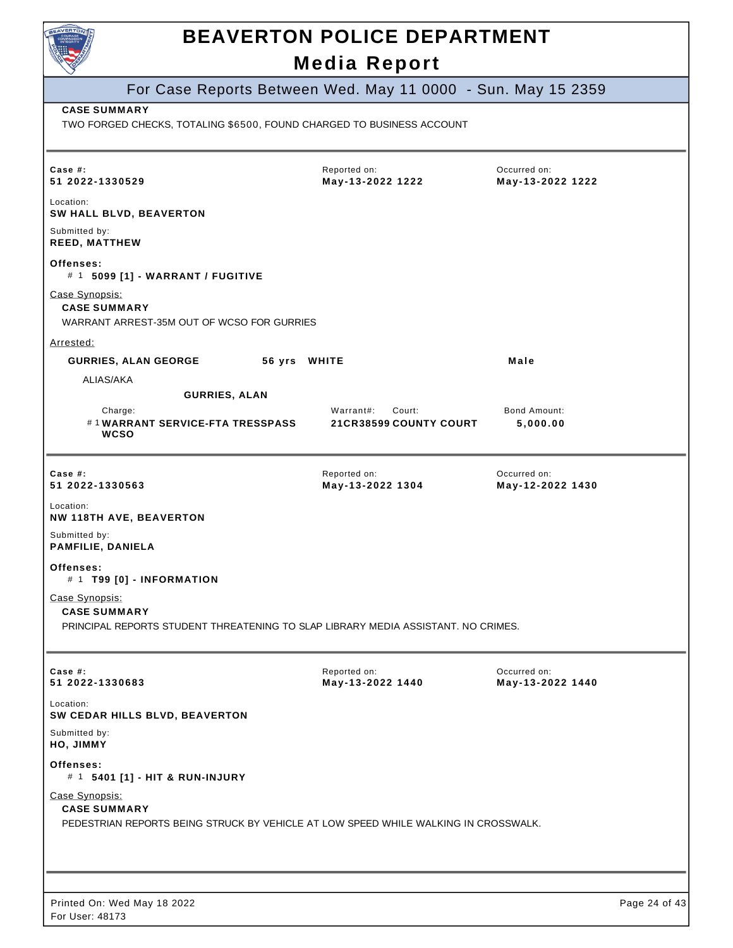| For Case Reports Between Wed. May 11 0000 - Sun. May 15 2359<br><b>CASE SUMMARY</b><br>TWO FORGED CHECKS, TOTALING \$6500, FOUND CHARGED TO BUSINESS ACCOUNT<br>Occurred on:<br>Case $#$ :<br>Reported on:<br>May-13-2022 1222<br>51 2022-1330529<br>May-13-2022 1222<br>Location:<br>SW HALL BLVD, BEAVERTON<br>Submitted by:<br><b>REED, MATTHEW</b><br>Offenses:<br># 1 5099 [1] - WARRANT / FUGITIVE<br>Case Synopsis:<br><b>CASE SUMMARY</b><br>WARRANT ARREST-35M OUT OF WCSO FOR GURRIES<br>Arrested:<br><b>GURRIES, ALAN GEORGE</b><br>56 yrs WHITE<br>Male<br>ALIAS/AKA<br><b>GURRIES, ALAN</b><br>Warrant#:<br>Court:<br><b>Bond Amount:</b><br>Charge:<br>#1WARRANT SERVICE-FTA TRESSPASS<br><b>21CR38599 COUNTY COURT</b><br>5,000.00<br><b>WCSO</b><br>Case $#$ :<br>Reported on:<br>Occurred on:<br>51 2022-1330563<br>May-13-2022 1304<br>May-12-2022 1430<br>Location:<br>NW 118TH AVE, BEAVERTON<br>Submitted by:<br>PAMFILIE, DANIELA<br>Offenses:<br># 1 T99 [0] - INFORMATION<br>Case Synopsis:<br><b>CASE SUMMARY</b><br>PRINCIPAL REPORTS STUDENT THREATENING TO SLAP LIBRARY MEDIA ASSISTANT. NO CRIMES.<br>Case #:<br>Reported on:<br>Occurred on:<br>51 2022-1330683<br>May-13-2022 1440<br>May-13-2022 1440<br>Location:<br>SW CEDAR HILLS BLVD, BEAVERTON<br>Submitted by:<br>HO, JIMMY<br>Offenses:<br># 1 5401 [1] - HIT & RUN-INJURY<br>Case Synopsis:<br><b>CASE SUMMARY</b><br>PEDESTRIAN REPORTS BEING STRUCK BY VEHICLE AT LOW SPEED WHILE WALKING IN CROSSWALK. | <b>BEAVERTON POLICE DEPARTMENT</b><br><b>Media Report</b> |  |
|----------------------------------------------------------------------------------------------------------------------------------------------------------------------------------------------------------------------------------------------------------------------------------------------------------------------------------------------------------------------------------------------------------------------------------------------------------------------------------------------------------------------------------------------------------------------------------------------------------------------------------------------------------------------------------------------------------------------------------------------------------------------------------------------------------------------------------------------------------------------------------------------------------------------------------------------------------------------------------------------------------------------------------------------------------------------------------------------------------------------------------------------------------------------------------------------------------------------------------------------------------------------------------------------------------------------------------------------------------------------------------------------------------------------------------------------------------------------------------------------------|-----------------------------------------------------------|--|
|                                                                                                                                                                                                                                                                                                                                                                                                                                                                                                                                                                                                                                                                                                                                                                                                                                                                                                                                                                                                                                                                                                                                                                                                                                                                                                                                                                                                                                                                                                    |                                                           |  |
|                                                                                                                                                                                                                                                                                                                                                                                                                                                                                                                                                                                                                                                                                                                                                                                                                                                                                                                                                                                                                                                                                                                                                                                                                                                                                                                                                                                                                                                                                                    |                                                           |  |
|                                                                                                                                                                                                                                                                                                                                                                                                                                                                                                                                                                                                                                                                                                                                                                                                                                                                                                                                                                                                                                                                                                                                                                                                                                                                                                                                                                                                                                                                                                    |                                                           |  |
|                                                                                                                                                                                                                                                                                                                                                                                                                                                                                                                                                                                                                                                                                                                                                                                                                                                                                                                                                                                                                                                                                                                                                                                                                                                                                                                                                                                                                                                                                                    |                                                           |  |
|                                                                                                                                                                                                                                                                                                                                                                                                                                                                                                                                                                                                                                                                                                                                                                                                                                                                                                                                                                                                                                                                                                                                                                                                                                                                                                                                                                                                                                                                                                    |                                                           |  |
|                                                                                                                                                                                                                                                                                                                                                                                                                                                                                                                                                                                                                                                                                                                                                                                                                                                                                                                                                                                                                                                                                                                                                                                                                                                                                                                                                                                                                                                                                                    |                                                           |  |
|                                                                                                                                                                                                                                                                                                                                                                                                                                                                                                                                                                                                                                                                                                                                                                                                                                                                                                                                                                                                                                                                                                                                                                                                                                                                                                                                                                                                                                                                                                    |                                                           |  |
|                                                                                                                                                                                                                                                                                                                                                                                                                                                                                                                                                                                                                                                                                                                                                                                                                                                                                                                                                                                                                                                                                                                                                                                                                                                                                                                                                                                                                                                                                                    |                                                           |  |
|                                                                                                                                                                                                                                                                                                                                                                                                                                                                                                                                                                                                                                                                                                                                                                                                                                                                                                                                                                                                                                                                                                                                                                                                                                                                                                                                                                                                                                                                                                    |                                                           |  |
|                                                                                                                                                                                                                                                                                                                                                                                                                                                                                                                                                                                                                                                                                                                                                                                                                                                                                                                                                                                                                                                                                                                                                                                                                                                                                                                                                                                                                                                                                                    |                                                           |  |
|                                                                                                                                                                                                                                                                                                                                                                                                                                                                                                                                                                                                                                                                                                                                                                                                                                                                                                                                                                                                                                                                                                                                                                                                                                                                                                                                                                                                                                                                                                    |                                                           |  |
|                                                                                                                                                                                                                                                                                                                                                                                                                                                                                                                                                                                                                                                                                                                                                                                                                                                                                                                                                                                                                                                                                                                                                                                                                                                                                                                                                                                                                                                                                                    |                                                           |  |
|                                                                                                                                                                                                                                                                                                                                                                                                                                                                                                                                                                                                                                                                                                                                                                                                                                                                                                                                                                                                                                                                                                                                                                                                                                                                                                                                                                                                                                                                                                    |                                                           |  |
|                                                                                                                                                                                                                                                                                                                                                                                                                                                                                                                                                                                                                                                                                                                                                                                                                                                                                                                                                                                                                                                                                                                                                                                                                                                                                                                                                                                                                                                                                                    |                                                           |  |
|                                                                                                                                                                                                                                                                                                                                                                                                                                                                                                                                                                                                                                                                                                                                                                                                                                                                                                                                                                                                                                                                                                                                                                                                                                                                                                                                                                                                                                                                                                    |                                                           |  |
|                                                                                                                                                                                                                                                                                                                                                                                                                                                                                                                                                                                                                                                                                                                                                                                                                                                                                                                                                                                                                                                                                                                                                                                                                                                                                                                                                                                                                                                                                                    |                                                           |  |
|                                                                                                                                                                                                                                                                                                                                                                                                                                                                                                                                                                                                                                                                                                                                                                                                                                                                                                                                                                                                                                                                                                                                                                                                                                                                                                                                                                                                                                                                                                    |                                                           |  |
|                                                                                                                                                                                                                                                                                                                                                                                                                                                                                                                                                                                                                                                                                                                                                                                                                                                                                                                                                                                                                                                                                                                                                                                                                                                                                                                                                                                                                                                                                                    |                                                           |  |
|                                                                                                                                                                                                                                                                                                                                                                                                                                                                                                                                                                                                                                                                                                                                                                                                                                                                                                                                                                                                                                                                                                                                                                                                                                                                                                                                                                                                                                                                                                    |                                                           |  |
|                                                                                                                                                                                                                                                                                                                                                                                                                                                                                                                                                                                                                                                                                                                                                                                                                                                                                                                                                                                                                                                                                                                                                                                                                                                                                                                                                                                                                                                                                                    |                                                           |  |
|                                                                                                                                                                                                                                                                                                                                                                                                                                                                                                                                                                                                                                                                                                                                                                                                                                                                                                                                                                                                                                                                                                                                                                                                                                                                                                                                                                                                                                                                                                    |                                                           |  |
|                                                                                                                                                                                                                                                                                                                                                                                                                                                                                                                                                                                                                                                                                                                                                                                                                                                                                                                                                                                                                                                                                                                                                                                                                                                                                                                                                                                                                                                                                                    |                                                           |  |
|                                                                                                                                                                                                                                                                                                                                                                                                                                                                                                                                                                                                                                                                                                                                                                                                                                                                                                                                                                                                                                                                                                                                                                                                                                                                                                                                                                                                                                                                                                    |                                                           |  |
|                                                                                                                                                                                                                                                                                                                                                                                                                                                                                                                                                                                                                                                                                                                                                                                                                                                                                                                                                                                                                                                                                                                                                                                                                                                                                                                                                                                                                                                                                                    |                                                           |  |
|                                                                                                                                                                                                                                                                                                                                                                                                                                                                                                                                                                                                                                                                                                                                                                                                                                                                                                                                                                                                                                                                                                                                                                                                                                                                                                                                                                                                                                                                                                    |                                                           |  |
|                                                                                                                                                                                                                                                                                                                                                                                                                                                                                                                                                                                                                                                                                                                                                                                                                                                                                                                                                                                                                                                                                                                                                                                                                                                                                                                                                                                                                                                                                                    |                                                           |  |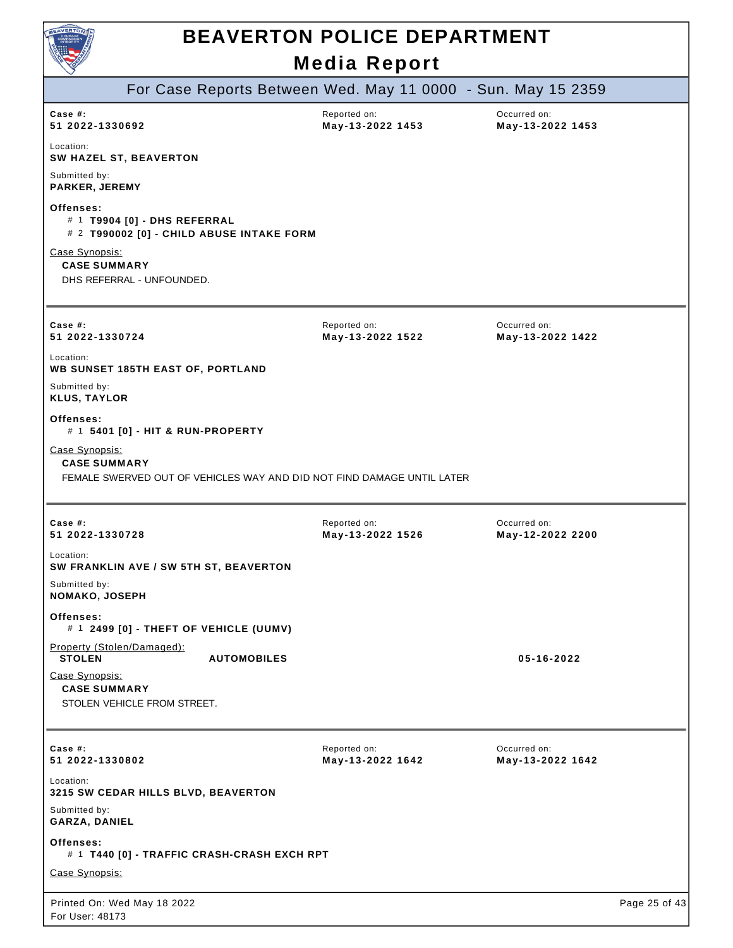

|                                                                      |                                                                           | For Case Reports Between Wed. May 11 0000 - Sun. May 15 2359           |                                  |               |
|----------------------------------------------------------------------|---------------------------------------------------------------------------|------------------------------------------------------------------------|----------------------------------|---------------|
| Case #:<br>51 2022-1330692                                           |                                                                           | Reported on:<br>May-13-2022 1453                                       | Occurred on:<br>May-13-2022 1453 |               |
| Location:<br>SW HAZEL ST, BEAVERTON                                  |                                                                           |                                                                        |                                  |               |
| Submitted by:<br>PARKER, JEREMY                                      |                                                                           |                                                                        |                                  |               |
| Offenses:                                                            | # 1 T9904 [0] - DHS REFERRAL<br># 2 T990002 [0] - CHILD ABUSE INTAKE FORM |                                                                        |                                  |               |
| Case Synopsis:<br><b>CASE SUMMARY</b><br>DHS REFERRAL - UNFOUNDED.   |                                                                           |                                                                        |                                  |               |
| Case $#$ :<br>51 2022-1330724                                        |                                                                           | Reported on:<br>May-13-2022 1522                                       | Occurred on:<br>May-13-2022 1422 |               |
| Location:                                                            | <b>WB SUNSET 185TH EAST OF, PORTLAND</b>                                  |                                                                        |                                  |               |
| Submitted by:<br><b>KLUS, TAYLOR</b>                                 |                                                                           |                                                                        |                                  |               |
| Offenses:                                                            | # 1 5401 [0] - HIT & RUN-PROPERTY                                         |                                                                        |                                  |               |
| Case Synopsis:<br><b>CASE SUMMARY</b>                                |                                                                           | FEMALE SWERVED OUT OF VEHICLES WAY AND DID NOT FIND DAMAGE UNTIL LATER |                                  |               |
| Case $#$ :<br>51 2022-1330728                                        |                                                                           | Reported on:<br>May-13-2022 1526                                       | Occurred on:<br>May-12-2022 2200 |               |
| Location:                                                            | SW FRANKLIN AVE / SW 5TH ST, BEAVERTON                                    |                                                                        |                                  |               |
| Submitted by:<br><b>NOMAKO, JOSEPH</b>                               |                                                                           |                                                                        |                                  |               |
| Offenses:                                                            | $#$ 1 2499 [0] - THEFT OF VEHICLE (UUMV)                                  |                                                                        |                                  |               |
| Property (Stolen/Damaged):<br><b>STOLEN</b>                          | <b>AUTOMOBILES</b>                                                        |                                                                        | 05-16-2022                       |               |
| Case Synopsis:<br><b>CASE SUMMARY</b><br>STOLEN VEHICLE FROM STREET. |                                                                           |                                                                        |                                  |               |
| Case #:<br>51 2022-1330802                                           |                                                                           | Reported on:<br>May-13-2022 1642                                       | Occurred on:<br>May-13-2022 1642 |               |
| Location:                                                            | 3215 SW CEDAR HILLS BLVD, BEAVERTON                                       |                                                                        |                                  |               |
| Submitted by:<br>GARZA, DANIEL                                       |                                                                           |                                                                        |                                  |               |
| Offenses:                                                            | # 1 T440 [0] - TRAFFIC CRASH-CRASH EXCH RPT                               |                                                                        |                                  |               |
| Case Synopsis:                                                       |                                                                           |                                                                        |                                  |               |
| Printed On: Wed May 18 2022<br>For User: 48173                       |                                                                           |                                                                        |                                  | Page 25 of 43 |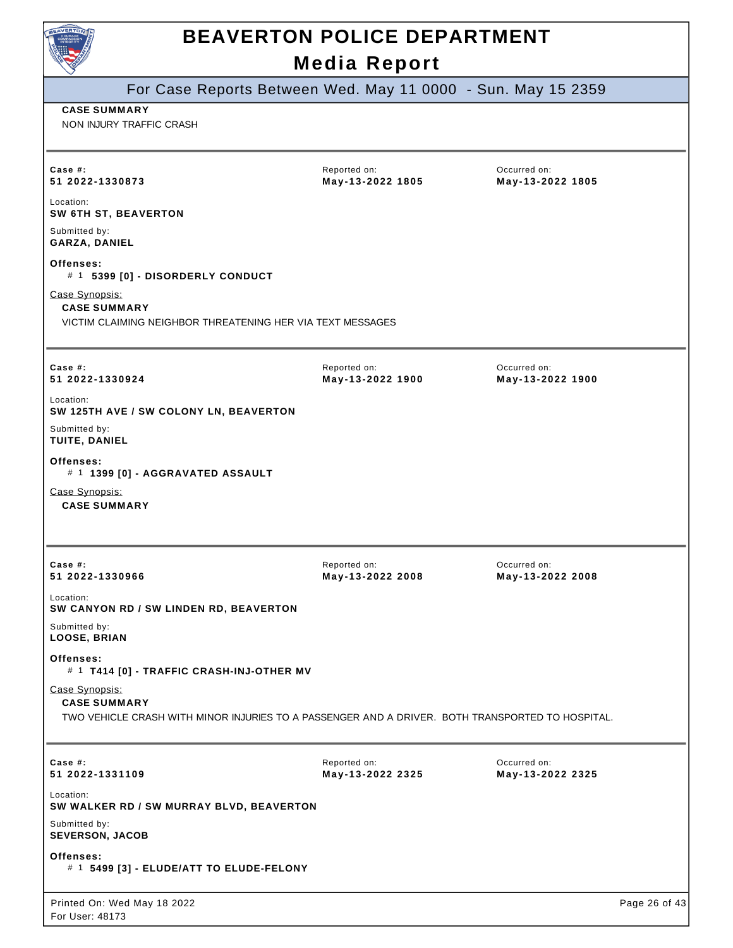

| For Case Reports Between Wed. May 11 0000 - Sun. May 15 2359                                        |                                  |                                  |               |
|-----------------------------------------------------------------------------------------------------|----------------------------------|----------------------------------|---------------|
| <b>CASE SUMMARY</b><br>NON INJURY TRAFFIC CRASH                                                     |                                  |                                  |               |
|                                                                                                     |                                  |                                  |               |
| Case #:<br>51 2022-1330873                                                                          | Reported on:<br>May-13-2022 1805 | Occurred on:<br>May-13-2022 1805 |               |
| Location:<br>SW 6TH ST, BEAVERTON                                                                   |                                  |                                  |               |
| Submitted by:<br>GARZA, DANIEL                                                                      |                                  |                                  |               |
| Offenses:<br># 1 5399 [0] - DISORDERLY CONDUCT                                                      |                                  |                                  |               |
| Case Synopsis:<br><b>CASE SUMMARY</b><br>VICTIM CLAIMING NEIGHBOR THREATENING HER VIA TEXT MESSAGES |                                  |                                  |               |
| Case $#$ :<br>51 2022-1330924                                                                       | Reported on:<br>May-13-2022 1900 | Occurred on:<br>May-13-2022 1900 |               |
| Location:<br>SW 125TH AVE / SW COLONY LN, BEAVERTON                                                 |                                  |                                  |               |
| Submitted by:<br>TUITE, DANIEL                                                                      |                                  |                                  |               |
| Offenses:<br># 1 1399 [0] - AGGRAVATED ASSAULT                                                      |                                  |                                  |               |
| Case Synopsis:<br><b>CASE SUMMARY</b>                                                               |                                  |                                  |               |
|                                                                                                     |                                  |                                  |               |
| Case #:                                                                                             | Reported on:                     | Occurred on:                     |               |
| 51 2022-1330966                                                                                     | May-13-2022 2008                 | May-13-2022 2008                 |               |
| Location:<br>SW CANYON RD / SW LINDEN RD, BEAVERTON                                                 |                                  |                                  |               |
| Submitted by:<br><b>LOOSE, BRIAN</b>                                                                |                                  |                                  |               |
| Offenses:<br># 1 T414 [0] - TRAFFIC CRASH-INJ-OTHER MV                                              |                                  |                                  |               |
| Case Synopsis:<br><b>CASE SUMMARY</b>                                                               |                                  |                                  |               |
| TWO VEHICLE CRASH WITH MINOR INJURIES TO A PASSENGER AND A DRIVER. BOTH TRANSPORTED TO HOSPITAL.    |                                  |                                  |               |
| Case #:<br>51 2022-1331109                                                                          | Reported on:<br>May-13-2022 2325 | Occurred on:<br>May-13-2022 2325 |               |
| Location:<br>SW WALKER RD / SW MURRAY BLVD, BEAVERTON                                               |                                  |                                  |               |
| Submitted by:<br><b>SEVERSON, JACOB</b>                                                             |                                  |                                  |               |
| Offenses:<br># 1 5499 [3] - ELUDE/ATT TO ELUDE-FELONY                                               |                                  |                                  |               |
| Printed On: Wed May 18 2022<br>For User: 48173                                                      |                                  |                                  | Page 26 of 43 |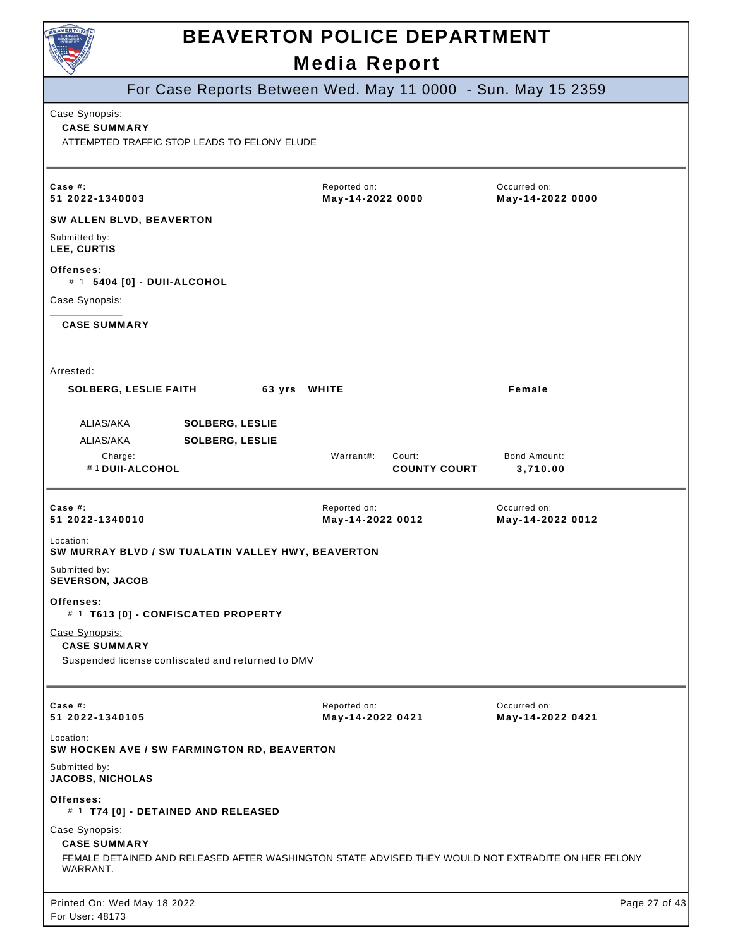

For Case Reports Between Wed. May 11 0000 - Sun. May 15 2359 Printed On: Wed May 18 2022 For User: 48173 Page 27 of 43 Case Synopsis: **CASE SUMMARY** ATTEMPTED TRAFFIC STOP LEADS TO FELONY ELUDE Reported on: **May-14-2022 0000** Occurred on: **May-14-2022 0000 Case #: 51 2022-1340003 SW ALLEN BLVD, BEAVERTON** Submitted by: **LEE, CURTIS Offenses:** # 1 **5404 [0] - DUII-ALCOHOL** Case Synopsis: **CASE SUMMARY** Arrested: **SOLBERG, LESLIE FAITH 63 yrs WHITE Female** ALIAS/AKA **SOLBERG, LESLIE** ALIAS/AKA **SOLBERG, LESLIE** Charge: Warrant#: Court: Bond Amount: # 1 **DUII-ALCOHOL COUNTY COURT 3,710.00 Case #: 51 2022-1340010** Reported on: **May-14-2022 0012** Occurred on: **May-14-2022 0012** Location: **SW MURRAY BLVD / SW TUALATIN VALLEY HWY, BEAVERTON** Submitted by: **SEVERSON, JACOB Offenses:** # 1 **T613 [0] - CONFISCATED PROPERTY** Case Synopsis: **CASE SUMMARY** Suspended license confiscated and returned to DMV **Case #: 51 2022-1340105** Reported on: **May-14-2022 0421** Occurred on: **May-14-2022 0421** Location: **SW HOCKEN AVE / SW FARMINGTON RD, BEAVERTON** Submitted by: **JACOBS, NICHOLAS Offenses:** # 1 **T74 [0] - DETAINED AND RELEASED** Case Synopsis: **CASE SUMMARY** FEMALE DETAINED AND RELEASED AFTER WASHINGTON STATE ADVISED THEY WOULD NOT EXTRADITE ON HER FELONY WARRANT.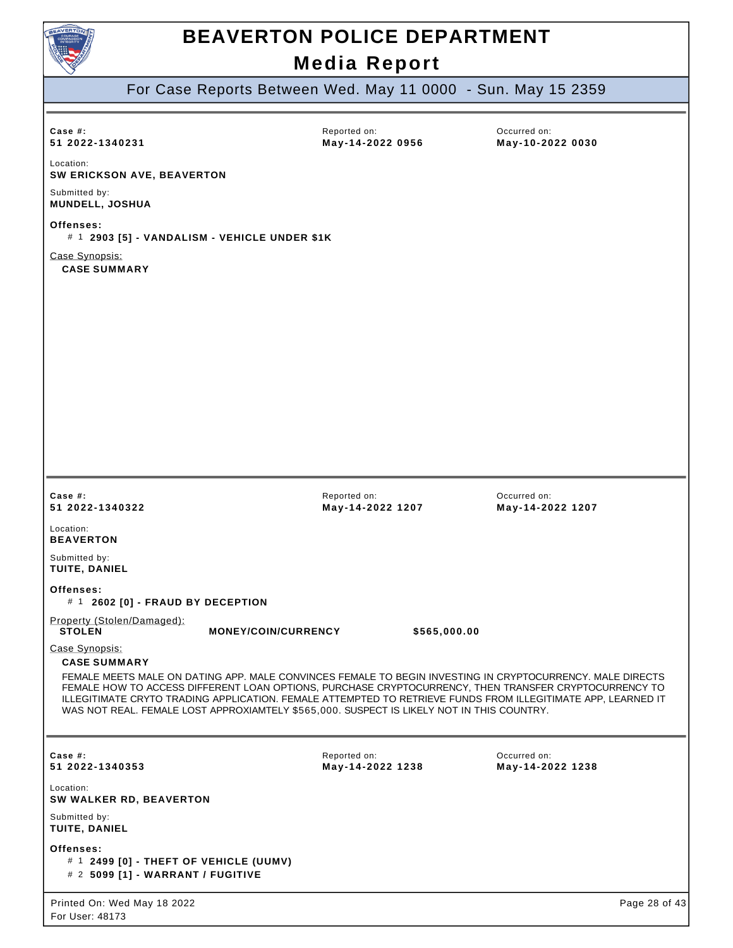

For Case Reports Between Wed. May 11 0000 - Sun. May 15 2359

| Case $#$ :<br>51 2022-1340231<br>Location:<br>SW ERICKSON AVE, BEAVERTON                                                                                                                                                                                                                                                                                                                                                                                                 | Reported on:<br>May-14-2022 0956 | Occurred on:<br>May-10-2022 0030 |
|--------------------------------------------------------------------------------------------------------------------------------------------------------------------------------------------------------------------------------------------------------------------------------------------------------------------------------------------------------------------------------------------------------------------------------------------------------------------------|----------------------------------|----------------------------------|
| Submitted by:<br>MUNDELL, JOSHUA                                                                                                                                                                                                                                                                                                                                                                                                                                         |                                  |                                  |
| Offenses:<br># 1 2903 [5] - VANDALISM - VEHICLE UNDER \$1K                                                                                                                                                                                                                                                                                                                                                                                                               |                                  |                                  |
| Case Synopsis:<br><b>CASE SUMMARY</b>                                                                                                                                                                                                                                                                                                                                                                                                                                    |                                  |                                  |
| Case $#$ :<br>51 2022-1340322                                                                                                                                                                                                                                                                                                                                                                                                                                            | Reported on:<br>May-14-2022 1207 | Occurred on:<br>May-14-2022 1207 |
| Location:<br><b>BEAVERTON</b>                                                                                                                                                                                                                                                                                                                                                                                                                                            |                                  |                                  |
| Submitted by:<br>TUITE, DANIEL                                                                                                                                                                                                                                                                                                                                                                                                                                           |                                  |                                  |
| Offenses:<br># 1 2602 [0] - FRAUD BY DECEPTION                                                                                                                                                                                                                                                                                                                                                                                                                           |                                  |                                  |
| Property (Stolen/Damaged):<br><b>STOLEN</b><br><b>MONEY/COIN/CURRENCY</b>                                                                                                                                                                                                                                                                                                                                                                                                | \$565,000.00                     |                                  |
| Case Synopsis:<br><b>CASE SUMMARY</b><br>FEMALE MEETS MALE ON DATING APP. MALE CONVINCES FEMALE TO BEGIN INVESTING IN CRYPTOCURRENCY. MALE DIRECTS<br>FEMALE HOW TO ACCESS DIFFERENT LOAN OPTIONS, PURCHASE CRYPTOCURRENCY, THEN TRANSFER CRYPTOCURRENCY TO<br>ILLEGITIMATE CRYTO TRADING APPLICATION. FEMALE ATTEMPTED TO RETRIEVE FUNDS FROM ILLEGITIMATE APP, LEARNED IT<br>WAS NOT REAL. FEMALE LOST APPROXIAMTELY \$565,000. SUSPECT IS LIKELY NOT IN THIS COUNTRY. |                                  |                                  |
| Case $#$ :<br>51 2022-1340353                                                                                                                                                                                                                                                                                                                                                                                                                                            | Reported on:<br>May-14-2022 1238 | Occurred on:<br>May-14-2022 1238 |
| Location:<br>SW WALKER RD, BEAVERTON                                                                                                                                                                                                                                                                                                                                                                                                                                     |                                  |                                  |
| Submitted by:<br>TUITE, DANIEL                                                                                                                                                                                                                                                                                                                                                                                                                                           |                                  |                                  |
| Offenses:<br># 1 2499 [0] - THEFT OF VEHICLE (UUMV)<br># 2 5099 [1] - WARRANT / FUGITIVE                                                                                                                                                                                                                                                                                                                                                                                 |                                  |                                  |
| Printed On: Wed May 18 2022<br>For User: 48173                                                                                                                                                                                                                                                                                                                                                                                                                           |                                  | Page 28 of 43                    |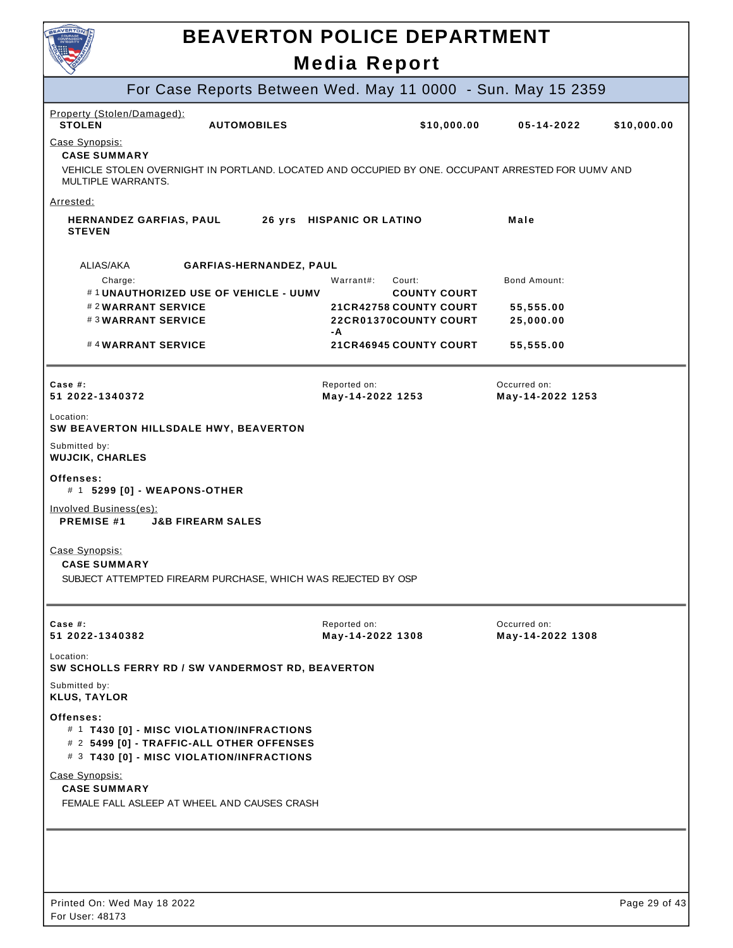| <b>AVERTO</b>                                                                                                                                         | <b>BEAVERTON POLICE DEPARTMENT</b><br><b>Media Report</b>    |                                  |             |
|-------------------------------------------------------------------------------------------------------------------------------------------------------|--------------------------------------------------------------|----------------------------------|-------------|
| For Case Reports Between Wed. May 11 0000 - Sun. May 15 2359                                                                                          |                                                              |                                  |             |
| Property (Stolen/Damaged):<br><b>STOLEN</b><br><b>AUTOMOBILES</b>                                                                                     | \$10,000.00                                                  | 05-14-2022                       | \$10,000.00 |
| Case Synopsis:                                                                                                                                        |                                                              |                                  |             |
| <b>CASE SUMMARY</b><br>VEHICLE STOLEN OVERNIGHT IN PORTLAND. LOCATED AND OCCUPIED BY ONE, OCCUPANT ARRESTED FOR UUMV AND<br><b>MULTIPLE WARRANTS.</b> |                                                              |                                  |             |
| Arrested:                                                                                                                                             |                                                              |                                  |             |
| <b>HERNANDEZ GARFIAS, PAUL</b><br><b>STEVEN</b>                                                                                                       | 26 yrs HISPANIC OR LATINO                                    | Male                             |             |
| ALIAS/AKA<br>GARFIAS-HERNANDEZ, PAUL                                                                                                                  |                                                              |                                  |             |
| Charge:<br>#1UNAUTHORIZED USE OF VEHICLE - UUMV                                                                                                       | Warrant#:<br>Court:<br><b>COUNTY COURT</b>                   | Bond Amount:                     |             |
| #2WARRANT SERVICE<br>#3WARRANT SERVICE                                                                                                                | <b>21CR42758 COUNTY COURT</b><br>22CR01370COUNTY COURT<br>-A | 55,555.00<br>25,000.00           |             |
| #4WARRANT SERVICE                                                                                                                                     | <b>21CR46945 COUNTY COURT</b>                                | 55,555.00                        |             |
| Case $#$ :<br>51 2022-1340372                                                                                                                         | Reported on:<br>May-14-2022 1253                             | Occurred on:<br>May-14-2022 1253 |             |
| Location:<br>SW BEAVERTON HILLSDALE HWY, BEAVERTON                                                                                                    |                                                              |                                  |             |
| Submitted by:<br><b>WUJCIK, CHARLES</b>                                                                                                               |                                                              |                                  |             |
| Offenses:<br># 1 5299 [0] - WEAPONS-OTHER                                                                                                             |                                                              |                                  |             |
| Involved Business(es):<br><b>PREMISE #1</b><br><b>J&amp;B FIREARM SALES</b>                                                                           |                                                              |                                  |             |
| Case Synopsis:<br><b>CASE SUMMARY</b>                                                                                                                 |                                                              |                                  |             |
| SUBJECT ATTEMPTED FIREARM PURCHASE, WHICH WAS REJECTED BY OSP                                                                                         |                                                              |                                  |             |
| Case #:<br>51 2022-1340382                                                                                                                            | Reported on:<br>May-14-2022 1308                             | Occurred on:<br>May-14-2022 1308 |             |
| Location:<br>SW SCHOLLS FERRY RD / SW VANDERMOST RD, BEAVERTON                                                                                        |                                                              |                                  |             |
| Submitted by:<br><b>KLUS, TAYLOR</b>                                                                                                                  |                                                              |                                  |             |
| Offenses:<br># 1 T430 [0] - MISC VIOLATION/INFRACTIONS<br># 2 5499 [0] - TRAFFIC-ALL OTHER OFFENSES<br># 3 T430 [0] - MISC VIOLATION/INFRACTIONS      |                                                              |                                  |             |
| Case Synopsis:<br><b>CASE SUMMARY</b><br>FEMALE FALL ASLEEP AT WHEEL AND CAUSES CRASH                                                                 |                                                              |                                  |             |
|                                                                                                                                                       |                                                              |                                  |             |
|                                                                                                                                                       |                                                              |                                  |             |
|                                                                                                                                                       |                                                              |                                  |             |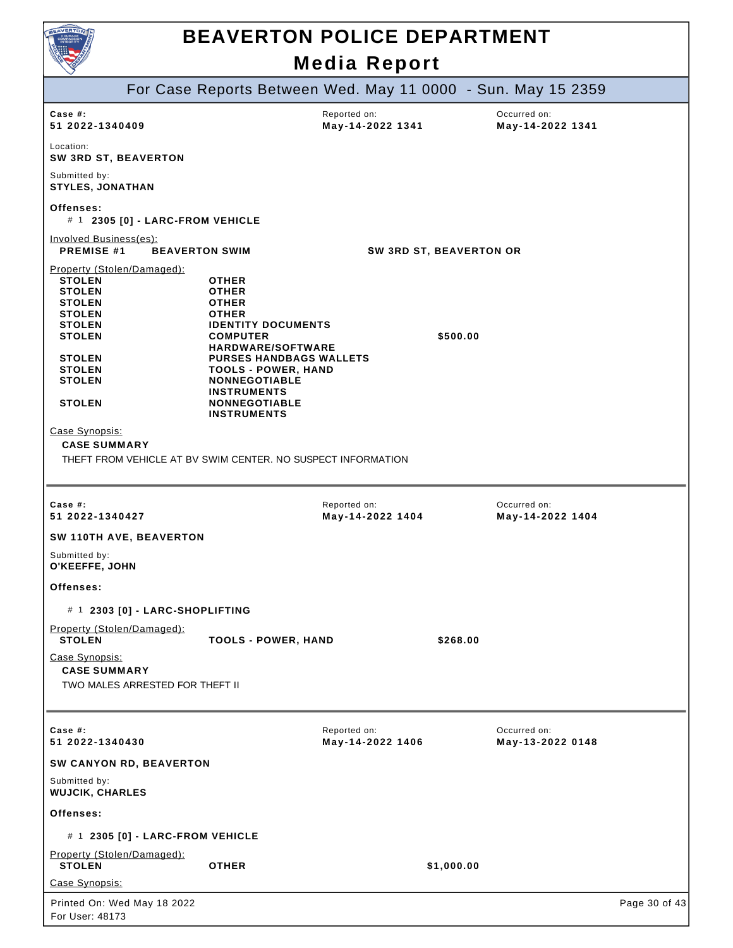

|                                                                                                                                                                                                                                                                                                               | For Case Reports Between Wed. May 11 0000 - Sun. May 15 2359                                                                                                                                                                                                                                         |                                  |            |                                  |               |
|---------------------------------------------------------------------------------------------------------------------------------------------------------------------------------------------------------------------------------------------------------------------------------------------------------------|------------------------------------------------------------------------------------------------------------------------------------------------------------------------------------------------------------------------------------------------------------------------------------------------------|----------------------------------|------------|----------------------------------|---------------|
| Case #:<br>51 2022-1340409                                                                                                                                                                                                                                                                                    |                                                                                                                                                                                                                                                                                                      | Reported on:<br>May-14-2022 1341 |            | Occurred on:<br>May-14-2022 1341 |               |
| Location:<br>SW 3RD ST, BEAVERTON                                                                                                                                                                                                                                                                             |                                                                                                                                                                                                                                                                                                      |                                  |            |                                  |               |
| Submitted by:<br><b>STYLES, JONATHAN</b>                                                                                                                                                                                                                                                                      |                                                                                                                                                                                                                                                                                                      |                                  |            |                                  |               |
| Offenses:<br># 1 2305 [0] - LARC-FROM VEHICLE                                                                                                                                                                                                                                                                 |                                                                                                                                                                                                                                                                                                      |                                  |            |                                  |               |
| Involved Business(es):<br><b>PREMISE #1</b>                                                                                                                                                                                                                                                                   | <b>BEAVERTON SWIM</b>                                                                                                                                                                                                                                                                                | SW 3RD ST, BEAVERTON OR          |            |                                  |               |
| Property (Stolen/Damaged):<br><b>STOLEN</b><br><b>STOLEN</b><br><b>STOLEN</b><br><b>STOLEN</b><br><b>STOLEN</b><br><b>STOLEN</b><br><b>STOLEN</b><br><b>STOLEN</b><br><b>STOLEN</b><br><b>STOLEN</b><br>Case Synopsis:<br><b>CASE SUMMARY</b><br>THEFT FROM VEHICLE AT BV SWIM CENTER. NO SUSPECT INFORMATION | <b>OTHER</b><br><b>OTHER</b><br><b>OTHER</b><br><b>OTHER</b><br><b>IDENTITY DOCUMENTS</b><br><b>COMPUTER</b><br><b>HARDWARE/SOFTWARE</b><br><b>PURSES HANDBAGS WALLETS</b><br><b>TOOLS - POWER, HAND</b><br><b>NONNEGOTIABLE</b><br><b>INSTRUMENTS</b><br><b>NONNEGOTIABLE</b><br><b>INSTRUMENTS</b> |                                  | \$500.00   |                                  |               |
|                                                                                                                                                                                                                                                                                                               |                                                                                                                                                                                                                                                                                                      |                                  |            |                                  |               |
| Case #:<br>51 2022-1340427                                                                                                                                                                                                                                                                                    |                                                                                                                                                                                                                                                                                                      | Reported on:<br>May-14-2022 1404 |            | Occurred on:<br>May-14-2022 1404 |               |
| SW 110TH AVE, BEAVERTON                                                                                                                                                                                                                                                                                       |                                                                                                                                                                                                                                                                                                      |                                  |            |                                  |               |
| Submitted by:<br>O'KEEFFE, JOHN                                                                                                                                                                                                                                                                               |                                                                                                                                                                                                                                                                                                      |                                  |            |                                  |               |
| Offenses:                                                                                                                                                                                                                                                                                                     |                                                                                                                                                                                                                                                                                                      |                                  |            |                                  |               |
| # 1 2303 [0] - LARC-SHOPLIFTING                                                                                                                                                                                                                                                                               |                                                                                                                                                                                                                                                                                                      |                                  |            |                                  |               |
| Property (Stolen/Damaged):<br><b>STOLEN</b>                                                                                                                                                                                                                                                                   | <b>TOOLS - POWER, HAND</b>                                                                                                                                                                                                                                                                           |                                  | \$268.00   |                                  |               |
| Case Synopsis:<br><b>CASE SUMMARY</b><br>TWO MALES ARRESTED FOR THEFT II                                                                                                                                                                                                                                      |                                                                                                                                                                                                                                                                                                      |                                  |            |                                  |               |
| Case #:<br>51 2022-1340430                                                                                                                                                                                                                                                                                    |                                                                                                                                                                                                                                                                                                      | Reported on:<br>May-14-2022 1406 |            | Occurred on:<br>May-13-2022 0148 |               |
| SW CANYON RD, BEAVERTON                                                                                                                                                                                                                                                                                       |                                                                                                                                                                                                                                                                                                      |                                  |            |                                  |               |
| Submitted by:<br><b>WUJCIK, CHARLES</b>                                                                                                                                                                                                                                                                       |                                                                                                                                                                                                                                                                                                      |                                  |            |                                  |               |
| Offenses:                                                                                                                                                                                                                                                                                                     |                                                                                                                                                                                                                                                                                                      |                                  |            |                                  |               |
| # 1 2305 [0] - LARC-FROM VEHICLE                                                                                                                                                                                                                                                                              |                                                                                                                                                                                                                                                                                                      |                                  |            |                                  |               |
| Property (Stolen/Damaged):<br><b>STOLEN</b>                                                                                                                                                                                                                                                                   | <b>OTHER</b>                                                                                                                                                                                                                                                                                         |                                  | \$1,000.00 |                                  |               |
| Case Synopsis:                                                                                                                                                                                                                                                                                                |                                                                                                                                                                                                                                                                                                      |                                  |            |                                  |               |
| Printed On: Wed May 18 2022<br>For User: 48173                                                                                                                                                                                                                                                                |                                                                                                                                                                                                                                                                                                      |                                  |            |                                  | Page 30 of 43 |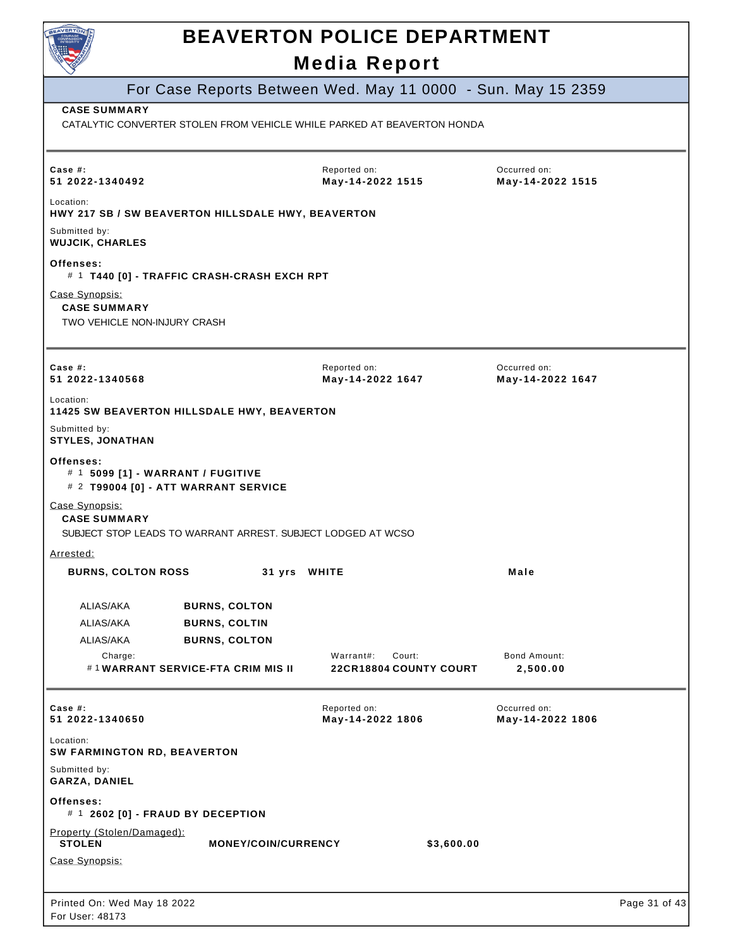| BEAVERTO                                                              |                                                              |                                                                         |                                  |               |
|-----------------------------------------------------------------------|--------------------------------------------------------------|-------------------------------------------------------------------------|----------------------------------|---------------|
|                                                                       |                                                              | <b>BEAVERTON POLICE DEPARTMENT</b>                                      |                                  |               |
|                                                                       |                                                              | <b>Media Report</b>                                                     |                                  |               |
|                                                                       |                                                              | For Case Reports Between Wed. May 11 0000 - Sun. May 15 2359            |                                  |               |
| <b>CASE SUMMARY</b>                                                   |                                                              | CATALYTIC CONVERTER STOLEN FROM VEHICLE WHILE PARKED AT BEAVERTON HONDA |                                  |               |
|                                                                       |                                                              |                                                                         |                                  |               |
| Case $#$ :<br>51 2022-1340492                                         |                                                              | Reported on:<br>May-14-2022 1515                                        | Occurred on:<br>May-14-2022 1515 |               |
| Location:                                                             | HWY 217 SB / SW BEAVERTON HILLSDALE HWY, BEAVERTON           |                                                                         |                                  |               |
| Submitted by:<br><b>WUJCIK, CHARLES</b>                               |                                                              |                                                                         |                                  |               |
| Offenses:                                                             | # 1 T440 [0] - TRAFFIC CRASH-CRASH EXCH RPT                  |                                                                         |                                  |               |
| Case Synopsis:<br><b>CASE SUMMARY</b><br>TWO VEHICLE NON-INJURY CRASH |                                                              |                                                                         |                                  |               |
| Case $#$ :<br>51 2022-1340568                                         |                                                              | Reported on:<br>May-14-2022 1647                                        | Occurred on:<br>May-14-2022 1647 |               |
| Location:                                                             | <b>11425 SW BEAVERTON HILLSDALE HWY, BEAVERTON</b>           |                                                                         |                                  |               |
| Submitted by:<br><b>STYLES, JONATHAN</b>                              |                                                              |                                                                         |                                  |               |
| Offenses:<br># 1 5099 [1] - WARRANT / FUGITIVE                        | # 2 T99004 [0] - ATT WARRANT SERVICE                         |                                                                         |                                  |               |
| Case Synopsis:<br><b>CASE SUMMARY</b>                                 | SUBJECT STOP LEADS TO WARRANT ARREST. SUBJECT LODGED AT WCSO |                                                                         |                                  |               |
| Arrested:                                                             |                                                              |                                                                         |                                  |               |
| <b>BURNS, COLTON ROSS</b>                                             | 31 yrs WHITE                                                 |                                                                         | Male                             |               |
| ALIAS/AKA                                                             | <b>BURNS, COLTON</b>                                         |                                                                         |                                  |               |
| ALIAS/AKA                                                             | <b>BURNS, COLTIN</b>                                         |                                                                         |                                  |               |
| ALIAS/AKA                                                             | <b>BURNS, COLTON</b>                                         |                                                                         |                                  |               |
| Charge:                                                               | #1WARRANT SERVICE-FTA CRIM MIS II                            | Warrant#:<br>Court:<br><b>22CR18804 COUNTY COURT</b>                    | <b>Bond Amount:</b><br>2,500.00  |               |
| Case #:<br>51 2022-1340650                                            |                                                              | Reported on:<br>May-14-2022 1806                                        | Occurred on:<br>May-14-2022 1806 |               |
| Location:<br><b>SW FARMINGTON RD, BEAVERTON</b>                       |                                                              |                                                                         |                                  |               |
| Submitted by:<br>GARZA, DANIEL                                        |                                                              |                                                                         |                                  |               |
| Offenses:<br># 1 2602 [0] - FRAUD BY DECEPTION                        |                                                              |                                                                         |                                  |               |
| Property (Stolen/Damaged):<br><b>STOLEN</b>                           | <b>MONEY/COIN/CURRENCY</b>                                   | \$3,600.00                                                              |                                  |               |
| Case Synopsis:                                                        |                                                              |                                                                         |                                  |               |
|                                                                       |                                                              |                                                                         |                                  |               |
| Printed On: Wed May 18 2022<br>$-11222.40472$                         |                                                              |                                                                         |                                  | Page 31 of 43 |

┙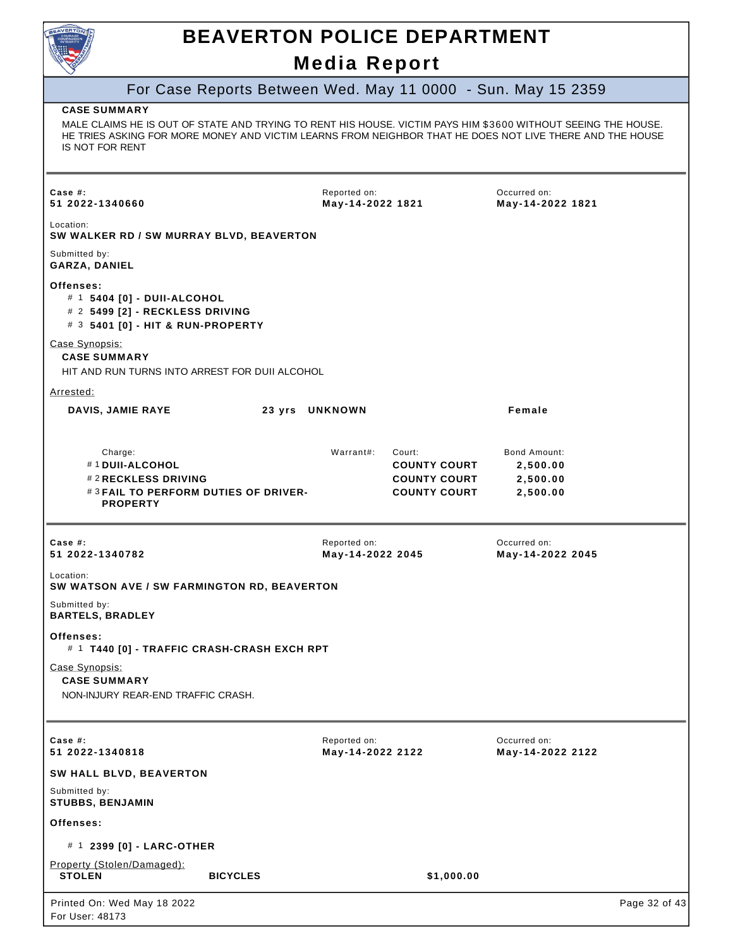

# **BEAVERTON POLICE DEPARTMENT**

#### **Media Report**

#### For Case Reports Between Wed. May 11 0000 - Sun. May 15 2359 Printed On: Wed May 18 2022 For User: 48173 Page 32 of 43 **CASE SUMMARY** MALE CLAIMS HE IS OUT OF STATE AND TRYING TO RENT HIS HOUSE. VICTIM PAYS HIM \$3600 WITHOUT SEEING THE HOUSE. HE TRIES ASKING FOR MORE MONEY AND VICTIM LEARNS FROM NEIGHBOR THAT HE DOES NOT LIVE THERE AND THE HOUSE IS NOT FOR RENT **Case #: 51 2022-1340660** Reported on: **May-14-2022 1821** Occurred on: **May-14-2022 1821** Location: **SW WALKER RD / SW MURRAY BLVD, BEAVERTON** Submitted by: **GARZA, DANIEL Offenses:** # 1 **5404 [0] - DUII-ALCOHOL** # 2 **5499 [2] - RECKLESS DRIVING** # 3 **5401 [0] - HIT & RUN-PROPERTY** Case Synopsis: **CASE SUMMARY** HIT AND RUN TURNS INTO ARREST FOR DUII ALCOHOL Arrested: **DAVIS, JAMIE RAYE 23 yrs UNKNOWN Female** Charge: Warrant#: Court: Bond Amount: # 1 **DUII-ALCOHOL COUNTY COURT 2,500.00** # 2 **RECKLESS DRIVING COUNTY COURT 2,500.00** # 3 **FAIL TO PERFORM DUTIES OF DRIVER-PROPERTY COUNTY COURT 2,500.00 Case #: 51 2022-1340782** Reported on: **May-14-2022 2045** Occurred on: **May-14-2022 2045** Location: **SW WATSON AVE / SW FARMINGTON RD, BEAVERTON** Submitted by: **BARTELS, BRADLEY Offenses:** # 1 **T440 [0] - TRAFFIC CRASH-CRASH EXCH RPT** Case Synopsis: **CASE SUMMARY** NON-INJURY REAR-END TRAFFIC CRASH. Reported on: **May-14-2022 2122** Occurred on: **May-14-2022 2122 Case #: 51 2022-1340818 SW HALL BLVD, BEAVERTON** Submitted by: **STUBBS, BENJAMIN Offenses:** # 1 **2399 [0] - LARC-OTHER** Property (Stolen/Damaged):<br>STOLEN **STOLEN BICYCLES \$1,000.00**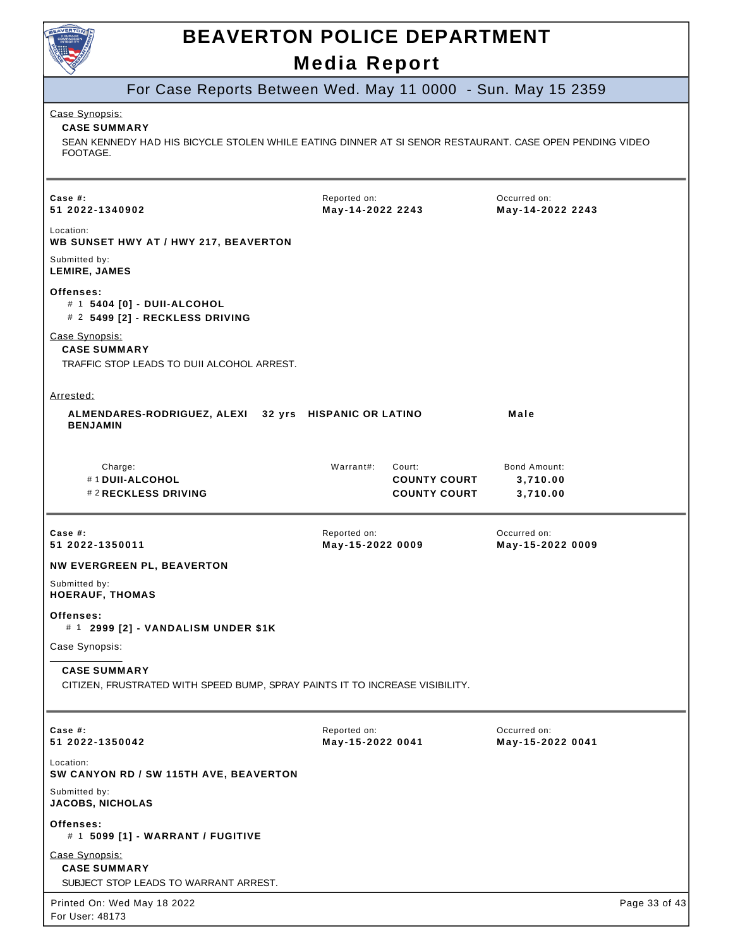

|                                                                                                                                                              | MCAIA RCPOIL                                                      |                                      |               |
|--------------------------------------------------------------------------------------------------------------------------------------------------------------|-------------------------------------------------------------------|--------------------------------------|---------------|
|                                                                                                                                                              | For Case Reports Between Wed. May 11 0000 - Sun. May 15 2359      |                                      |               |
| Case Synopsis:<br><b>CASE SUMMARY</b><br>SEAN KENNEDY HAD HIS BICYCLE STOLEN WHILE EATING DINNER AT SI SENOR RESTAURANT. CASE OPEN PENDING VIDEO<br>FOOTAGE. |                                                                   |                                      |               |
| Case  #:<br>51 2022-1340902                                                                                                                                  | Reported on:<br>May-14-2022 2243                                  | Occurred on:<br>May-14-2022 2243     |               |
| Location:<br>WB SUNSET HWY AT / HWY 217, BEAVERTON                                                                                                           |                                                                   |                                      |               |
| Submitted by:<br>LEMIRE, JAMES                                                                                                                               |                                                                   |                                      |               |
| Offenses:<br># 1 5404 [0] - DUII-ALCOHOL<br># 2 5499 [2] - RECKLESS DRIVING                                                                                  |                                                                   |                                      |               |
| Case Synopsis:<br><b>CASE SUMMARY</b><br>TRAFFIC STOP LEADS TO DUII ALCOHOL ARREST.                                                                          |                                                                   |                                      |               |
| <u>Arrested:</u>                                                                                                                                             |                                                                   |                                      |               |
| ALMENDARES-RODRIGUEZ, ALEXI 32 yrs HISPANIC OR LATINO<br><b>BENJAMIN</b>                                                                                     |                                                                   | Male                                 |               |
| Charge:<br>#1 DUII-ALCOHOL<br>#2 RECKLESS DRIVING                                                                                                            | Warrant#:<br>Court:<br><b>COUNTY COURT</b><br><b>COUNTY COURT</b> | Bond Amount:<br>3,710.00<br>3,710.00 |               |
| Case #:<br>51 2022-1350011                                                                                                                                   | Reported on:<br>May-15-2022 0009                                  | Occurred on:<br>May-15-2022 0009     |               |
| <b>NW EVERGREEN PL, BEAVERTON</b>                                                                                                                            |                                                                   |                                      |               |
| Submitted by:<br><b>HOERAUF, THOMAS</b>                                                                                                                      |                                                                   |                                      |               |
| Offenses:<br># 1 2999 [2] - VANDALISM UNDER \$1K                                                                                                             |                                                                   |                                      |               |
| Case Synopsis:                                                                                                                                               |                                                                   |                                      |               |
| <b>CASE SUMMARY</b><br>CITIZEN, FRUSTRATED WITH SPEED BUMP, SPRAY PAINTS IT TO INCREASE VISIBILITY.                                                          |                                                                   |                                      |               |
| Case #:<br>51 2022-1350042                                                                                                                                   | Reported on:<br>May-15-2022 0041                                  | Occurred on:<br>May-15-2022 0041     |               |
| Location:<br>SW CANYON RD / SW 115TH AVE, BEAVERTON                                                                                                          |                                                                   |                                      |               |
| Submitted by:<br><b>JACOBS, NICHOLAS</b>                                                                                                                     |                                                                   |                                      |               |
| Offenses:<br># 1 5099 [1] - WARRANT / FUGITIVE                                                                                                               |                                                                   |                                      |               |
| Case Synopsis:<br><b>CASE SUMMARY</b>                                                                                                                        |                                                                   |                                      |               |
| SUBJECT STOP LEADS TO WARRANT ARREST.                                                                                                                        |                                                                   |                                      |               |
| Printed On: Wed May 18 2022<br>For User: 48173                                                                                                               |                                                                   |                                      | Page 33 of 43 |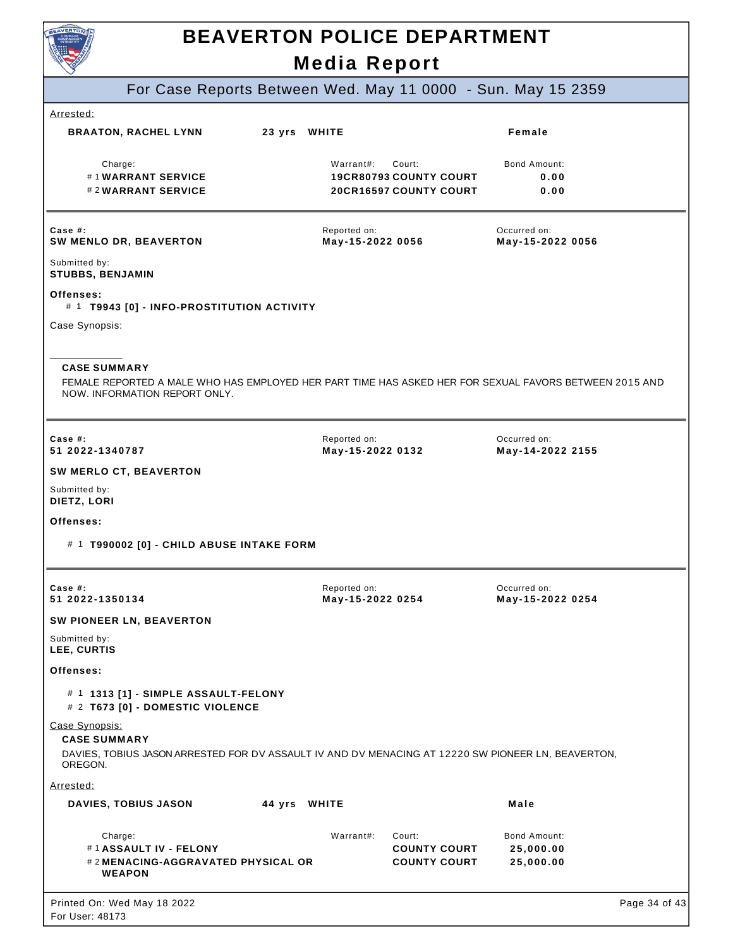

| <b>POWER</b>                                                                                                                                                   | Media Report                                                                          |                                        |
|----------------------------------------------------------------------------------------------------------------------------------------------------------------|---------------------------------------------------------------------------------------|----------------------------------------|
|                                                                                                                                                                | For Case Reports Between Wed. May 11 0000 - Sun. May 15 2359                          |                                        |
| Arrested:                                                                                                                                                      |                                                                                       |                                        |
| <b>BRAATON, RACHEL LYNN</b>                                                                                                                                    | 23 yrs WHITE                                                                          | Female                                 |
| Charge:<br>#1WARRANT SERVICE<br>#2WARRANT SERVICE                                                                                                              | Warrant#:<br>Court:<br><b>19CR80793 COUNTY COURT</b><br><b>20CR16597 COUNTY COURT</b> | <b>Bond Amount:</b><br>0.00<br>0.00    |
| Case #:<br><b>SW MENLO DR, BEAVERTON</b>                                                                                                                       | Reported on:<br>May-15-2022 0056                                                      | Occurred on:<br>May-15-2022 0056       |
| Submitted by:<br><b>STUBBS, BENJAMIN</b>                                                                                                                       |                                                                                       |                                        |
| Offenses:<br># 1 T9943 [0] - INFO-PROSTITUTION ACTIVITY                                                                                                        |                                                                                       |                                        |
| Case Synopsis:                                                                                                                                                 |                                                                                       |                                        |
| <b>CASE SUMMARY</b><br>FEMALE REPORTED A MALE WHO HAS EMPLOYED HER PART TIME HAS ASKED HER FOR SEXUAL FAVORS BETWEEN 2015 AND<br>NOW. INFORMATION REPORT ONLY. |                                                                                       |                                        |
| Case $#$ :<br>51 2022-1340787                                                                                                                                  | Reported on:<br>May-15-2022 0132                                                      | Occurred on:<br>May-14-2022 2155       |
| SW MERLO CT, BEAVERTON                                                                                                                                         |                                                                                       |                                        |
| Submitted by:<br>DIETZ, LORI                                                                                                                                   |                                                                                       |                                        |
| Offenses:                                                                                                                                                      |                                                                                       |                                        |
| # 1 T990002 [0] - CHILD ABUSE INTAKE FORM                                                                                                                      |                                                                                       |                                        |
| Case #:<br>51 2022-1350134                                                                                                                                     | Reported on:<br>May-15-2022 0254                                                      | Occurred on:<br>May-15-2022 0254       |
| SW PIONEER LN, BEAVERTON                                                                                                                                       |                                                                                       |                                        |
| Submitted by:<br>LEE, CURTIS                                                                                                                                   |                                                                                       |                                        |
| Offenses:                                                                                                                                                      |                                                                                       |                                        |
| # 1 1313 [1] - SIMPLE ASSAULT-FELONY<br># 2 T673 [0] - DOMESTIC VIOLENCE                                                                                       |                                                                                       |                                        |
| Case Synopsis:<br><b>CASE SUMMARY</b><br>DAVIES, TOBIUS JASON ARRESTED FOR DV ASSAULT IV AND DV MENACING AT 12220 SW PIONEER LN, BEAVERTON,<br>OREGON.         |                                                                                       |                                        |
| Arrested:                                                                                                                                                      |                                                                                       |                                        |
| <b>DAVIES, TOBIUS JASON</b>                                                                                                                                    | 44 yrs WHITE                                                                          | Male                                   |
| Charge:<br>#1 ASSAULT IV - FELONY<br># 2 MENACING-AGGRAVATED PHYSICAL OR<br><b>WEAPON</b>                                                                      | Warrant#:<br>Court:<br><b>COUNTY COURT</b><br><b>COUNTY COURT</b>                     | Bond Amount:<br>25,000.00<br>25,000.00 |
| Printed On: Wed May 18 2022<br>For User: 48173                                                                                                                 |                                                                                       | Page 34 of 43                          |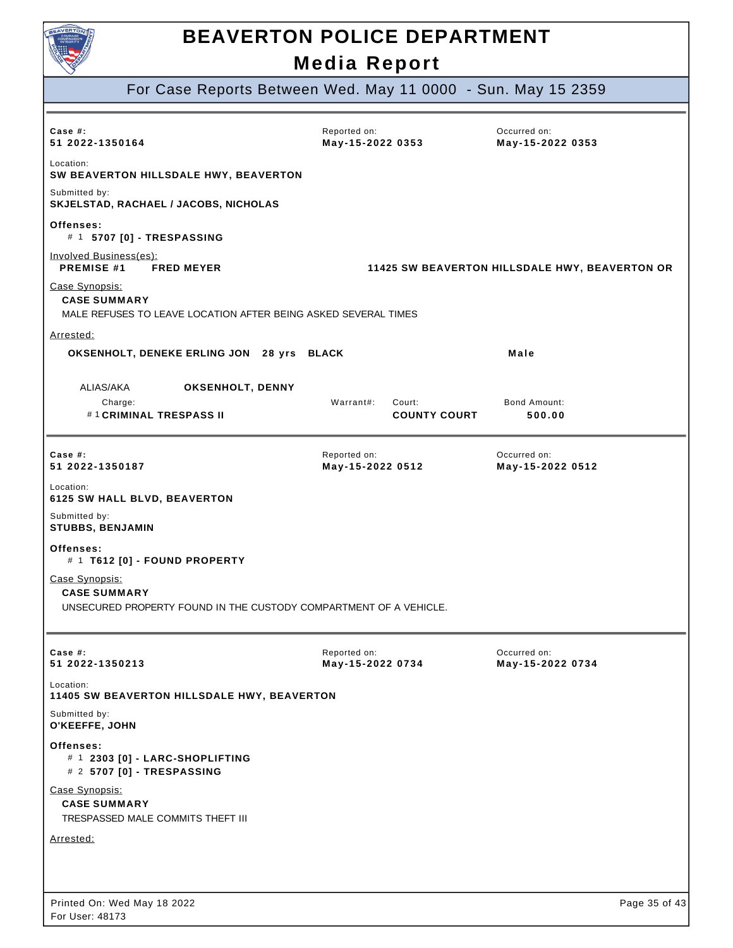

For Case Reports Between Wed. May 11 0000 - Sun. May 15 2359

| Case $#$ :<br>51 2022-1350164                                                                              | Reported on:<br>May-15-2022 0353           | Occurred on:<br>May-15-2022 0353               |
|------------------------------------------------------------------------------------------------------------|--------------------------------------------|------------------------------------------------|
| Location:<br>SW BEAVERTON HILLSDALE HWY, BEAVERTON                                                         |                                            |                                                |
| Submitted by:<br>SKJELSTAD, RACHAEL / JACOBS, NICHOLAS                                                     |                                            |                                                |
| Offenses:<br># 1 5707 [0] - TRESPASSING                                                                    |                                            |                                                |
| Involved Business(es):<br><b>PREMISE #1</b><br><b>FRED MEYER</b>                                           |                                            | 11425 SW BEAVERTON HILLSDALE HWY, BEAVERTON OR |
| Case Synopsis:<br><b>CASE SUMMARY</b><br>MALE REFUSES TO LEAVE LOCATION AFTER BEING ASKED SEVERAL TIMES    |                                            |                                                |
| Arrested:                                                                                                  |                                            |                                                |
| OKSENHOLT, DENEKE ERLING JON 28 yrs BLACK                                                                  |                                            | Male                                           |
| ALIAS/AKA<br>OKSENHOLT, DENNY<br>Charge:<br>#1 CRIMINAL TRESPASS II                                        | Warrant#:<br>Court:<br><b>COUNTY COURT</b> | Bond Amount:<br>500.00                         |
| Case $#$ :<br>51 2022-1350187                                                                              | Reported on:<br>May-15-2022 0512           | Occurred on:<br>May-15-2022 0512               |
| Location:<br>6125 SW HALL BLVD, BEAVERTON                                                                  |                                            |                                                |
| Submitted by:<br><b>STUBBS, BENJAMIN</b>                                                                   |                                            |                                                |
| Offenses:<br># 1 T612 [0] - FOUND PROPERTY                                                                 |                                            |                                                |
| Case Synopsis:<br><b>CASE SUMMARY</b><br>UNSECURED PROPERTY FOUND IN THE CUSTODY COMPARTMENT OF A VEHICLE. |                                            |                                                |
| Case #:<br>51 2022-1350213                                                                                 | Reported on:<br>May-15-2022 0734           | Occurred on:<br>May-15-2022 0734               |
| Location:<br>11405 SW BEAVERTON HILLSDALE HWY, BEAVERTON                                                   |                                            |                                                |
| Submitted by:<br>O'KEEFFE, JOHN                                                                            |                                            |                                                |
| Offenses:<br># 1 2303 [0] - LARC-SHOPLIFTING<br># 2 5707 [0] - TRESPASSING                                 |                                            |                                                |
| Case Synopsis:<br><b>CASE SUMMARY</b><br>TRESPASSED MALE COMMITS THEFT III                                 |                                            |                                                |
| <u>Arrested:</u>                                                                                           |                                            |                                                |
|                                                                                                            |                                            |                                                |
|                                                                                                            |                                            |                                                |
| Printed On: Wed May 18 2022<br>For User: 48173                                                             |                                            | Page 35 of 43                                  |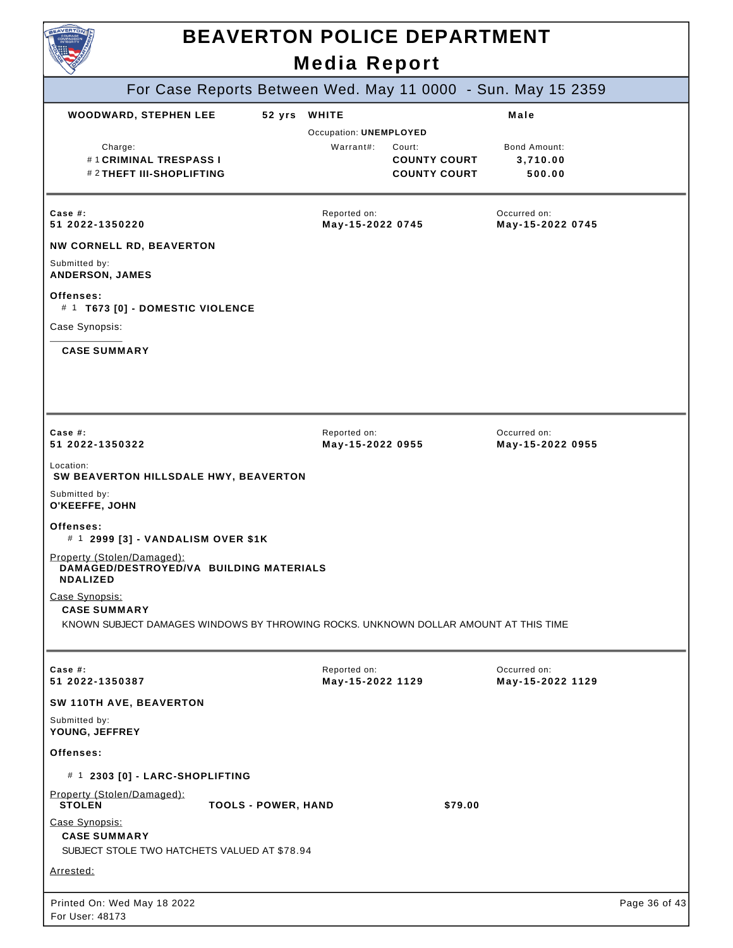

|                                                                                                                              |                            | MURIU ILUPULI                                       |                                                      |                                                              |               |
|------------------------------------------------------------------------------------------------------------------------------|----------------------------|-----------------------------------------------------|------------------------------------------------------|--------------------------------------------------------------|---------------|
|                                                                                                                              |                            |                                                     |                                                      | For Case Reports Between Wed. May 11 0000 - Sun. May 15 2359 |               |
| <b>WOODWARD, STEPHEN LEE</b><br>Charge:<br>#1 CRIMINAL TRESPASS I<br># 2 THEFT III-SHOPLIFTING                               | 52 yrs                     | <b>WHITE</b><br>Occupation: UNEMPLOYED<br>Warrant#: | Court:<br><b>COUNTY COURT</b><br><b>COUNTY COURT</b> | Male<br>Bond Amount:<br>3,710.00<br>500.00                   |               |
| Case #:<br>51 2022-1350220<br><b>NW CORNELL RD, BEAVERTON</b>                                                                |                            | Reported on:<br>May-15-2022 0745                    |                                                      | Occurred on:<br>May-15-2022 0745                             |               |
| Submitted by:<br>ANDERSON, JAMES                                                                                             |                            |                                                     |                                                      |                                                              |               |
| Offenses:<br># 1 T673 [0] - DOMESTIC VIOLENCE                                                                                |                            |                                                     |                                                      |                                                              |               |
| Case Synopsis:                                                                                                               |                            |                                                     |                                                      |                                                              |               |
| <b>CASE SUMMARY</b>                                                                                                          |                            |                                                     |                                                      |                                                              |               |
| Case $#$ :<br>51 2022-1350322                                                                                                |                            | Reported on:<br>May-15-2022 0955                    |                                                      | Occurred on:<br>May-15-2022 0955                             |               |
| Location:<br>SW BEAVERTON HILLSDALE HWY, BEAVERTON                                                                           |                            |                                                     |                                                      |                                                              |               |
| Submitted by:<br>O'KEEFFE, JOHN                                                                                              |                            |                                                     |                                                      |                                                              |               |
| Offenses:<br># 1 2999 [3] - VANDALISM OVER \$1K                                                                              |                            |                                                     |                                                      |                                                              |               |
| Property (Stolen/Damaged):<br>DAMAGED/DESTROYED/VA BUILDING MATERIALS<br><b>NDALIZED</b>                                     |                            |                                                     |                                                      |                                                              |               |
| Case Synopsis:<br><b>CASE SUMMARY</b><br>KNOWN SUBJECT DAMAGES WINDOWS BY THROWING ROCKS. UNKNOWN DOLLAR AMOUNT AT THIS TIME |                            |                                                     |                                                      |                                                              |               |
| Case #:<br>51 2022-1350387                                                                                                   |                            | Reported on:<br>May-15-2022 1129                    |                                                      | Occurred on:<br>May-15-2022 1129                             |               |
| SW 110TH AVE, BEAVERTON                                                                                                      |                            |                                                     |                                                      |                                                              |               |
| Submitted by:<br>YOUNG, JEFFREY                                                                                              |                            |                                                     |                                                      |                                                              |               |
| Offenses:                                                                                                                    |                            |                                                     |                                                      |                                                              |               |
| # 1 2303 [0] - LARC-SHOPLIFTING                                                                                              |                            |                                                     |                                                      |                                                              |               |
| Property (Stolen/Damaged):<br><b>STOLEN</b>                                                                                  | <b>TOOLS - POWER, HAND</b> |                                                     | \$79.00                                              |                                                              |               |
| Case Synopsis:<br><b>CASE SUMMARY</b><br>SUBJECT STOLE TWO HATCHETS VALUED AT \$78.94                                        |                            |                                                     |                                                      |                                                              |               |
| Arrested:                                                                                                                    |                            |                                                     |                                                      |                                                              |               |
| Printed On: Wed May 18 2022<br>For User: 48173                                                                               |                            |                                                     |                                                      |                                                              | Page 36 of 43 |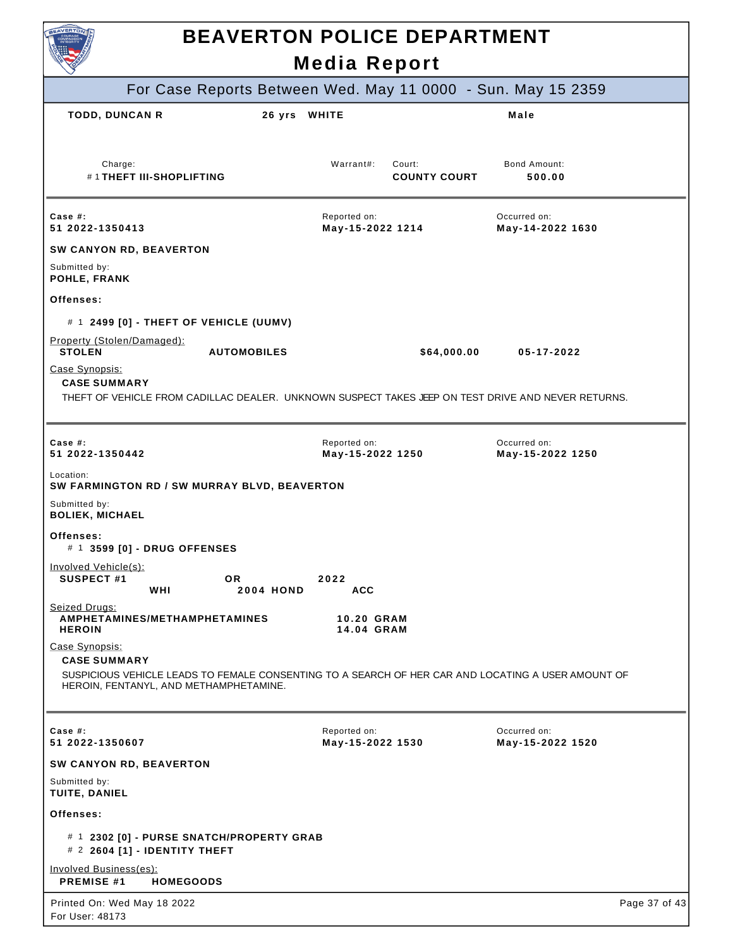| <b>NVERTC</b><br><b>BEAVERTON POLICE DEPARTMENT</b>                                                                                                                                   |                                                              |                                  |  |
|---------------------------------------------------------------------------------------------------------------------------------------------------------------------------------------|--------------------------------------------------------------|----------------------------------|--|
|                                                                                                                                                                                       | <b>Media Report</b>                                          |                                  |  |
|                                                                                                                                                                                       | For Case Reports Between Wed. May 11 0000 - Sun. May 15 2359 |                                  |  |
| <b>TODD, DUNCAN R</b><br>26 yrs WHITE                                                                                                                                                 |                                                              | Male                             |  |
| Charge:<br>#1THEFT III-SHOPLIFTING                                                                                                                                                    | Warrant#:<br>Court:<br><b>COUNTY COURT</b>                   | <b>Bond Amount:</b><br>500.00    |  |
| Case $#$ :<br>51 2022-1350413                                                                                                                                                         | Reported on:<br>May-15-2022 1214                             | Occurred on:<br>May-14-2022 1630 |  |
| SW CANYON RD, BEAVERTON                                                                                                                                                               |                                                              |                                  |  |
| Submitted by:<br>POHLE, FRANK                                                                                                                                                         |                                                              |                                  |  |
| Offenses:                                                                                                                                                                             |                                                              |                                  |  |
| # 1 2499 [0] - THEFT OF VEHICLE (UUMV)                                                                                                                                                |                                                              |                                  |  |
| Property (Stolen/Damaged):<br><b>STOLEN</b><br><b>AUTOMOBILES</b>                                                                                                                     | \$64,000.00                                                  | 05-17-2022                       |  |
| Case Synopsis:<br><b>CASE SUMMARY</b><br>THEFT OF VEHICLE FROM CADILLAC DEALER. UNKNOWN SUSPECT TAKES JEEP ON TEST DRIVE AND NEVER RETURNS.                                           |                                                              |                                  |  |
|                                                                                                                                                                                       |                                                              |                                  |  |
| Case $#$ :<br>51 2022-1350442                                                                                                                                                         | Reported on:<br>May-15-2022 1250                             | Occurred on:<br>May-15-2022 1250 |  |
| Location:<br>SW FARMINGTON RD / SW MURRAY BLVD, BEAVERTON                                                                                                                             |                                                              |                                  |  |
| Submitted by:<br><b>BOLIEK, MICHAEL</b>                                                                                                                                               |                                                              |                                  |  |
| Offenses:<br># 1 3599 [0] - DRUG OFFENSES                                                                                                                                             |                                                              |                                  |  |
| Involved Vehicle(s):<br><b>SUSPECT #1</b><br>OR.<br>WHI<br><b>2004 HOND</b>                                                                                                           | 2022<br><b>ACC</b>                                           |                                  |  |
| Seized Drugs:<br>AMPHETAMINES/METHAMPHETAMINES<br><b>HEROIN</b>                                                                                                                       | <b>10.20 GRAM</b><br>14.04 GRAM                              |                                  |  |
| Case Synopsis:<br><b>CASE SUMMARY</b><br>SUSPICIOUS VEHICLE LEADS TO FEMALE CONSENTING TO A SEARCH OF HER CAR AND LOCATING A USER AMOUNT OF<br>HEROIN, FENTANYL, AND METHAMPHETAMINE. |                                                              |                                  |  |
|                                                                                                                                                                                       |                                                              |                                  |  |
| Case #:<br>51 2022-1350607                                                                                                                                                            | Reported on:<br>May-15-2022 1530                             | Occurred on:<br>May-15-2022 1520 |  |
| SW CANYON RD, BEAVERTON                                                                                                                                                               |                                                              |                                  |  |
| Submitted by:<br>TUITE, DANIEL                                                                                                                                                        |                                                              |                                  |  |
| Offenses:                                                                                                                                                                             |                                                              |                                  |  |
| # 1 2302 [0] - PURSE SNATCH/PROPERTY GRAB<br># 2 2604 [1] - IDENTITY THEFT                                                                                                            |                                                              |                                  |  |
| Involved Business(es):<br><b>PREMISE #1</b><br><b>HOMEGOODS</b>                                                                                                                       |                                                              |                                  |  |
| Printed On: Wed May 18 2022<br>For User: 48173                                                                                                                                        |                                                              | Page 37 of 43                    |  |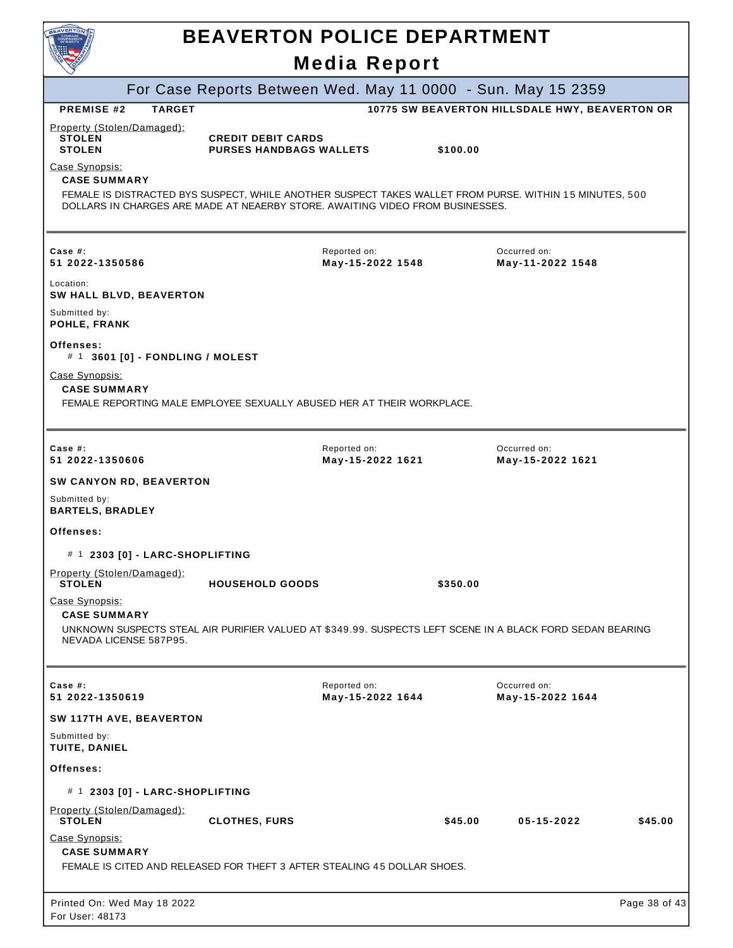| <b>BEAVERTO</b>                                                                |               | <b>BEAVERTON POLICE DEPARTMENT</b>                                            |                                  |          |                                                                                                           |               |
|--------------------------------------------------------------------------------|---------------|-------------------------------------------------------------------------------|----------------------------------|----------|-----------------------------------------------------------------------------------------------------------|---------------|
|                                                                                |               |                                                                               | <b>Media Report</b>              |          |                                                                                                           |               |
|                                                                                |               |                                                                               |                                  |          | For Case Reports Between Wed. May 11 0000 - Sun. May 15 2359                                              |               |
| <b>PREMISE #2</b>                                                              | <b>TARGET</b> |                                                                               |                                  |          | 10775 SW BEAVERTON HILLSDALE HWY, BEAVERTON OR                                                            |               |
| Property (Stolen/Damaged):<br><b>STOLEN</b><br><b>STOLEN</b><br>Case Synopsis: |               | <b>CREDIT DEBIT CARDS</b><br><b>PURSES HANDBAGS WALLETS</b>                   |                                  | \$100.00 |                                                                                                           |               |
| <b>CASE SUMMARY</b>                                                            |               | DOLLARS IN CHARGES ARE MADE AT NEAERBY STORE. AWAITING VIDEO FROM BUSINESSES. |                                  |          | FEMALE IS DISTRACTED BYS SUSPECT, WHILE ANOTHER SUSPECT TAKES WALLET FROM PURSE. WITHIN 15 MINUTES, 500   |               |
| Case $#$ :<br>51 2022-1350586                                                  |               |                                                                               | Reported on:<br>May-15-2022 1548 |          | Occurred on:<br>May-11-2022 1548                                                                          |               |
| Location:<br><b>SW HALL BLVD, BEAVERTON</b>                                    |               |                                                                               |                                  |          |                                                                                                           |               |
| Submitted by:<br>POHLE, FRANK                                                  |               |                                                                               |                                  |          |                                                                                                           |               |
| Offenses:<br># 1 3601 [0] - FONDLING / MOLEST                                  |               |                                                                               |                                  |          |                                                                                                           |               |
| Case Synopsis:<br><b>CASE SUMMARY</b>                                          |               | FEMALE REPORTING MALE EMPLOYEE SEXUALLY ABUSED HER AT THEIR WORKPLACE.        |                                  |          |                                                                                                           |               |
|                                                                                |               |                                                                               |                                  |          |                                                                                                           |               |
| Case $#$ :<br>51 2022-1350606                                                  |               |                                                                               | Reported on:<br>May-15-2022 1621 |          | Occurred on:<br>May-15-2022 1621                                                                          |               |
| SW CANYON RD, BEAVERTON                                                        |               |                                                                               |                                  |          |                                                                                                           |               |
| Submitted by:<br><b>BARTELS, BRADLEY</b>                                       |               |                                                                               |                                  |          |                                                                                                           |               |
| Offenses:                                                                      |               |                                                                               |                                  |          |                                                                                                           |               |
| # 1 2303 [0] - LARC-SHOPLIFTING                                                |               |                                                                               |                                  |          |                                                                                                           |               |
| Property (Stolen/Damaged):<br><b>STOLEN</b>                                    |               | <b>HOUSEHOLD GOODS</b>                                                        |                                  | \$350.00 |                                                                                                           |               |
| Case Synopsis:<br><b>CASE SUMMARY</b>                                          |               |                                                                               |                                  |          |                                                                                                           |               |
| NEVADA LICENSE 587P95.                                                         |               |                                                                               |                                  |          | UNKNOWN SUSPECTS STEAL AIR PURIFIER VALUED AT \$349.99. SUSPECTS LEFT SCENE IN A BLACK FORD SEDAN BEARING |               |
| Case $#$ :<br>51 2022-1350619                                                  |               |                                                                               | Reported on:<br>May-15-2022 1644 |          | Occurred on:<br>May-15-2022 1644                                                                          |               |
| SW 117TH AVE, BEAVERTON                                                        |               |                                                                               |                                  |          |                                                                                                           |               |
| Submitted by:<br>TUITE, DANIEL                                                 |               |                                                                               |                                  |          |                                                                                                           |               |
| Offenses:                                                                      |               |                                                                               |                                  |          |                                                                                                           |               |
| # 1 2303 [0] - LARC-SHOPLIFTING                                                |               |                                                                               |                                  |          |                                                                                                           |               |
| Property (Stolen/Damaged):<br><b>STOLEN</b>                                    |               | <b>CLOTHES, FURS</b>                                                          |                                  | \$45.00  | 05-15-2022                                                                                                | \$45.00       |
| Case Synopsis:<br><b>CASE SUMMARY</b>                                          |               | FEMALE IS CITED AND RELEASED FOR THEFT 3 AFTER STEALING 45 DOLLAR SHOES.      |                                  |          |                                                                                                           |               |
| Printed On: Wed May 18 2022                                                    |               |                                                                               |                                  |          |                                                                                                           | Page 38 of 43 |
| For User: 48173                                                                |               |                                                                               |                                  |          |                                                                                                           |               |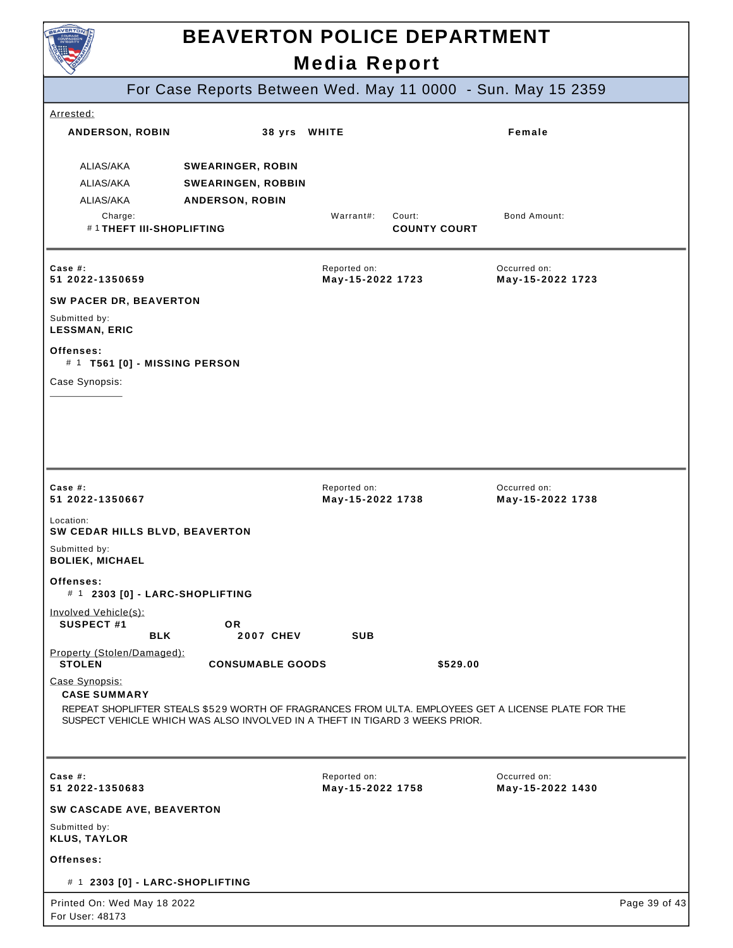| <b>BEAVERTON POLICE DEPARTMENT</b><br><b>Media Report</b>                                        |                                                                                                        |                                  |                               |                                                                                                     |               |
|--------------------------------------------------------------------------------------------------|--------------------------------------------------------------------------------------------------------|----------------------------------|-------------------------------|-----------------------------------------------------------------------------------------------------|---------------|
|                                                                                                  |                                                                                                        |                                  |                               | For Case Reports Between Wed. May 11 0000 - Sun. May 15 2359                                        |               |
| Arrested:                                                                                        |                                                                                                        |                                  |                               |                                                                                                     |               |
| ANDERSON, ROBIN                                                                                  | 38 yrs WHITE                                                                                           |                                  |                               | Female                                                                                              |               |
| ALIAS/AKA<br>ALIAS/AKA<br>ALIAS/AKA<br>Charge:<br>#1THEFT III-SHOPLIFTING                        | <b>SWEARINGER, ROBIN</b><br><b>SWEARINGEN, ROBBIN</b><br><b>ANDERSON, ROBIN</b>                        | Warrant#:                        | Court:<br><b>COUNTY COURT</b> | <b>Bond Amount:</b>                                                                                 |               |
| Case $#$ :<br>51 2022-1350659<br>SW PACER DR, BEAVERTON<br>Submitted by:<br><b>LESSMAN, ERIC</b> |                                                                                                        | Reported on:<br>May-15-2022 1723 |                               | Occurred on:<br>May-15-2022 1723                                                                    |               |
| Offenses:<br># 1 T561 [0] - MISSING PERSON<br>Case Synopsis:                                     |                                                                                                        |                                  |                               |                                                                                                     |               |
| Case #:<br>51 2022-1350667                                                                       |                                                                                                        | Reported on:<br>May-15-2022 1738 |                               | Occurred on:<br>May-15-2022 1738                                                                    |               |
| Location:<br>SW CEDAR HILLS BLVD, BEAVERTON<br>Submitted by:                                     |                                                                                                        |                                  |                               |                                                                                                     |               |
| <b>BOLIEK, MICHAEL</b><br>Offenses:<br># 1 2303 [0] - LARC-SHOPLIFTING                           |                                                                                                        |                                  |                               |                                                                                                     |               |
| Involved Vehicle(s):<br><b>SUSPECT #1</b><br><b>BLK</b><br>Property (Stolen/Damaged):            | OR.<br><b>2007 CHEV</b>                                                                                | <b>SUB</b>                       |                               |                                                                                                     |               |
| <b>STOLEN</b><br>Case Synopsis:<br><b>CASE SUMMARY</b>                                           | <b>CONSUMABLE GOODS</b><br>SUSPECT VEHICLE WHICH WAS ALSO INVOLVED IN A THEFT IN TIGARD 3 WEEKS PRIOR. |                                  | \$529.00                      | REPEAT SHOPLIFTER STEALS \$529 WORTH OF FRAGRANCES FROM ULTA. EMPLOYEES GET A LICENSE PLATE FOR THE |               |
| Case $#$ :<br>51 2022-1350683                                                                    |                                                                                                        | Reported on:<br>May-15-2022 1758 |                               | Occurred on:<br>May-15-2022 1430                                                                    |               |
| SW CASCADE AVE, BEAVERTON                                                                        |                                                                                                        |                                  |                               |                                                                                                     |               |
| Submitted by:<br><b>KLUS, TAYLOR</b>                                                             |                                                                                                        |                                  |                               |                                                                                                     |               |
| Offenses:                                                                                        |                                                                                                        |                                  |                               |                                                                                                     |               |
| # 1 2303 [0] - LARC-SHOPLIFTING                                                                  |                                                                                                        |                                  |                               |                                                                                                     |               |
| Printed On: Wed May 18 2022<br>For User: 48173                                                   |                                                                                                        |                                  |                               |                                                                                                     | Page 39 of 43 |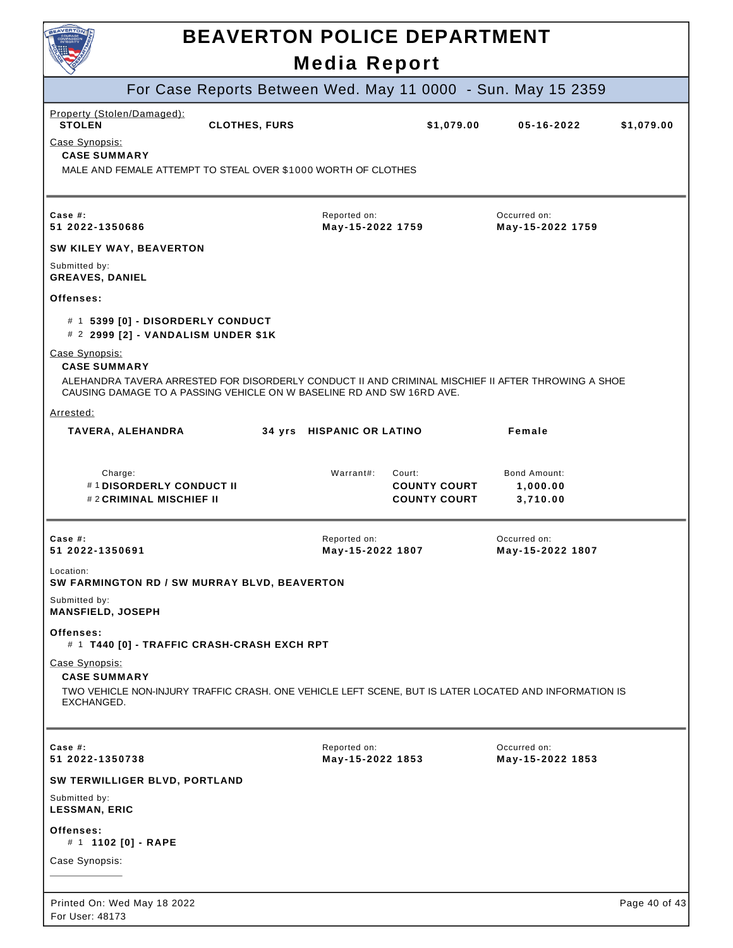| BEAVERTON                                                                                                                                                                                                            | <b>BEAVERTON POLICE DEPARTMENT</b> |                                            |                                      |               |
|----------------------------------------------------------------------------------------------------------------------------------------------------------------------------------------------------------------------|------------------------------------|--------------------------------------------|--------------------------------------|---------------|
|                                                                                                                                                                                                                      | <b>Media Report</b>                |                                            |                                      |               |
| For Case Reports Between Wed. May 11 0000 - Sun. May 15 2359                                                                                                                                                         |                                    |                                            |                                      |               |
| Property (Stolen/Damaged):<br><b>STOLEN</b><br><b>CLOTHES, FURS</b>                                                                                                                                                  |                                    | \$1,079.00                                 | $05 - 16 - 2022$                     | \$1,079.00    |
| Case Synopsis:<br><b>CASE SUMMARY</b><br>MALE AND FEMALE ATTEMPT TO STEAL OVER \$1000 WORTH OF CLOTHES                                                                                                               |                                    |                                            |                                      |               |
| Case $#$ :<br>51 2022-1350686                                                                                                                                                                                        | Reported on:<br>May-15-2022 1759   |                                            | Occurred on:<br>May-15-2022 1759     |               |
| SW KILEY WAY, BEAVERTON                                                                                                                                                                                              |                                    |                                            |                                      |               |
| Submitted by:<br><b>GREAVES, DANIEL</b>                                                                                                                                                                              |                                    |                                            |                                      |               |
| Offenses:                                                                                                                                                                                                            |                                    |                                            |                                      |               |
| # 1 5399 [0] - DISORDERLY CONDUCT<br># 2 2999 [2] - VANDALISM UNDER \$1K                                                                                                                                             |                                    |                                            |                                      |               |
| Case Synopsis:<br><b>CASE SUMMARY</b><br>ALEHANDRA TAVERA ARRESTED FOR DISORDERLY CONDUCT II AND CRIMINAL MISCHIEF II AFTER THROWING A SHOE<br>CAUSING DAMAGE TO A PASSING VEHICLE ON W BASELINE RD AND SW 16RD AVE. |                                    |                                            |                                      |               |
| Arrested:                                                                                                                                                                                                            |                                    |                                            |                                      |               |
| TAVERA, ALEHANDRA                                                                                                                                                                                                    | 34 yrs HISPANIC OR LATINO          |                                            | Female                               |               |
| Charge:<br>#1DISORDERLY CONDUCT II<br>#2 CRIMINAL MISCHIEF II                                                                                                                                                        | Warrant#:<br>Court:                | <b>COUNTY COURT</b><br><b>COUNTY COURT</b> | Bond Amount:<br>1,000.00<br>3,710.00 |               |
| Case $#$ :<br>51 2022-1350691                                                                                                                                                                                        | Reported on:<br>May-15-2022 1807   |                                            | Occurred on:<br>May-15-2022 1807     |               |
| Location:<br>SW FARMINGTON RD / SW MURRAY BLVD, BEAVERTON                                                                                                                                                            |                                    |                                            |                                      |               |
| Submitted by:<br><b>MANSFIELD, JOSEPH</b>                                                                                                                                                                            |                                    |                                            |                                      |               |
| Offenses:<br># 1 T440 [0] - TRAFFIC CRASH-CRASH EXCH RPT                                                                                                                                                             |                                    |                                            |                                      |               |
| Case Synopsis:<br><b>CASE SUMMARY</b><br>TWO VEHICLE NON-INJURY TRAFFIC CRASH. ONE VEHICLE LEFT SCENE, BUT IS LATER LOCATED AND INFORMATION IS<br>EXCHANGED.                                                         |                                    |                                            |                                      |               |
| Case $#$ :<br>51 2022-1350738                                                                                                                                                                                        | Reported on:<br>May-15-2022 1853   |                                            | Occurred on:<br>May-15-2022 1853     |               |
| SW TERWILLIGER BLVD, PORTLAND                                                                                                                                                                                        |                                    |                                            |                                      |               |
| Submitted by:<br><b>LESSMAN, ERIC</b>                                                                                                                                                                                |                                    |                                            |                                      |               |
| Offenses:<br># 1 1102 [0] - RAPE                                                                                                                                                                                     |                                    |                                            |                                      |               |
| Case Synopsis:                                                                                                                                                                                                       |                                    |                                            |                                      |               |
|                                                                                                                                                                                                                      |                                    |                                            |                                      |               |
| Printed On: Wed May 18 2022<br>For User: 48173                                                                                                                                                                       |                                    |                                            |                                      | Page 40 of 43 |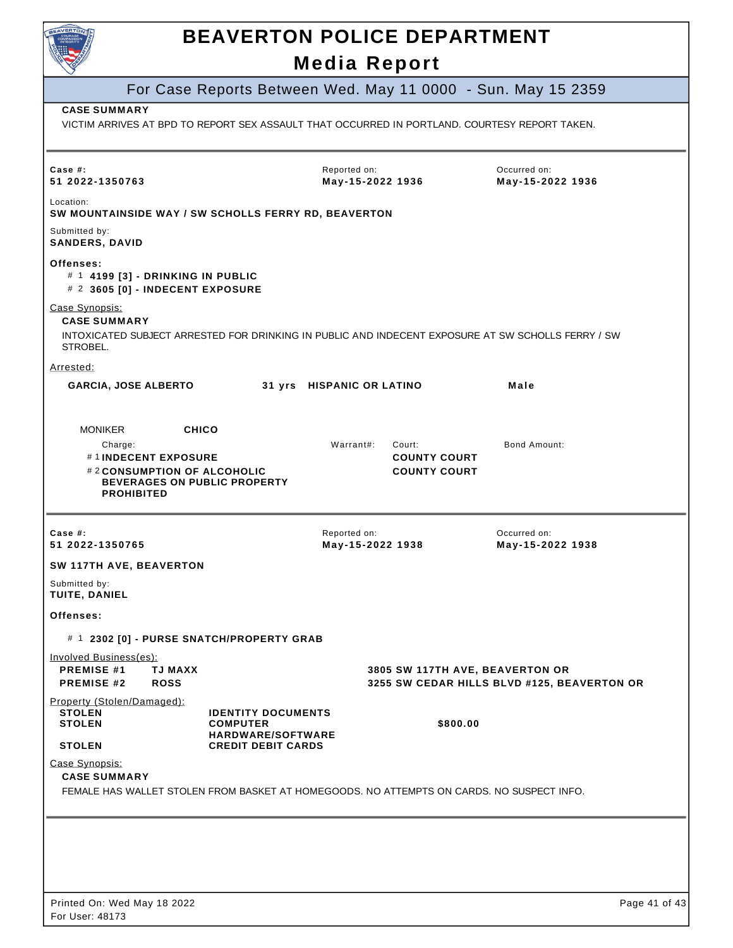

|                                                                                                                                                             |                                                                                                       |                                  |                                                      | For Case Reports Between Wed. May 11 0000 - Sun. May 15 2359                                       |  |
|-------------------------------------------------------------------------------------------------------------------------------------------------------------|-------------------------------------------------------------------------------------------------------|----------------------------------|------------------------------------------------------|----------------------------------------------------------------------------------------------------|--|
| <b>CASE SUMMARY</b><br>VICTIM ARRIVES AT BPD TO REPORT SEX ASSAULT THAT OCCURRED IN PORTLAND. COURTESY REPORT TAKEN.                                        |                                                                                                       |                                  |                                                      |                                                                                                    |  |
| Case #:<br>51 2022-1350763                                                                                                                                  |                                                                                                       | Reported on:<br>May-15-2022 1936 |                                                      | Occurred on:<br>May-15-2022 1936                                                                   |  |
| Location:<br>SW MOUNTAINSIDE WAY / SW SCHOLLS FERRY RD, BEAVERTON                                                                                           |                                                                                                       |                                  |                                                      |                                                                                                    |  |
| Submitted by:<br><b>SANDERS, DAVID</b>                                                                                                                      |                                                                                                       |                                  |                                                      |                                                                                                    |  |
| Offenses:<br># 1 4199 [3] - DRINKING IN PUBLIC<br># 2 3605 [0] - INDECENT EXPOSURE                                                                          |                                                                                                       |                                  |                                                      |                                                                                                    |  |
| Case Synopsis:<br><b>CASE SUMMARY</b><br>STROBEL.                                                                                                           |                                                                                                       |                                  |                                                      | INTOXICATED SUBJECT ARRESTED FOR DRINKING IN PUBLIC AND INDECENT EXPOSURE AT SW SCHOLLS FERRY / SW |  |
| Arrested:                                                                                                                                                   |                                                                                                       |                                  |                                                      |                                                                                                    |  |
| <b>GARCIA, JOSE ALBERTO</b>                                                                                                                                 |                                                                                                       | 31 yrs HISPANIC OR LATINO        |                                                      | Male                                                                                               |  |
|                                                                                                                                                             |                                                                                                       |                                  |                                                      |                                                                                                    |  |
| <b>CHICO</b><br><b>MONIKER</b><br>Charge:<br>#1INDECENT EXPOSURE<br>#2 CONSUMPTION OF ALCOHOLIC<br><b>BEVERAGES ON PUBLIC PROPERTY</b><br><b>PROHIBITED</b> |                                                                                                       | Warrant#:                        | Court:<br><b>COUNTY COURT</b><br><b>COUNTY COURT</b> | <b>Bond Amount:</b>                                                                                |  |
| Case #:                                                                                                                                                     |                                                                                                       | Reported on:                     |                                                      | Occurred on:                                                                                       |  |
| 51 2022-1350765                                                                                                                                             |                                                                                                       | May-15-2022 1938                 |                                                      | May-15-2022 1938                                                                                   |  |
| SW 117TH AVE, BEAVERTON                                                                                                                                     |                                                                                                       |                                  |                                                      |                                                                                                    |  |
| Submitted by:<br>TUITE, DANIEL                                                                                                                              |                                                                                                       |                                  |                                                      |                                                                                                    |  |
| Offenses:                                                                                                                                                   |                                                                                                       |                                  |                                                      |                                                                                                    |  |
| # 1 2302 [0] - PURSE SNATCH/PROPERTY GRAB                                                                                                                   |                                                                                                       |                                  |                                                      |                                                                                                    |  |
| <b>Involved Business(es):</b><br><b>PREMISE #1</b><br><b>TJ MAXX</b><br><b>PREMISE #2</b><br><b>ROSS</b>                                                    |                                                                                                       |                                  |                                                      | 3805 SW 117TH AVE, BEAVERTON OR<br>3255 SW CEDAR HILLS BLVD #125, BEAVERTON OR                     |  |
| Property (Stolen/Damaged):<br><b>STOLEN</b><br><b>STOLEN</b><br><b>STOLEN</b>                                                                               | <b>IDENTITY DOCUMENTS</b><br><b>COMPUTER</b><br><b>HARDWARE/SOFTWARE</b><br><b>CREDIT DEBIT CARDS</b> |                                  | \$800.00                                             |                                                                                                    |  |
| Case Synopsis:<br><b>CASE SUMMARY</b><br>FEMALE HAS WALLET STOLEN FROM BASKET AT HOMEGOODS. NO ATTEMPTS ON CARDS. NO SUSPECT INFO.                          |                                                                                                       |                                  |                                                      |                                                                                                    |  |
|                                                                                                                                                             |                                                                                                       |                                  |                                                      |                                                                                                    |  |
|                                                                                                                                                             |                                                                                                       |                                  |                                                      |                                                                                                    |  |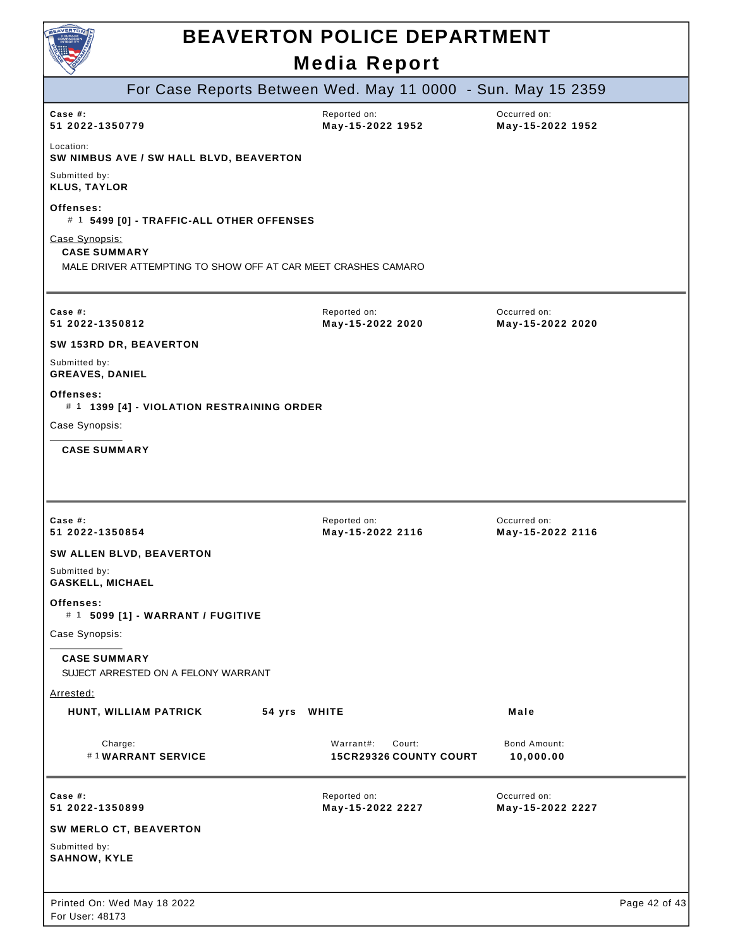| BEAVERTON                                                                                              | <b>BEAVERTON POLICE DEPARTMENT</b>            |                                  |               |
|--------------------------------------------------------------------------------------------------------|-----------------------------------------------|----------------------------------|---------------|
|                                                                                                        | <b>Media Report</b>                           |                                  |               |
| For Case Reports Between Wed. May 11 0000 - Sun. May 15 2359                                           |                                               |                                  |               |
| Case #:<br>51 2022-1350779                                                                             | Reported on:<br>May-15-2022 1952              | Occurred on:<br>May-15-2022 1952 |               |
| Location:<br>SW NIMBUS AVE / SW HALL BLVD, BEAVERTON                                                   |                                               |                                  |               |
| Submitted by:<br><b>KLUS, TAYLOR</b>                                                                   |                                               |                                  |               |
| Offenses:<br># 1 5499 [0] - TRAFFIC-ALL OTHER OFFENSES                                                 |                                               |                                  |               |
| Case Synopsis:<br><b>CASE SUMMARY</b><br>MALE DRIVER ATTEMPTING TO SHOW OFF AT CAR MEET CRASHES CAMARO |                                               |                                  |               |
| Case #:<br>51 2022-1350812                                                                             | Reported on:<br>May-15-2022 2020              | Occurred on:<br>May-15-2022 2020 |               |
| SW 153RD DR, BEAVERTON                                                                                 |                                               |                                  |               |
| Submitted by:<br><b>GREAVES, DANIEL</b>                                                                |                                               |                                  |               |
| Offenses:<br># 1 1399 [4] - VIOLATION RESTRAINING ORDER                                                |                                               |                                  |               |
| Case Synopsis:                                                                                         |                                               |                                  |               |
| <b>CASE SUMMARY</b>                                                                                    |                                               |                                  |               |
| Case $#$ :                                                                                             | Reported on:                                  | Occurred on:                     |               |
| 51 2022-1350854<br><b>SW ALLEN BLVD, BEAVERTON</b>                                                     | May-15-2022 2116                              | May-15-2022 2116                 |               |
| Submitted by:<br><b>GASKELL, MICHAEL</b>                                                               |                                               |                                  |               |
| Offenses:<br># 1 5099 [1] - WARRANT / FUGITIVE                                                         |                                               |                                  |               |
| Case Synopsis:                                                                                         |                                               |                                  |               |
| <b>CASE SUMMARY</b><br>SUJECT ARRESTED ON A FELONY WARRANT                                             |                                               |                                  |               |
| Arrested:                                                                                              |                                               |                                  |               |
| HUNT, WILLIAM PATRICK                                                                                  | 54 yrs WHITE                                  | Male                             |               |
| Charge:<br>#1WARRANT SERVICE                                                                           | Warrant#:<br>Court:<br>15CR29326 COUNTY COURT | Bond Amount:<br>10,000.00        |               |
| Case #:<br>51 2022-1350899                                                                             | Reported on:<br>May-15-2022 2227              | Occurred on:<br>May-15-2022 2227 |               |
| <b>SW MERLO CT, BEAVERTON</b>                                                                          |                                               |                                  |               |
| Submitted by:<br><b>SAHNOW, KYLE</b>                                                                   |                                               |                                  |               |
| Printed On: Wed May 18 2022<br>For User: 48173                                                         |                                               |                                  | Page 42 of 43 |

 $\overline{\phantom{a}}$